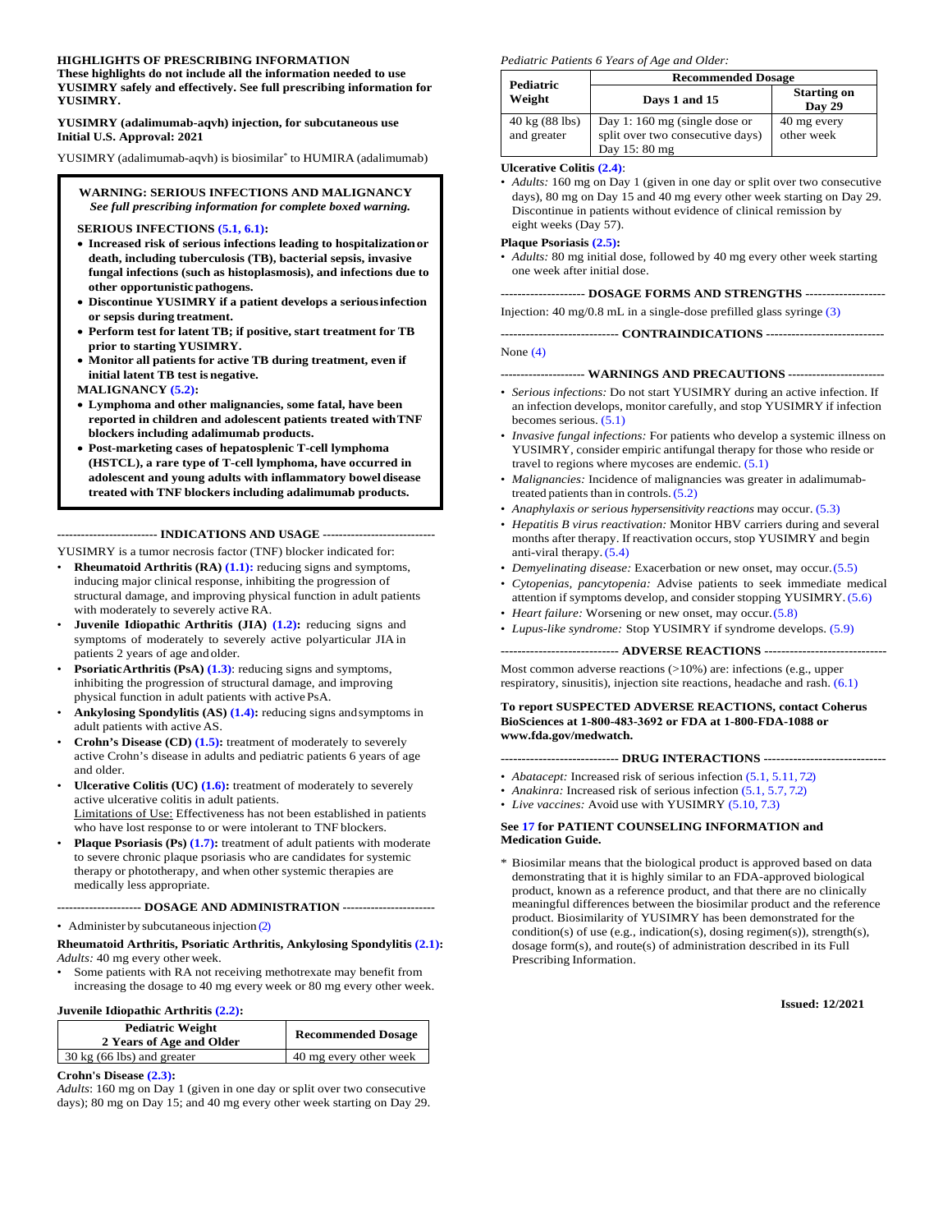#### **HIGHLIGHTS OF PRESCRIBING INFORMATION**

**These highlights do not include all the information needed to use YUSIMRY safely and effectively. See full prescribing information for YUSIMRY.** 

**YUSIMRY (adalimumab-aqvh) injection, for subcutaneous use Initial U.S. Approval: 2021**

YUSIMRY (adalimumab-aqvh) is biosimilar\* to HUMIRA (adalimumab)

#### **WARNING: SERIOUS INFECTIONS AND MALIGNANCY** *See full prescribing information for complete boxed warning.*

**SERIOUS INFECTIONS [\(5.1,](#page-5-0) [6.1\)](#page-10-0):** 

- **Increased risk of serious infections leading to hospitalization or death, including tuberculosis (TB), bacterial sepsis, invasive fungal infections (such as histoplasmosis), and infections due to other opportunistic pathogens.**
- **Discontinue YUSIMRY if a patient develops a serious infection or sepsis during treatment.**
- **Perform test for latent TB; if positive, start treatment for TB prior to starting YUSIMRY.**
- **Monitor all patients for active TB during treatment, even if initial latent TB test is negative.**
- **MALIGNANCY [\(5.2\)](#page-7-0):**
- **Lymphoma and other malignancies, some fatal, have been reported in children and adolescent patients treated with TNF blockers including adalimumab products.**
- **Post-marketing cases of hepatosplenic T-cell lymphoma (HSTCL), a rare type of T-cell lymphoma, have occurred in adolescent and young adults with inflammatory bowel disease treated with TNF blockers including adalimumab products.**

**------------------------- INDICATIONS AND USAGE ----------------------------**

YUSIMRY is a tumor necrosis factor (TNF) blocker indicated for:

- **Rheumatoid Arthritis (RA) [\(1.1\)](#page-3-0):** reducing signs and symptoms, inducing major clinical response, inhibiting the progression of structural damage, and improving physical function in adult patients with moderately to severely active RA.
- **Juvenile Idiopathic Arthritis (JIA) [\(1.2\)](#page-3-1):** reducing signs and symptoms of moderately to severely active polyarticular JIA in patients 2 years of age and older.
- **Psoriatic Arthritis (PsA) [\(1.3\)](#page-3-2)**: reducing signs and symptoms, inhibiting the progression of structural damage, and improving physical function in adult patients with active PsA.
- **Ankylosing Spondylitis (AS) [\(1.4\)](#page-3-3):** reducing signs andsymptoms in adult patients with active AS.
- **Crohn's Disease (CD) [\(1.5\)](#page-3-4):** treatment of moderately to severely active Crohn's disease in adults and pediatric patients 6 years of age and older.
- **Ulcerative Colitis (UC) [\(1.6\)](#page-3-5):** treatment of moderately to severely active ulcerative colitis in adult patients. Limitations of Use: Effectiveness has not been established in patients who have lost response to or were intolerant to TNF blockers.
- **Plaque Psoriasis (Ps) [\(1.7\)](#page-3-6):** treatment of adult patients with moderate to severe chronic plaque psoriasis who are candidates for systemic therapy or phototherapy, and when other systemic therapies are medically less appropriate.

**--------------------- DOSAGE AND ADMINISTRATION -----------------------**

• Administer by subcutaneous injection [\(2\)](#page-3-7)

#### **Rheumatoid Arthritis, Psoriatic Arthritis, Ankylosing Spondylitis [\(2.1\)](#page-3-8):**  *Adults:* 40 mg every other week.

Some patients with RA not receiving methotrexate may benefit from increasing the dosage to 40 mg every week or 80 mg every other week.

#### **Juvenile Idiopathic Arthritis [\(2.2\)](#page-4-0):**

| <b>Pediatric Weight</b><br>2 Years of Age and Older | <b>Recommended Dosage</b> |  |
|-----------------------------------------------------|---------------------------|--|
| $30 \text{ kg}$ (66 lbs) and greater                | 40 mg every other week    |  |

#### **Crohn's Disease [\(2.3\)](#page-4-1):**

*Adults*: 160 mg on Day 1 (given in one day or split over two consecutive days); 80 mg on Day 15; and 40 mg every other week starting on Day 29.

#### *Pediatric Patients 6 Years of Age and Older:*

| Pediatric                     | <b>Recommended Dosage</b>                                                         |                              |
|-------------------------------|-----------------------------------------------------------------------------------|------------------------------|
| Weight                        | Days 1 and 15                                                                     | <b>Starting on</b><br>Day 29 |
| 40 kg (88 lbs)<br>and greater | Day 1:160 mg (single dose or<br>split over two consecutive days)<br>Day 15: 80 mg | 40 mg every<br>other week    |

#### **Ulcerative Colitis [\(2.4\)](#page-4-2)**:

• *Adults:* 160 mg on Day 1 (given in one day or split over two consecutive days), 80 mg on Day 15 and 40 mg every other week starting on Day 29. Discontinue in patients without evidence of clinical remission by eight weeks (Day 57).

#### **Plaque Psoriasis [\(2.5\)](#page-4-3):**

• *Adults:* 80 mg initial dose, followed by 40 mg every other week starting one week after initial dose.

#### **-------------------- DOSAGE FORMS AND STRENGTHS -------------------**

Injection: 40 mg/0.8 mL in a single-dose prefilled glass syringe [\(3\)](#page-5-1)

**---------------------------- CONTRAINDICATIONS ----------------------------** None [\(4\)](#page-5-2)

#### **--------------------- WARNINGS AND PRECAUTIONS ------------------------**

- *Serious infections:* Do not start YUSIMRY during an active infection. If an infection develops, monitor carefully, and stop YUSIMRY if infection becomes serious. [\(5.1\)](#page-5-0)
- *Invasive fungal infections:* For patients who develop a systemic illness on YUSIMRY, consider empiric antifungal therapy for those who reside or travel to regions where mycoses are endemic. [\(5.1\)](#page-5-0)
- *Malignancies:* Incidence of malignancies was greater in adalimumabtreated patients than in controls. [\(5.2\)](#page-7-0)
- *Anaphylaxis or serious hypersensitivity reactions* may occur. [\(5.3\)](#page-8-0)
- *Hepatitis B virus reactivation:* Monitor HBV carriers during and several months after therapy. If reactivation occurs, stop YUSIMRY and begin anti-viral therapy. [\(5.4\)](#page-8-1)
- *Demyelinating disease:* Exacerbation or new onset, may occur. [\(5.5\)](#page-8-2)
- *Cytopenias, pancytopenia:* Advise patients to seek immediate medical attention if symptoms develop, and consider stopping YUSIMRY. [\(5.6\)](#page-9-0)
- *Heart failure:* Worsening or new onset, may occur. [\(5.8\)](#page-9-1)
- *Lupus-like syndrome:* Stop YUSIMRY if syndrome develops. [\(5.9\)](#page-9-2)

#### **---------------------------- ADVERSE REACTIONS -----------------------------**

Most common adverse reactions (>10%) are: infections (e.g., upper respiratory, sinusitis), injection site reactions, headache and rash. [\(6.1\)](#page-10-0)

#### **To report SUSPECTED ADVERSE REACTIONS, contact Coherus BioSciences at 1-800-483-3692 or FDA at 1-800-FDA-1088 or www.fda.gov/medwatch.**

**---------------------------- DRUG INTERACTIONS -----------------------------**

- *Abatacept:* Increased risk of serious infection [\(5.1,](#page-5-0) [5.11,](#page-9-3) [7.2\)](#page-16-0)
- *Anakinra:* Increased risk of serious infection [\(5.1,](#page-5-0) [5.7,](#page-9-4) [7.2\)](#page-16-0)
- *Live vaccines:* Avoid use with YUSIMRY [\(5.10,](#page-9-5) [7.3\)](#page-16-1)

#### **See [17](#page-36-0) for PATIENT COUNSELING INFORMATION and Medication Guide.**

\* Biosimilar means that the biological product is approved based on data demonstrating that it is highly similar to an FDA-approved biological product, known as a reference product, and that there are no clinically meaningful differences between the biosimilar product and the reference product. Biosimilarity of YUSIMRY has been demonstrated for the condition(s) of use (e.g., indication(s), dosing regimen(s)), strength(s), dosage form(s), and route(s) of administration described in its Full Prescribing Information.

**Issued: 12/2021**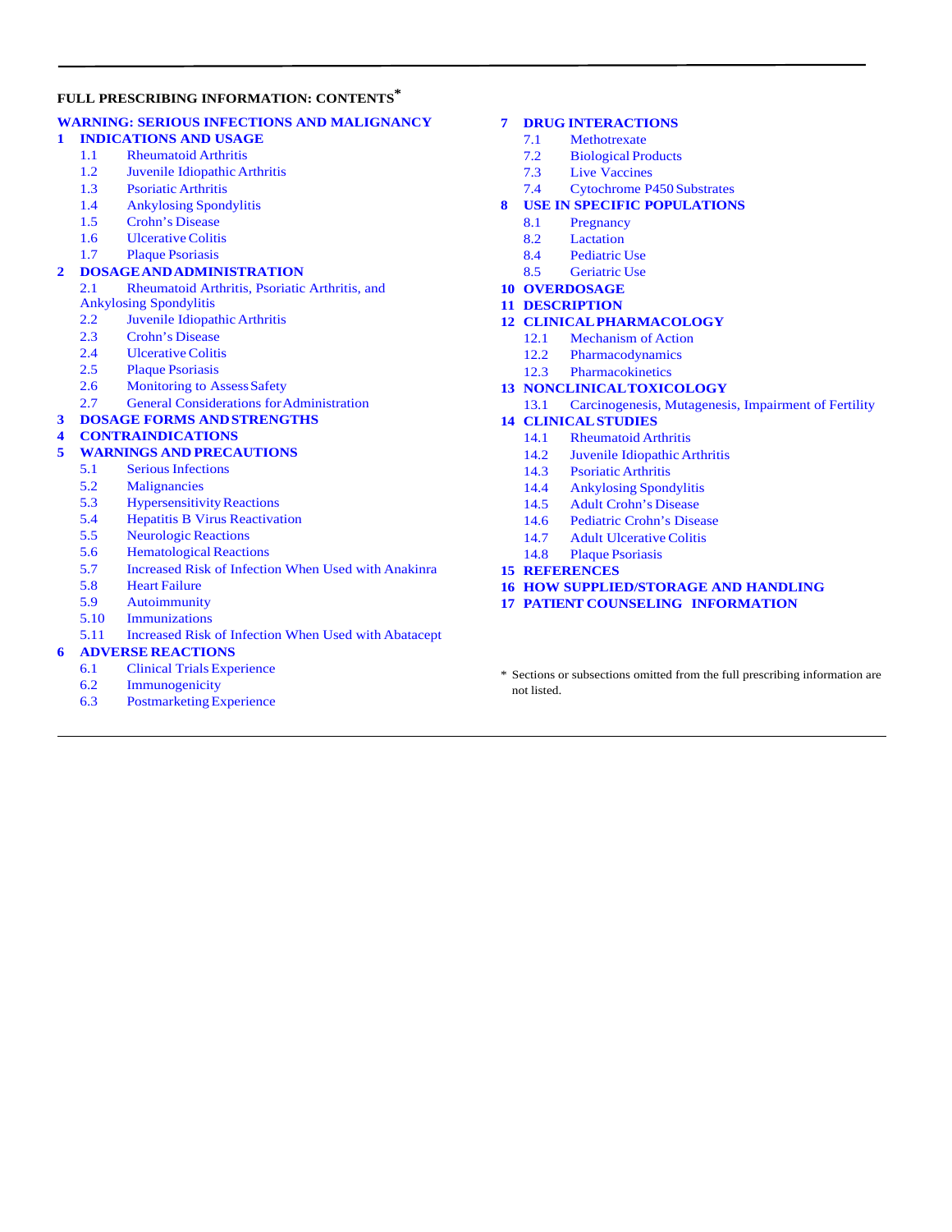#### **FULL PRESCRIBING INFORMATION: CONTENTS\***

#### **[WARNING:](#page-2-0) SERIOUS INFECTIONS AND MALIGNANCY**

#### **1 [INDICATIONS AND USAGE](#page-3-9)**

- 1.1 [Rheumatoid Arthritis](#page-3-0)
- 1.2 [Juvenile Idiopathic](#page-3-1) Arthritis
- 1.3 [Psoriatic Arthritis](#page-3-2)
- 1.4 [Ankylosing Spondylitis](#page-3-3)
- 1.5 [Crohn's Disease](#page-3-4)
- 1.6 [Ulcerative](#page-3-5) Colitis
- 1.7 [Plaque Psoriasis](#page-3-6)

#### **2 [DOSAGEANDADMINISTRATION](#page-3-7)**

- 2.1 [Rheumatoid Arthritis, Psoriatic Arthritis, and](#page-3-8)  [Ankylosing Spondylitis](#page-3-8)
- 2.2 [Juvenile Idiopathic](#page-4-0) Arthritis
- 2.3 [Crohn's Disease](#page-4-1)<br>2.4 Ulcerative Colitis
- **[Ulcerative](#page-4-2) Colitis**
- 2.5 [Plaque Psoriasis](#page-4-3)
- 2.6 Monitoring to Assess Safety
- 2.7 [General Considerations forAdministration](#page-5-4)

#### **3 [DOSAGE FORMS ANDSTRENGTHS](#page-5-1)**

#### **4 [CONTRAINDICATIONS](#page-5-2)**

#### **5 [WARNINGS AND](#page-5-5) PRECAUTIONS**

- 5.1 [Serious Infections](#page-5-0)
- 5.2 [Malignancies](#page-7-0)
- 5.3 [Hypersensitivity Reactions](#page-8-0)
- 5.4 [Hepatitis B Virus Reactivation](#page-8-1)
- 5.5 [Neurologic Reactions](#page-8-2)
- 5.6 [Hematological Reactions](#page-9-0)
- 5.7 [Increased Risk of Infection When Used with Anakinra](#page-9-4)
- **Heart [Failure](#page-9-1)**
- 5.9 [Autoimmunity](#page-9-2)
- 5.10 [Immunizations](#page-9-5)
- 5.11 Increased Risk of [Infection When Used with](#page-9-3) Abatacept

#### **6 ADVERSE [REACTIONS](#page-10-1)**

- 6.1 [Clinical Trials Experience](#page-10-0)
- 6.2 [Immunogenicity](#page-14-0)
- 6.3 [Postmarketing Experience](#page-15-0)

#### **7 DRUG [INTERACTIONS](#page-16-2)**

- 7.1 [Methotrexate](#page-16-3)
- 7.2 [Biological Products](#page-16-0)
- 7.3 [Live Vaccines](#page-16-1)
- 7.4 [Cytochrome P450 Substrates](#page-16-4)
- **8 [USE IN SPECIFIC](#page-16-5) POPULATIONS**
	- 8.1 [Pregnancy](#page-16-6)
	- 8.2 [Lactation](#page-18-0)
	- 8.4 [Pediatric Use](#page-18-1)
	- 8.5 [Geriatric](#page-19-0) Use
- **10 [OVERDOSAGE](#page-19-1)**
- **11 [DESCRIPTION](#page-19-2)**
- **12 [CLINICALPHARMACOLOGY](#page-19-3)**
	- 12.1 [Mechanism of](#page-19-4) Action
	- 12.2 [Pharmacodynamics](#page-20-0)<br>12.3 Pharmacokinetics
	- **[Pharmacokinetics](#page-20-1)**
- **13 [NONCLINICALTOXICOLOGY](#page-22-0)**
	- 13.1 [Carcinogenesis, Mutagenesis, Impairment of Fertility](#page-22-1)
- **14 [CLINICALSTUDIES](#page-22-2)**
	- 14.1 [Rheumatoid Arthritis](#page-22-3)
	- 14.2 [Juvenile Idiopathic](#page-26-0) Arthritis
	- 14.3 [Psoriatic](#page-27-0) Arthritis
	- 14.4 [Ankylosing Spondylitis](#page-29-0)
	- 14.5 [Adult Crohn's](#page-30-0) Disease
	- 14.6 [Pediatric Crohn's Disease](#page-32-0)
	- 14.7 [Adult Ulcerative](#page-33-0) Colitis
	- 14.8 [Plaque Psoriasis](#page-34-0)
- **15 [REFERENCES](#page-36-1)**
- **16 [HOW SUPPLIED/STORAGE AND HANDLING](#page-36-2)**
- **17 [PATIENT COUNSELING INFORMATION](#page-36-0)**
- \* Sections or subsections omitted from the full prescribing information are not listed.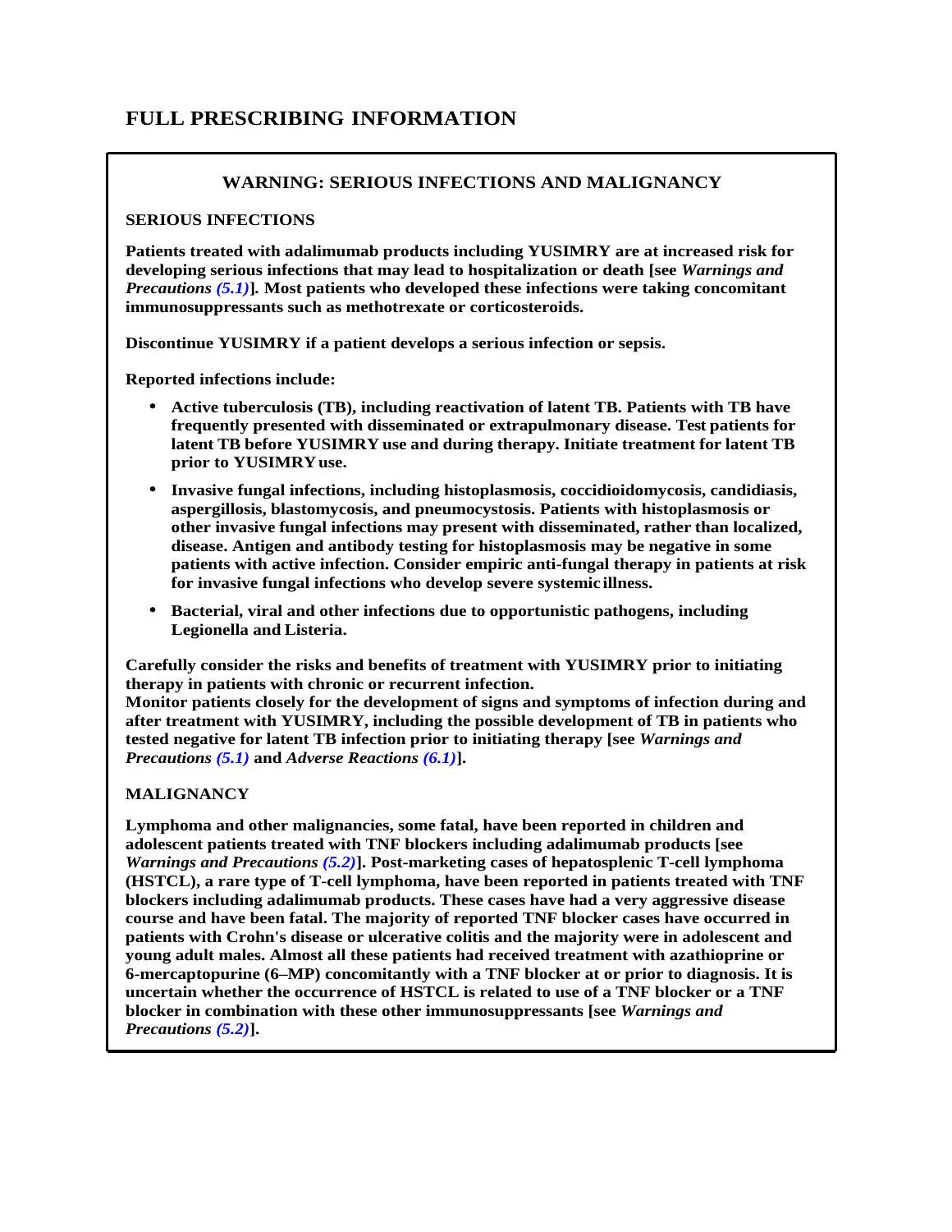# <span id="page-2-0"></span>**FULL PRESCRIBING INFORMATION**

## **WARNING: SERIOUS INFECTIONS AND MALIGNANCY**

#### **SERIOUS INFECTIONS**

**Patients treated with adalimumab products including YUSIMRY are at increased risk for developing serious infections that may lead to hospitalization or death [see** *Warnings and Precautions [\(5.1\)](#page-5-0)***]***.* **Most patients who developed these infections were taking concomitant immunosuppressants such as methotrexate or corticosteroids.**

**Discontinue YUSIMRY if a patient develops a serious infection or sepsis.** 

**Reported infections include:**

- **Active tuberculosis (TB), including reactivation of latent TB. Patients with TB have frequently presented with disseminated or extrapulmonary disease. Test patients for latent TB before YUSIMRY use and during therapy. Initiate treatment for latent TB prior to YUSIMRYuse.**
- **Invasive fungal infections, including histoplasmosis, coccidioidomycosis, candidiasis, aspergillosis, blastomycosis, and pneumocystosis. Patients with histoplasmosis or other invasive fungal infections may present with disseminated, rather than localized, disease. Antigen and antibody testing for histoplasmosis may be negative in some patients with active infection. Consider empiric anti-fungal therapy in patients at risk for invasive fungal infections who develop severe systemic illness.**
- **Bacterial, viral and other infections due to opportunistic pathogens, including Legionella and Listeria.**

**Carefully consider the risks and benefits of treatment with YUSIMRY prior to initiating therapy in patients with chronic or recurrent infection.**

**Monitor patients closely for the development of signs and symptoms of infection during and after treatment with YUSIMRY, including the possible development of TB in patients who tested negative for latent TB infection prior to initiating therapy [see** *Warnings and Precautions [\(5.1\)](#page-5-0)* **and** *Adverse Reactions [\(6.1\)](#page-10-0)***].**

## **MALIGNANCY**

**Lymphoma and other malignancies, some fatal, have been reported in children and adolescent patients treated with TNF blockers including adalimumab products [see**  *Warnings and Precautions [\(5.2\)](#page-7-0)***]. Post-marketing cases of hepatosplenic T-cell lymphoma (HSTCL), a rare type of T-cell lymphoma, have been reported in patients treated with TNF blockers including adalimumab products. These cases have had a very aggressive disease course and have been fatal. The majority of reported TNF blocker cases have occurred in patients with Crohn's disease or ulcerative colitis and the majority were in adolescent and young adult males. Almost all these patients had received treatment with azathioprine or 6-mercaptopurine (6–MP) concomitantly with a TNF blocker at or prior to diagnosis. It is uncertain whether the occurrence of HSTCL is related to use of a TNF blocker or a TNF blocker in combination with these other immunosuppressants [see** *Warnings and Precautions [\(5.2\)](#page-7-0)***].**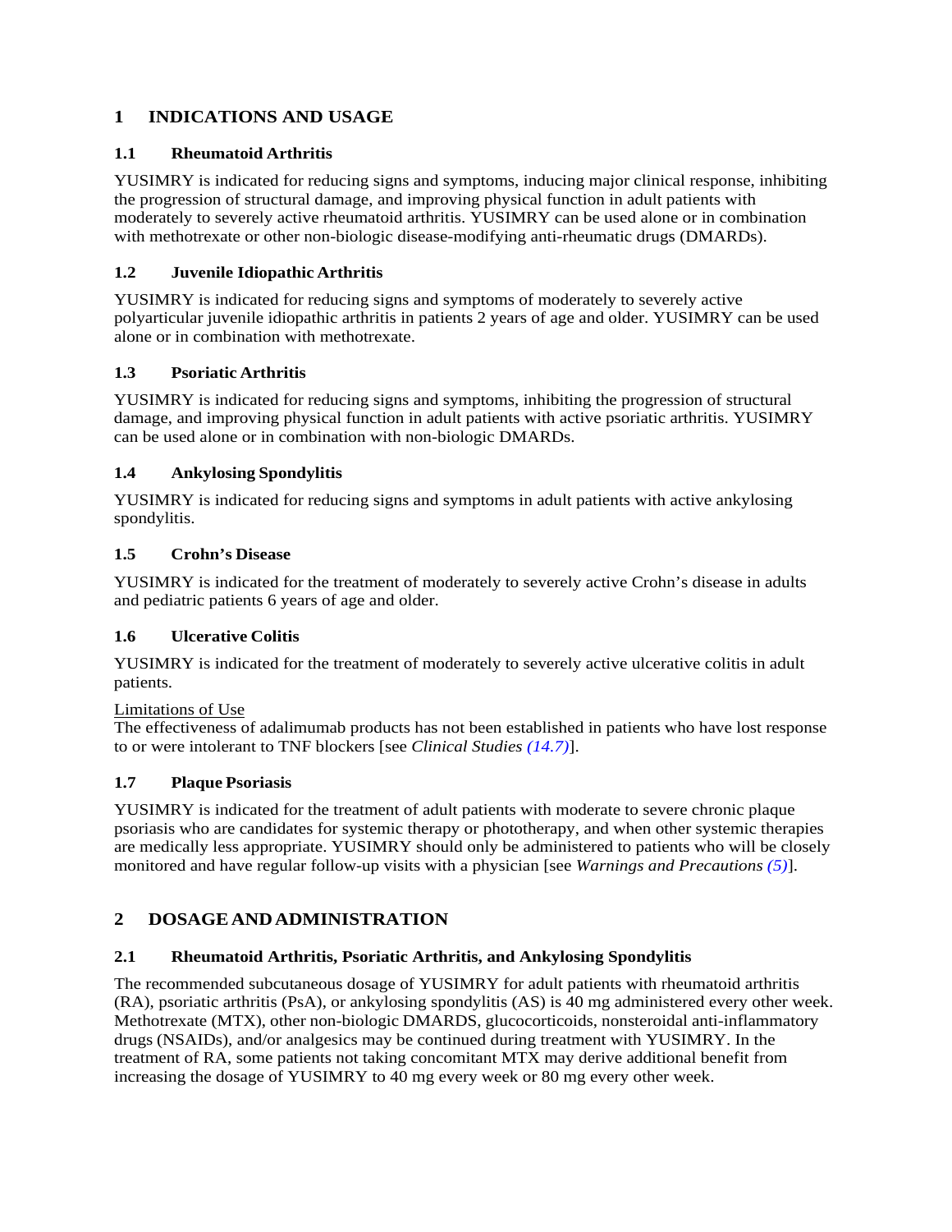# <span id="page-3-9"></span><span id="page-3-0"></span>**1 INDICATIONS AND USAGE**

## **1.1 Rheumatoid Arthritis**

<span id="page-3-1"></span>YUSIMRY is indicated for reducing signs and symptoms, inducing major clinical response, inhibiting the progression of structural damage, and improving physical function in adult patients with moderately to severely active rheumatoid arthritis. YUSIMRY can be used alone or in combination with methotrexate or other non-biologic disease-modifying anti-rheumatic drugs (DMARDs).

## **1.2 Juvenile Idiopathic Arthritis**

<span id="page-3-2"></span>YUSIMRY is indicated for reducing signs and symptoms of moderately to severely active polyarticular juvenile idiopathic arthritis in patients 2 years of age and older. YUSIMRY can be used alone or in combination with methotrexate.

## **1.3 Psoriatic Arthritis**

<span id="page-3-3"></span>YUSIMRY is indicated for reducing signs and symptoms, inhibiting the progression of structural damage, and improving physical function in adult patients with active psoriatic arthritis. YUSIMRY can be used alone or in combination with non-biologic DMARDs.

## **1.4 Ankylosing Spondylitis**

<span id="page-3-4"></span>YUSIMRY is indicated for reducing signs and symptoms in adult patients with active ankylosing spondylitis.

## **1.5 Crohn's Disease**

<span id="page-3-5"></span>YUSIMRY is indicated for the treatment of moderately to severely active Crohn's disease in adults and pediatric patients 6 years of age and older.

## **1.6 Ulcerative Colitis**

YUSIMRY is indicated for the treatment of moderately to severely active ulcerative colitis in adult patients.

## Limitations of Use

<span id="page-3-6"></span>The effectiveness of adalimumab products has not been established in patients who have lost response to or were intolerant to TNF blockers [see *Clinical Studies [\(14.7\)](#page-33-0)*].

## **1.7 Plaque Psoriasis**

YUSIMRY is indicated for the treatment of adult patients with moderate to severe chronic plaque psoriasis who are candidates for systemic therapy or phototherapy, and when other systemic therapies are medically less appropriate. YUSIMRY should only be administered to patients who will be closely monitored and have regular follow-up visits with a physician [see *Warnings and Precautions [\(5\)](#page-5-5)*].

## <span id="page-3-8"></span><span id="page-3-7"></span>**2 DOSAGEANDADMINISTRATION**

## **2.1 Rheumatoid Arthritis, Psoriatic Arthritis, and Ankylosing Spondylitis**

The recommended subcutaneous dosage of YUSIMRY for adult patients with rheumatoid arthritis (RA), psoriatic arthritis (PsA), or ankylosing spondylitis (AS) is 40 mg administered every other week. Methotrexate (MTX), other non-biologic DMARDS, glucocorticoids, nonsteroidal anti-inflammatory drugs (NSAIDs), and/or analgesics may be continued during treatment with YUSIMRY. In the treatment of RA, some patients not taking concomitant MTX may derive additional benefit from increasing the dosage of YUSIMRY to 40 mg every week or 80 mg every other week.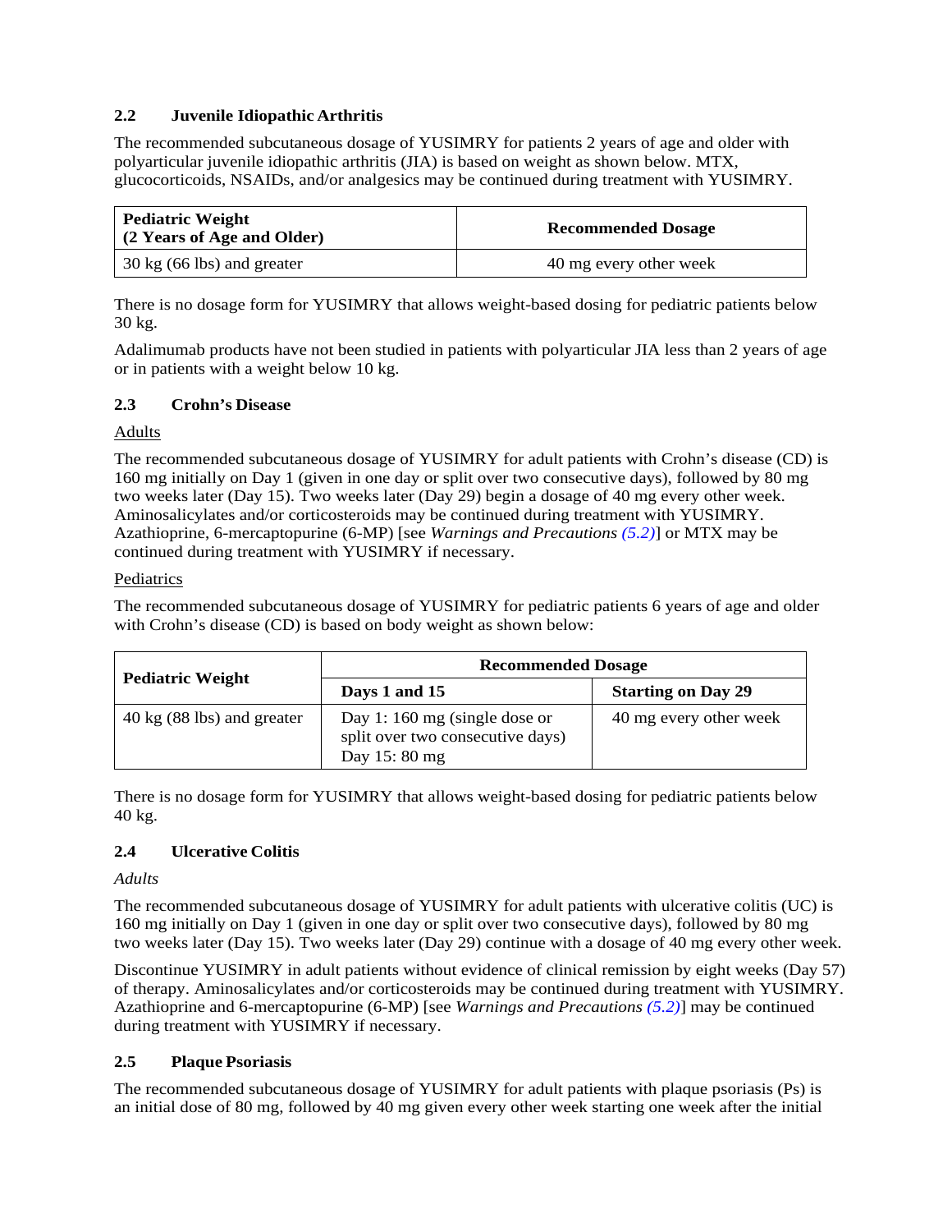## <span id="page-4-0"></span>**2.2 Juvenile Idiopathic Arthritis**

The recommended subcutaneous dosage of YUSIMRY for patients 2 years of age and older with polyarticular juvenile idiopathic arthritis (JIA) is based on weight as shown below. MTX, glucocorticoids, NSAIDs, and/or analgesics may be continued during treatment with YUSIMRY.

| <b>Pediatric Weight</b><br>(2 Years of Age and Older) | <b>Recommended Dosage</b> |
|-------------------------------------------------------|---------------------------|
| $30 \text{ kg}$ (66 lbs) and greater                  | 40 mg every other week    |

There is no dosage form for YUSIMRY that allows weight-based dosing for pediatric patients below 30 kg.

<span id="page-4-1"></span>Adalimumab products have not been studied in patients with polyarticular JIA less than 2 years of age or in patients with a weight below 10 kg.

## **2.3 Crohn's Disease**

#### Adults

The recommended subcutaneous dosage of YUSIMRY for adult patients with Crohn's disease (CD) is 160 mg initially on Day 1 (given in one day or split over two consecutive days), followed by 80 mg two weeks later (Day 15). Two weeks later (Day 29) begin a dosage of 40 mg every other week. Aminosalicylates and/or corticosteroids may be continued during treatment with YUSIMRY. Azathioprine, 6-mercaptopurine (6-MP) [see *Warnings and Precautions [\(5.2\)](#page-7-0)*] or MTX may be continued during treatment with YUSIMRY if necessary.

#### Pediatrics

The recommended subcutaneous dosage of YUSIMRY for pediatric patients 6 years of age and older with Crohn's disease (CD) is based on body weight as shown below:

|                                      | <b>Recommended Dosage</b>                                                         |                        |  |  |
|--------------------------------------|-----------------------------------------------------------------------------------|------------------------|--|--|
| <b>Pediatric Weight</b>              | <b>Starting on Day 29</b><br>Days 1 and 15                                        |                        |  |  |
| $40 \text{ kg}$ (88 lbs) and greater | Day 1:160 mg (single dose or<br>split over two consecutive days)<br>Day 15: 80 mg | 40 mg every other week |  |  |

<span id="page-4-2"></span>There is no dosage form for YUSIMRY that allows weight-based dosing for pediatric patients below 40 kg.

## **2.4 Ulcerative Colitis**

## *Adults*

The recommended subcutaneous dosage of YUSIMRY for adult patients with ulcerative colitis (UC) is 160 mg initially on Day 1 (given in one day or split over two consecutive days), followed by 80 mg two weeks later (Day 15). Two weeks later (Day 29) continue with a dosage of 40 mg every other week.

Discontinue YUSIMRY in adult patients without evidence of clinical remission by eight weeks (Day 57) of therapy. Aminosalicylates and/or corticosteroids may be continued during treatment with YUSIMRY. Azathioprine and 6-mercaptopurine (6-MP) [see *Warnings and Precautions [\(5.2\)](#page-7-0)*] may be continued during treatment with YUSIMRY if necessary.

## <span id="page-4-3"></span>**2.5 Plaque Psoriasis**

The recommended subcutaneous dosage of YUSIMRY for adult patients with plaque psoriasis (Ps) is an initial dose of 80 mg, followed by 40 mg given every other week starting one week after the initial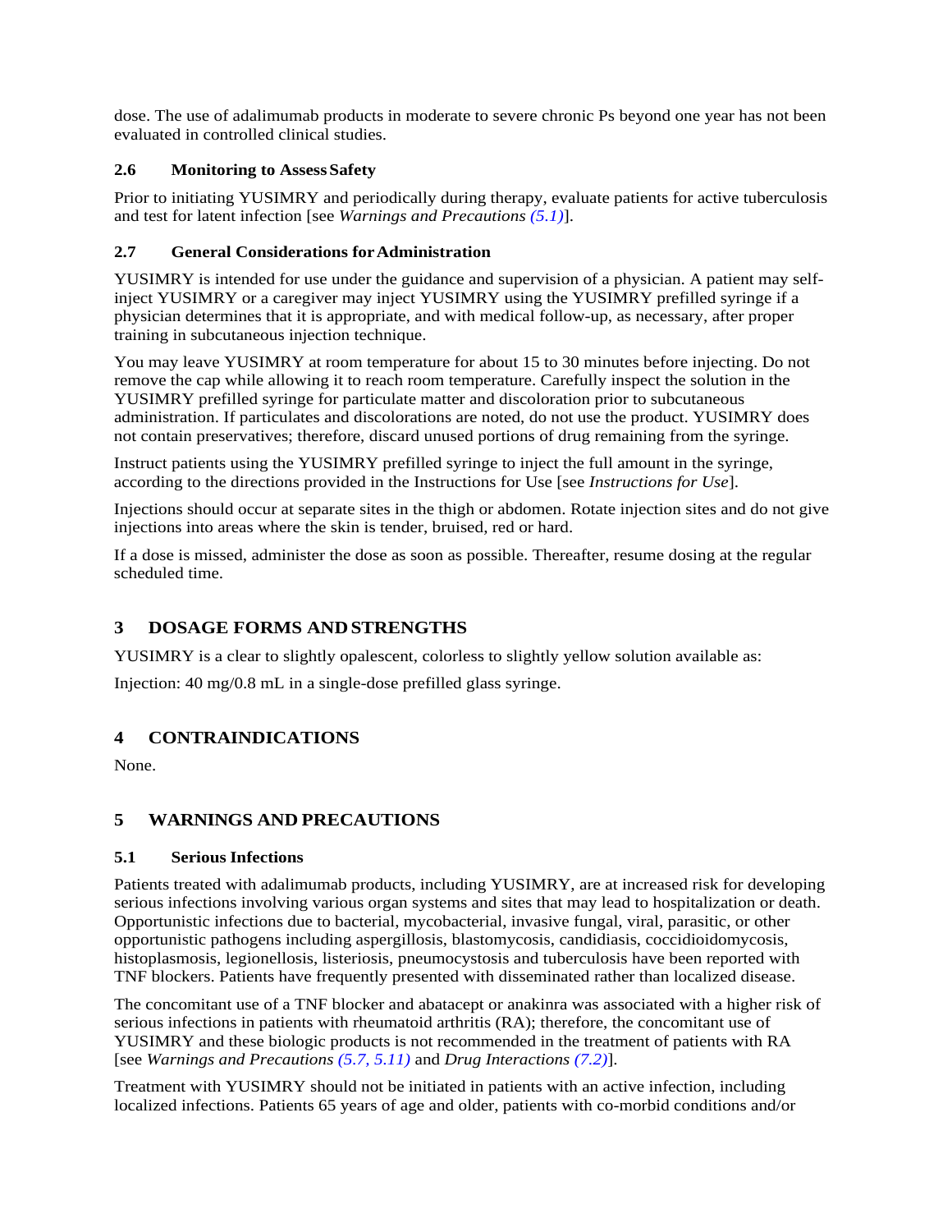<span id="page-5-3"></span>dose. The use of adalimumab products in moderate to severe chronic Ps beyond one year has not been evaluated in controlled clinical studies.

## <span id="page-5-4"></span>**2.6 Monitoring to Assess Safety**

Prior to initiating YUSIMRY and periodically during therapy, evaluate patients for active tuberculosis and test for latent infection [see *Warnings and Precautions [\(5.1\)](#page-5-0)*].

#### **2.7 General Considerations forAdministration**

YUSIMRY is intended for use under the guidance and supervision of a physician. A patient may selfinject YUSIMRY or a caregiver may inject YUSIMRY using the YUSIMRY prefilled syringe if a physician determines that it is appropriate, and with medical follow-up, as necessary, after proper training in subcutaneous injection technique.

You may leave YUSIMRY at room temperature for about 15 to 30 minutes before injecting. Do not remove the cap while allowing it to reach room temperature. Carefully inspect the solution in the YUSIMRY prefilled syringe for particulate matter and discoloration prior to subcutaneous administration. If particulates and discolorations are noted, do not use the product. YUSIMRY does not contain preservatives; therefore, discard unused portions of drug remaining from the syringe.

Instruct patients using the YUSIMRY prefilled syringe to inject the full amount in the syringe, according to the directions provided in the Instructions for Use [see *Instructions for Use*].

Injections should occur at separate sites in the thigh or abdomen. Rotate injection sites and do not give injections into areas where the skin is tender, bruised, red or hard.

<span id="page-5-1"></span>If a dose is missed, administer the dose as soon as possible. Thereafter, resume dosing at the regular scheduled time.

## **3 DOSAGE FORMS ANDSTRENGTHS**

YUSIMRY is a clear to slightly opalescent, colorless to slightly yellow solution available as:

<span id="page-5-2"></span>Injection: 40 mg/0.8 mL in a single-dose prefilled glass syringe.

## **4 CONTRAINDICATIONS**

<span id="page-5-5"></span>None.

## <span id="page-5-0"></span>**5 WARNINGS AND PRECAUTIONS**

#### **5.1 Serious Infections**

Patients treated with adalimumab products, including YUSIMRY, are at increased risk for developing serious infections involving various organ systems and sites that may lead to hospitalization or death. Opportunistic infections due to bacterial, mycobacterial, invasive fungal, viral, parasitic, or other opportunistic pathogens including aspergillosis, blastomycosis, candidiasis, coccidioidomycosis, histoplasmosis, legionellosis, listeriosis, pneumocystosis and tuberculosis have been reported with TNF blockers. Patients have frequently presented with disseminated rather than localized disease.

The concomitant use of a TNF blocker and abatacept or anakinra was associated with a higher risk of serious infections in patients with rheumatoid arthritis (RA); therefore, the concomitant use of YUSIMRY and these biologic products is not recommended in the treatment of patients with RA [see *Warnings and Precautions [\(5.7,](#page-9-4) [5.11\)](#page-9-3)* and *Drug Interactions [\(7.2\)](#page-16-0)*].

Treatment with YUSIMRY should not be initiated in patients with an active infection, including localized infections. Patients 65 years of age and older, patients with co-morbid conditions and/or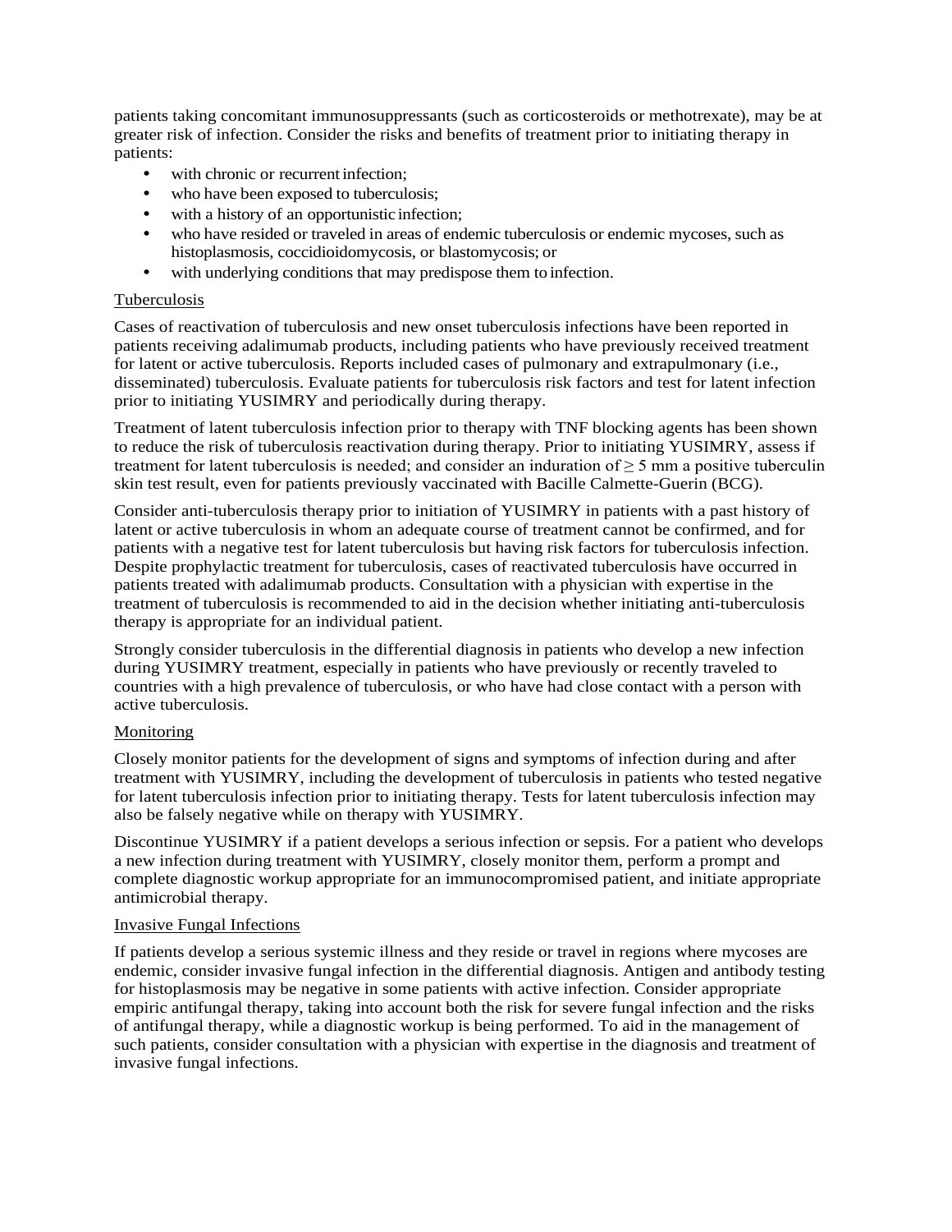patients taking concomitant immunosuppressants (such as corticosteroids or methotrexate), may be at greater risk of infection. Consider the risks and benefits of treatment prior to initiating therapy in patients:

- with chronic or recurrent infection:
- who have been exposed to tuberculosis;
- with a history of an opportunistic infection;
- who have resided or traveled in areas of endemic tuberculosis or endemic mycoses, such as histoplasmosis, coccidioidomycosis, or blastomycosis; or
- with underlying conditions that may predispose them to infection.

#### Tuberculosis

Cases of reactivation of tuberculosis and new onset tuberculosis infections have been reported in patients receiving adalimumab products, including patients who have previously received treatment for latent or active tuberculosis. Reports included cases of pulmonary and extrapulmonary (i.e., disseminated) tuberculosis. Evaluate patients for tuberculosis risk factors and test for latent infection prior to initiating YUSIMRY and periodically during therapy.

Treatment of latent tuberculosis infection prior to therapy with TNF blocking agents has been shown to reduce the risk of tuberculosis reactivation during therapy. Prior to initiating YUSIMRY, assess if treatment for latent tuberculosis is needed; and consider an induration of  $\geq$  5 mm a positive tuberculin skin test result, even for patients previously vaccinated with Bacille Calmette-Guerin (BCG).

Consider anti-tuberculosis therapy prior to initiation of YUSIMRY in patients with a past history of latent or active tuberculosis in whom an adequate course of treatment cannot be confirmed, and for patients with a negative test for latent tuberculosis but having risk factors for tuberculosis infection. Despite prophylactic treatment for tuberculosis, cases of reactivated tuberculosis have occurred in patients treated with adalimumab products. Consultation with a physician with expertise in the treatment of tuberculosis is recommended to aid in the decision whether initiating anti-tuberculosis therapy is appropriate for an individual patient.

Strongly consider tuberculosis in the differential diagnosis in patients who develop a new infection during YUSIMRY treatment, especially in patients who have previously or recently traveled to countries with a high prevalence of tuberculosis, or who have had close contact with a person with active tuberculosis.

#### Monitoring

Closely monitor patients for the development of signs and symptoms of infection during and after treatment with YUSIMRY, including the development of tuberculosis in patients who tested negative for latent tuberculosis infection prior to initiating therapy. Tests for latent tuberculosis infection may also be falsely negative while on therapy with YUSIMRY.

Discontinue YUSIMRY if a patient develops a serious infection or sepsis. For a patient who develops a new infection during treatment with YUSIMRY, closely monitor them, perform a prompt and complete diagnostic workup appropriate for an immunocompromised patient, and initiate appropriate antimicrobial therapy.

#### Invasive Fungal Infections

If patients develop a serious systemic illness and they reside or travel in regions where mycoses are endemic, consider invasive fungal infection in the differential diagnosis. Antigen and antibody testing for histoplasmosis may be negative in some patients with active infection. Consider appropriate empiric antifungal therapy, taking into account both the risk for severe fungal infection and the risks of antifungal therapy, while a diagnostic workup is being performed. To aid in the management of such patients, consider consultation with a physician with expertise in the diagnosis and treatment of invasive fungal infections.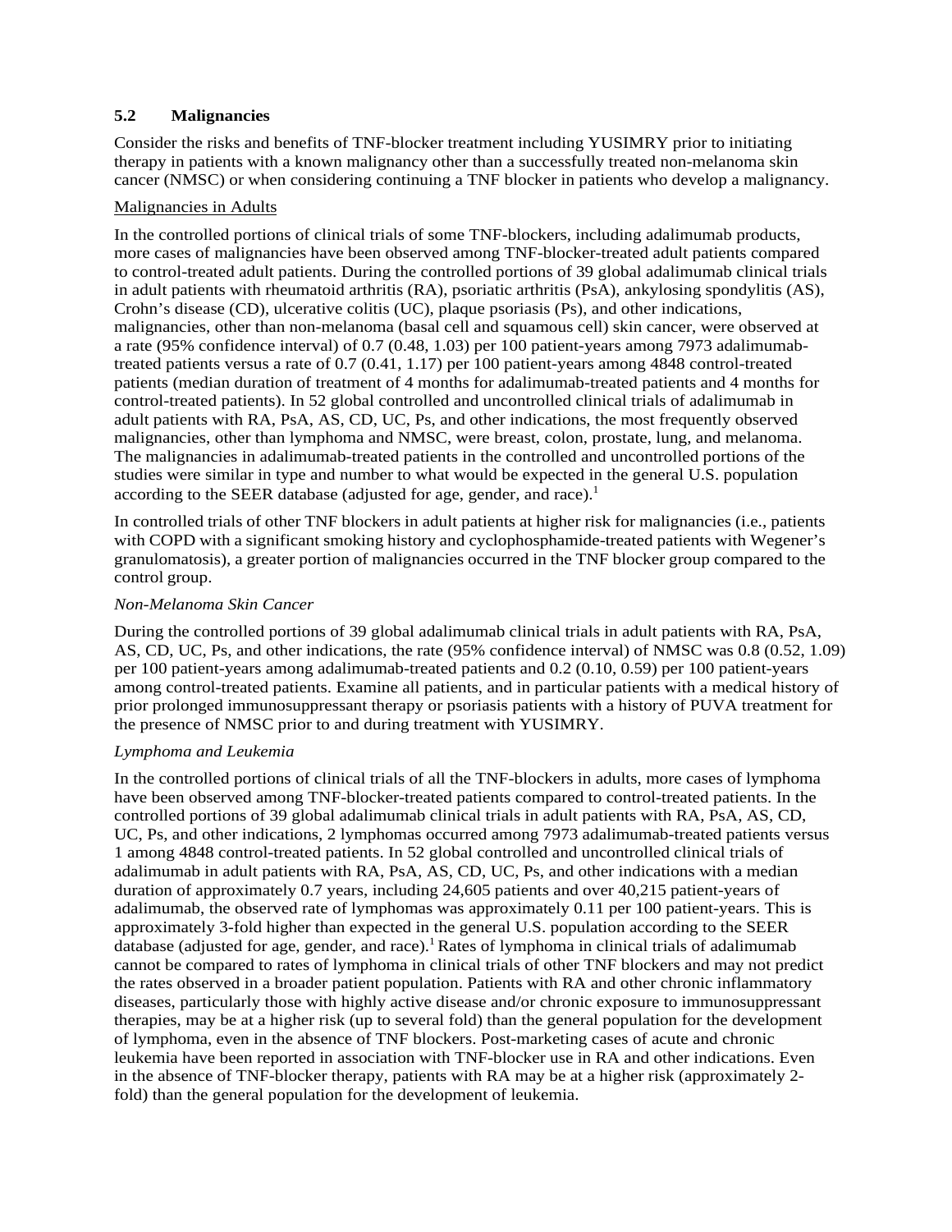## <span id="page-7-0"></span>**5.2 Malignancies**

Consider the risks and benefits of TNF-blocker treatment including YUSIMRY prior to initiating therapy in patients with a known malignancy other than a successfully treated non-melanoma skin cancer (NMSC) or when considering continuing a TNF blocker in patients who develop a malignancy.

#### Malignancies in Adults

In the controlled portions of clinical trials of some TNF-blockers, including adalimumab products, more cases of malignancies have been observed among TNF-blocker-treated adult patients compared to control-treated adult patients. During the controlled portions of 39 global adalimumab clinical trials in adult patients with rheumatoid arthritis (RA), psoriatic arthritis (PsA), ankylosing spondylitis (AS), Crohn's disease (CD), ulcerative colitis (UC), plaque psoriasis (Ps), and other indications, malignancies, other than non-melanoma (basal cell and squamous cell) skin cancer, were observed at a rate (95% confidence interval) of 0.7 (0.48, 1.03) per 100 patient-years among 7973 adalimumabtreated patients versus a rate of 0.7 (0.41, 1.17) per 100 patient-years among 4848 control-treated patients (median duration of treatment of 4 months for adalimumab-treated patients and 4 months for control-treated patients). In 52 global controlled and uncontrolled clinical trials of adalimumab in adult patients with RA, PsA, AS, CD, UC, Ps, and other indications, the most frequently observed malignancies, other than lymphoma and NMSC, were breast, colon, prostate, lung, and melanoma. The malignancies in adalimumab-treated patients in the controlled and uncontrolled portions of the studies were similar in type and number to what would be expected in the general U.S. population according to the SEER database (adjusted for age, gender, and race). $<sup>1</sup>$ </sup>

In controlled trials of other TNF blockers in adult patients at higher risk for malignancies (i.e., patients with COPD with a significant smoking history and cyclophosphamide-treated patients with Wegener's granulomatosis), a greater portion of malignancies occurred in the TNF blocker group compared to the control group.

#### *Non-Melanoma Skin Cancer*

During the controlled portions of 39 global adalimumab clinical trials in adult patients with RA, PsA, AS, CD, UC, Ps, and other indications, the rate (95% confidence interval) of NMSC was 0.8 (0.52, 1.09) per 100 patient-years among adalimumab-treated patients and 0.2 (0.10, 0.59) per 100 patient-years among control-treated patients. Examine all patients, and in particular patients with a medical history of prior prolonged immunosuppressant therapy or psoriasis patients with a history of PUVA treatment for the presence of NMSC prior to and during treatment with YUSIMRY.

#### *Lymphoma and Leukemia*

In the controlled portions of clinical trials of all the TNF-blockers in adults, more cases of lymphoma have been observed among TNF-blocker-treated patients compared to control-treated patients. In the controlled portions of 39 global adalimumab clinical trials in adult patients with RA, PsA, AS, CD, UC, Ps, and other indications, 2 lymphomas occurred among 7973 adalimumab-treated patients versus 1 among 4848 control-treated patients. In 52 global controlled and uncontrolled clinical trials of adalimumab in adult patients with RA, PsA, AS, CD, UC, Ps, and other indications with a median duration of approximately 0.7 years, including 24,605 patients and over 40,215 patient-years of adalimumab, the observed rate of lymphomas was approximately 0.11 per 100 patient-years. This is approximately 3-fold higher than expected in the general U.S. population according to the SEER database (adjusted for age, gender, and race).<sup>1</sup> Rates of lymphoma in clinical trials of adalimumab cannot be compared to rates of lymphoma in clinical trials of other TNF blockers and may not predict the rates observed in a broader patient population. Patients with RA and other chronic inflammatory diseases, particularly those with highly active disease and/or chronic exposure to immunosuppressant therapies, may be at a higher risk (up to several fold) than the general population for the development of lymphoma, even in the absence of TNF blockers. Post-marketing cases of acute and chronic leukemia have been reported in association with TNF-blocker use in RA and other indications. Even in the absence of TNF-blocker therapy, patients with RA may be at a higher risk (approximately 2 fold) than the general population for the development of leukemia.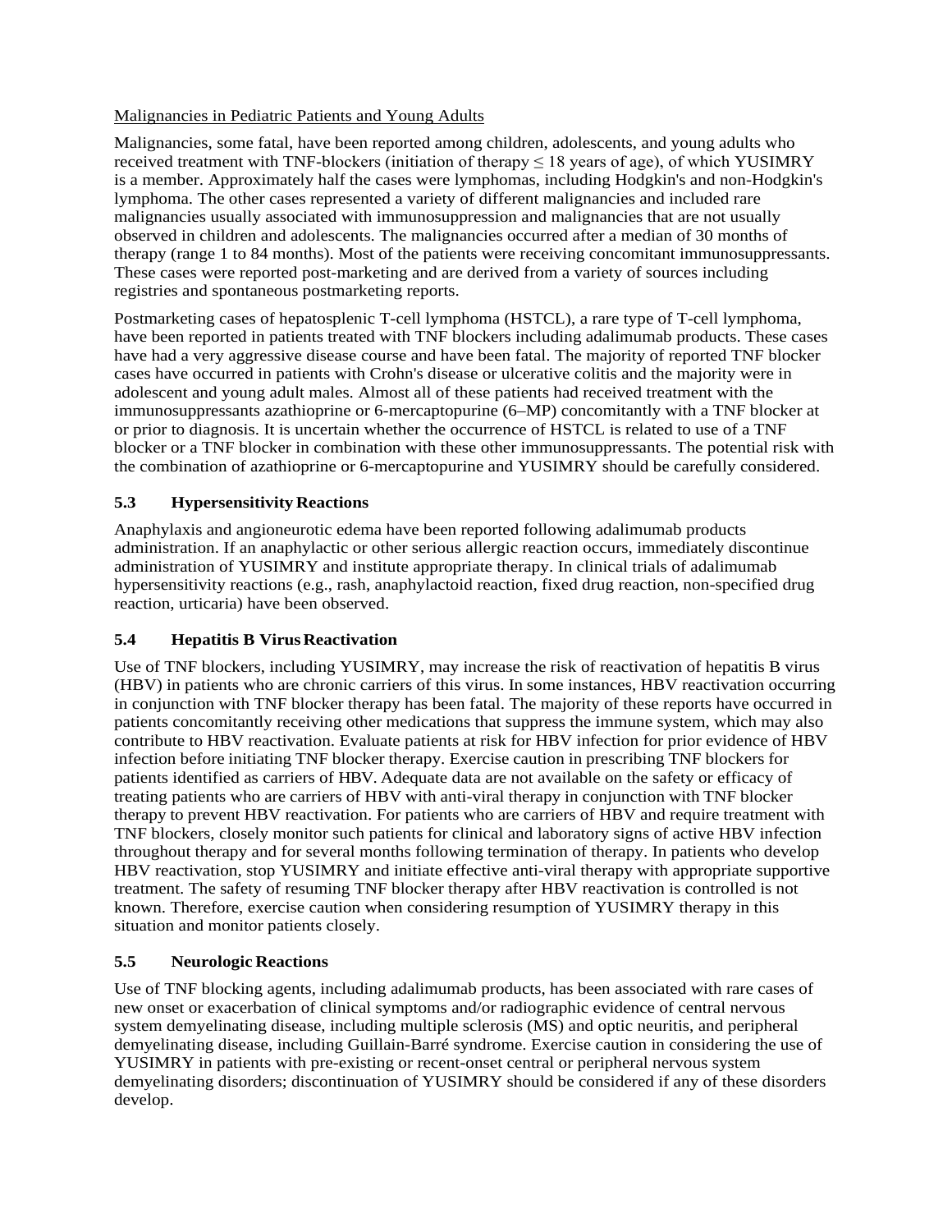#### Malignancies in Pediatric Patients and Young Adults

Malignancies, some fatal, have been reported among children, adolescents, and young adults who received treatment with TNF-blockers (initiation of therapy  $\leq 18$  years of age), of which YUSIMRY is a member. Approximately half the cases were lymphomas, including Hodgkin's and non-Hodgkin's lymphoma. The other cases represented a variety of different malignancies and included rare malignancies usually associated with immunosuppression and malignancies that are not usually observed in children and adolescents. The malignancies occurred after a median of 30 months of therapy (range 1 to 84 months). Most of the patients were receiving concomitant immunosuppressants. These cases were reported post-marketing and are derived from a variety of sources including registries and spontaneous postmarketing reports.

Postmarketing cases of hepatosplenic T-cell lymphoma (HSTCL), a rare type of T-cell lymphoma, have been reported in patients treated with TNF blockers including adalimumab products. These cases have had a very aggressive disease course and have been fatal. The majority of reported TNF blocker cases have occurred in patients with Crohn's disease or ulcerative colitis and the majority were in adolescent and young adult males. Almost all of these patients had received treatment with the immunosuppressants azathioprine or 6-mercaptopurine (6–MP) concomitantly with a TNF blocker at or prior to diagnosis. It is uncertain whether the occurrence of HSTCL is related to use of a TNF blocker or a TNF blocker in combination with these other immunosuppressants. The potential risk with the combination of azathioprine or 6-mercaptopurine and YUSIMRY should be carefully considered.

## <span id="page-8-0"></span>**5.3 Hypersensitivity Reactions**

Anaphylaxis and angioneurotic edema have been reported following adalimumab products administration. If an anaphylactic or other serious allergic reaction occurs, immediately discontinue administration of YUSIMRY and institute appropriate therapy. In clinical trials of adalimumab hypersensitivity reactions (e.g., rash, anaphylactoid reaction, fixed drug reaction, non-specified drug reaction, urticaria) have been observed.

## <span id="page-8-1"></span>**5.4 Hepatitis B VirusReactivation**

Use of TNF blockers, including YUSIMRY, may increase the risk of reactivation of hepatitis B virus (HBV) in patients who are chronic carriers of this virus. In some instances, HBV reactivation occurring in conjunction with TNF blocker therapy has been fatal. The majority of these reports have occurred in patients concomitantly receiving other medications that suppress the immune system, which may also contribute to HBV reactivation. Evaluate patients at risk for HBV infection for prior evidence of HBV infection before initiating TNF blocker therapy. Exercise caution in prescribing TNF blockers for patients identified as carriers of HBV. Adequate data are not available on the safety or efficacy of treating patients who are carriers of HBV with anti-viral therapy in conjunction with TNF blocker therapy to prevent HBV reactivation. For patients who are carriers of HBV and require treatment with TNF blockers, closely monitor such patients for clinical and laboratory signs of active HBV infection throughout therapy and for several months following termination of therapy. In patients who develop HBV reactivation, stop YUSIMRY and initiate effective anti-viral therapy with appropriate supportive treatment. The safety of resuming TNF blocker therapy after HBV reactivation is controlled is not known. Therefore, exercise caution when considering resumption of YUSIMRY therapy in this situation and monitor patients closely.

## <span id="page-8-2"></span>**5.5 Neurologic Reactions**

Use of TNF blocking agents, including adalimumab products, has been associated with rare cases of new onset or exacerbation of clinical symptoms and/or radiographic evidence of central nervous system demyelinating disease, including multiple sclerosis (MS) and optic neuritis, and peripheral demyelinating disease, including Guillain-Barré syndrome. Exercise caution in considering the use of YUSIMRY in patients with pre-existing or recent-onset central or peripheral nervous system demyelinating disorders; discontinuation of YUSIMRY should be considered if any of these disorders develop.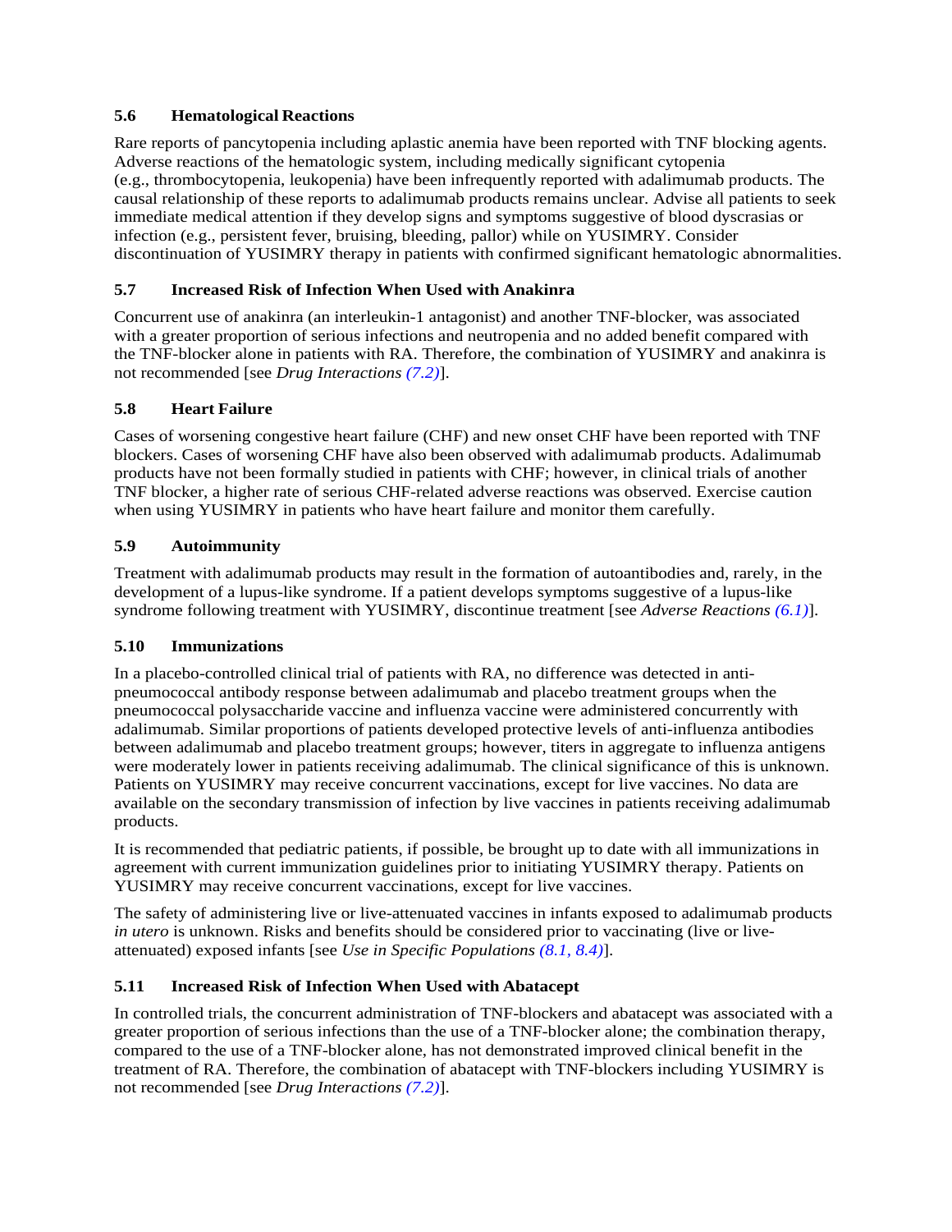## <span id="page-9-0"></span>**5.6 Hematological Reactions**

Rare reports of pancytopenia including aplastic anemia have been reported with TNF blocking agents. Adverse reactions of the hematologic system, including medically significant cytopenia (e.g., thrombocytopenia, leukopenia) have been infrequently reported with adalimumab products. The causal relationship of these reports to adalimumab products remains unclear. Advise all patients to seek immediate medical attention if they develop signs and symptoms suggestive of blood dyscrasias or infection (e.g., persistent fever, bruising, bleeding, pallor) while on YUSIMRY. Consider discontinuation of YUSIMRY therapy in patients with confirmed significant hematologic abnormalities.

## <span id="page-9-4"></span>**5.7 Increased Risk of Infection When Used with Anakinra**

<span id="page-9-1"></span>Concurrent use of anakinra (an interleukin-1 antagonist) and another TNF-blocker, was associated with a greater proportion of serious infections and neutropenia and no added benefit compared with the TNF-blocker alone in patients with RA. Therefore, the combination of YUSIMRY and anakinra is not recommended [see *Drug Interactions [\(7.2\)](#page-16-0)*].

## **5.8 Heart Failure**

Cases of worsening congestive heart failure (CHF) and new onset CHF have been reported with TNF blockers. Cases of worsening CHF have also been observed with adalimumab products. Adalimumab products have not been formally studied in patients with CHF; however, in clinical trials of another TNF blocker, a higher rate of serious CHF-related adverse reactions was observed. Exercise caution when using YUSIMRY in patients who have heart failure and monitor them carefully.

## <span id="page-9-2"></span>**5.9 Autoimmunity**

<span id="page-9-5"></span>Treatment with adalimumab products may result in the formation of autoantibodies and, rarely, in the development of a lupus-like syndrome. If a patient develops symptoms suggestive of a lupus-like syndrome following treatment with YUSIMRY, discontinue treatment [see *Adverse Reactions [\(6.1\)](#page-10-0)*].

## **5.10 Immunizations**

In a placebo-controlled clinical trial of patients with RA, no difference was detected in antipneumococcal antibody response between adalimumab and placebo treatment groups when the pneumococcal polysaccharide vaccine and influenza vaccine were administered concurrently with adalimumab. Similar proportions of patients developed protective levels of anti-influenza antibodies between adalimumab and placebo treatment groups; however, titers in aggregate to influenza antigens were moderately lower in patients receiving adalimumab. The clinical significance of this is unknown. Patients on YUSIMRY may receive concurrent vaccinations, except for live vaccines. No data are available on the secondary transmission of infection by live vaccines in patients receiving adalimumab products.

It is recommended that pediatric patients, if possible, be brought up to date with all immunizations in agreement with current immunization guidelines prior to initiating YUSIMRY therapy. Patients on YUSIMRY may receive concurrent vaccinations, except for live vaccines.

The safety of administering live or live-attenuated vaccines in infants exposed to adalimumab products *in utero* is unknown. Risks and benefits should be considered prior to vaccinating (live or liveattenuated) exposed infants [see *Use in Specific Populations [\(8.1,](#page-16-6) [8.4\)](#page-18-1)*].

## <span id="page-9-3"></span>**5.11 Increased Risk of Infection When Used with Abatacept**

In controlled trials, the concurrent administration of TNF-blockers and abatacept was associated with a greater proportion of serious infections than the use of a TNF-blocker alone; the combination therapy, compared to the use of a TNF-blocker alone, has not demonstrated improved clinical benefit in the treatment of RA. Therefore, the combination of abatacept with TNF-blockers including YUSIMRY is not recommended [see *Drug Interactions [\(7.2\)](#page-16-0)*].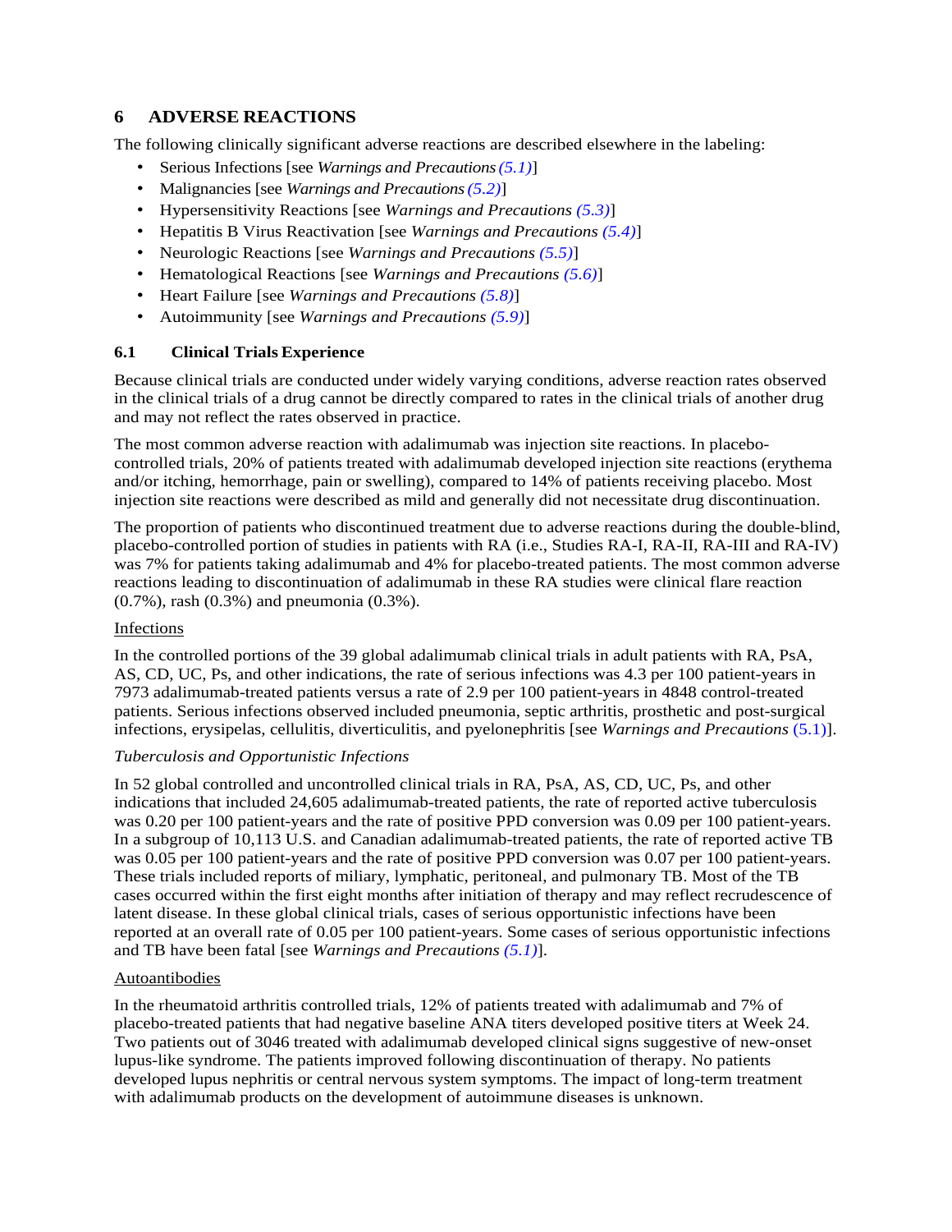## <span id="page-10-1"></span>**6 ADVERSE REACTIONS**

The following clinically significant adverse reactions are described elsewhere in the labeling:

- Serious Infections [see *Warnings and Precautions[\(5.1\)](#page-5-0)*]
- Malignancies [see *Warnings and Precautions[\(5.2\)](#page-7-0)*]
- Hypersensitivity Reactions [see *Warnings and Precautions [\(5.3\)](#page-8-0)*]
- Hepatitis B Virus Reactivation [see *Warnings and Precautions [\(5.4\)](#page-8-1)*]
- Neurologic Reactions [see *Warnings and Precautions [\(5.5\)](#page-8-2)*]
- <span id="page-10-0"></span>• Hematological Reactions [see *Warnings and Precautions [\(5.6\)](#page-9-0)*]
- Heart Failure [see *Warnings and Precautions [\(5.8\)](#page-9-1)*]
- Autoimmunity [see *Warnings and Precautions [\(5.9\)](#page-9-2)*]

#### **6.1 Clinical Trials Experience**

Because clinical trials are conducted under widely varying conditions, adverse reaction rates observed in the clinical trials of a drug cannot be directly compared to rates in the clinical trials of another drug and may not reflect the rates observed in practice.

The most common adverse reaction with adalimumab was injection site reactions. In placebocontrolled trials, 20% of patients treated with adalimumab developed injection site reactions (erythema and/or itching, hemorrhage, pain or swelling), compared to 14% of patients receiving placebo. Most injection site reactions were described as mild and generally did not necessitate drug discontinuation.

The proportion of patients who discontinued treatment due to adverse reactions during the double-blind, placebo-controlled portion of studies in patients with RA (i.e., Studies RA-I, RA-II, RA-III and RA-IV) was 7% for patients taking adalimumab and 4% for placebo-treated patients. The most common adverse reactions leading to discontinuation of adalimumab in these RA studies were clinical flare reaction  $(0.7\%)$ , rash  $(0.3\%)$  and pneumonia  $(0.3\%)$ .

#### Infections

In the controlled portions of the 39 global adalimumab clinical trials in adult patients with RA, PsA, AS, CD, UC, Ps, and other indications, the rate of serious infections was 4.3 per 100 patient-years in 7973 adalimumab-treated patients versus a rate of 2.9 per 100 patient-years in 4848 control-treated patients. Serious infections observed included pneumonia, septic arthritis, prosthetic and post-surgical infections, erysipelas, cellulitis, diverticulitis, and pyelonephritis [see *Warnings and Precautions* [\(5.1\)](#page-5-0)].

#### *Tuberculosis and Opportunistic Infections*

In 52 global controlled and uncontrolled clinical trials in RA, PsA, AS, CD, UC, Ps, and other indications that included 24,605 adalimumab-treated patients, the rate of reported active tuberculosis was 0.20 per 100 patient-years and the rate of positive PPD conversion was 0.09 per 100 patient-years. In a subgroup of 10,113 U.S. and Canadian adalimumab-treated patients, the rate of reported active TB was 0.05 per 100 patient-years and the rate of positive PPD conversion was 0.07 per 100 patient-years. These trials included reports of miliary, lymphatic, peritoneal, and pulmonary TB. Most of the TB cases occurred within the first eight months after initiation of therapy and may reflect recrudescence of latent disease. In these global clinical trials, cases of serious opportunistic infections have been reported at an overall rate of 0.05 per 100 patient-years. Some cases of serious opportunistic infections and TB have been fatal [see *Warnings and Precautions [\(5.1\)](#page-5-0)*].

#### Autoantibodies

In the rheumatoid arthritis controlled trials, 12% of patients treated with adalimumab and 7% of placebo-treated patients that had negative baseline ANA titers developed positive titers at Week 24. Two patients out of 3046 treated with adalimumab developed clinical signs suggestive of new-onset lupus-like syndrome. The patients improved following discontinuation of therapy. No patients developed lupus nephritis or central nervous system symptoms. The impact of long-term treatment with adalimumab products on the development of autoimmune diseases is unknown.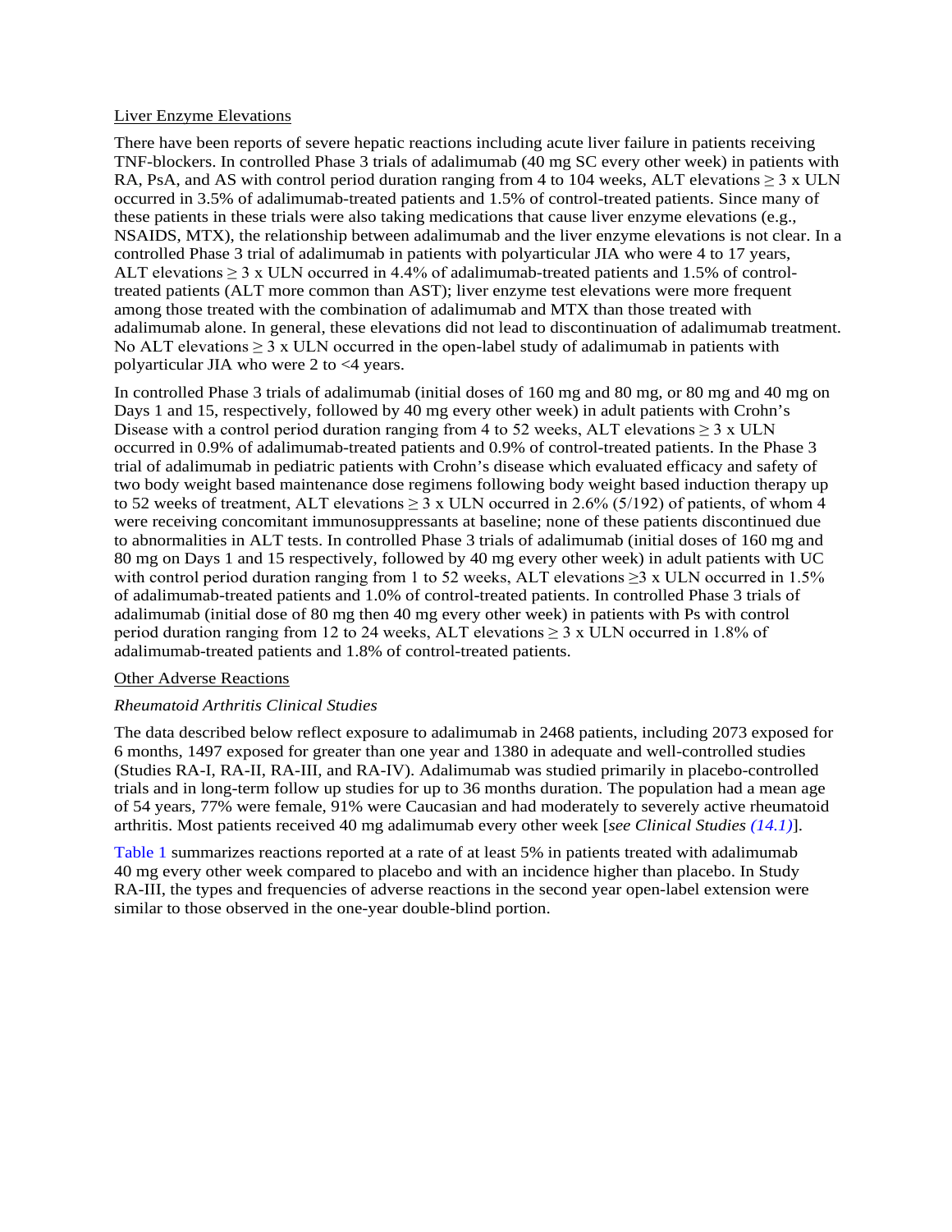#### Liver Enzyme Elevations

There have been reports of severe hepatic reactions including acute liver failure in patients receiving TNF-blockers. In controlled Phase 3 trials of adalimumab (40 mg SC every other week) in patients with RA, PsA, and AS with control period duration ranging from 4 to 104 weeks, ALT elevations  $\geq 3 \times ULN$ occurred in 3.5% of adalimumab-treated patients and 1.5% of control-treated patients. Since many of these patients in these trials were also taking medications that cause liver enzyme elevations (e.g., NSAIDS, MTX), the relationship between adalimumab and the liver enzyme elevations is not clear. In a controlled Phase 3 trial of adalimumab in patients with polyarticular JIA who were 4 to 17 years, ALT elevations  $\geq 3$  x ULN occurred in 4.4% of adalimumab-treated patients and 1.5% of controltreated patients (ALT more common than AST); liver enzyme test elevations were more frequent among those treated with the combination of adalimumab and MTX than those treated with adalimumab alone. In general, these elevations did not lead to discontinuation of adalimumab treatment. No ALT elevations  $\geq 3$  x ULN occurred in the open-label study of adalimumab in patients with polyarticular JIA who were 2 to <4 years.

In controlled Phase 3 trials of adalimumab (initial doses of 160 mg and 80 mg, or 80 mg and 40 mg on Days 1 and 15, respectively, followed by 40 mg every other week) in adult patients with Crohn's Disease with a control period duration ranging from 4 to 52 weeks, ALT elevations  $\geq$  3 x ULN occurred in 0.9% of adalimumab-treated patients and 0.9% of control-treated patients. In the Phase 3 trial of adalimumab in pediatric patients with Crohn's disease which evaluated efficacy and safety of two body weight based maintenance dose regimens following body weight based induction therapy up to 52 weeks of treatment, ALT elevations  $\geq$  3 x ULN occurred in 2.6% (5/192) of patients, of whom 4 were receiving concomitant immunosuppressants at baseline; none of these patients discontinued due to abnormalities in ALT tests. In controlled Phase 3 trials of adalimumab (initial doses of 160 mg and 80 mg on Days 1 and 15 respectively, followed by 40 mg every other week) in adult patients with UC with control period duration ranging from 1 to 52 weeks, ALT elevations  $\geq$ 3 x ULN occurred in 1.5% of adalimumab-treated patients and 1.0% of control-treated patients. In controlled Phase 3 trials of adalimumab (initial dose of 80 mg then 40 mg every other week) in patients with Ps with control period duration ranging from 12 to 24 weeks, ALT elevations  $\geq$  3 x ULN occurred in 1.8% of adalimumab-treated patients and 1.8% of control-treated patients.

#### Other Adverse Reactions

#### *Rheumatoid Arthritis Clinical Studies*

The data described below reflect exposure to adalimumab in 2468 patients, including 2073 exposed for 6 months, 1497 exposed for greater than one year and 1380 in adequate and well-controlled studies (Studies RA-I, RA-II, RA-III, and RA-IV). Adalimumab was studied primarily in placebo-controlled trials and in long-term follow up studies for up to 36 months duration. The population had a mean age of 54 years, 77% were female, 91% were Caucasian and had moderately to severely active rheumatoid arthritis. Most patients received 40 mg adalimumab every other week [*see Clinical Studies [\(14.1\)](#page-22-3)*].

[Table 1](#page-12-0) summarizes reactions reported at a rate of at least 5% in patients treated with adalimumab 40 mg every other week compared to placebo and with an incidence higher than placebo. In Study RA-III, the types and frequencies of adverse reactions in the second year open-label extension were similar to those observed in the one-year double-blind portion.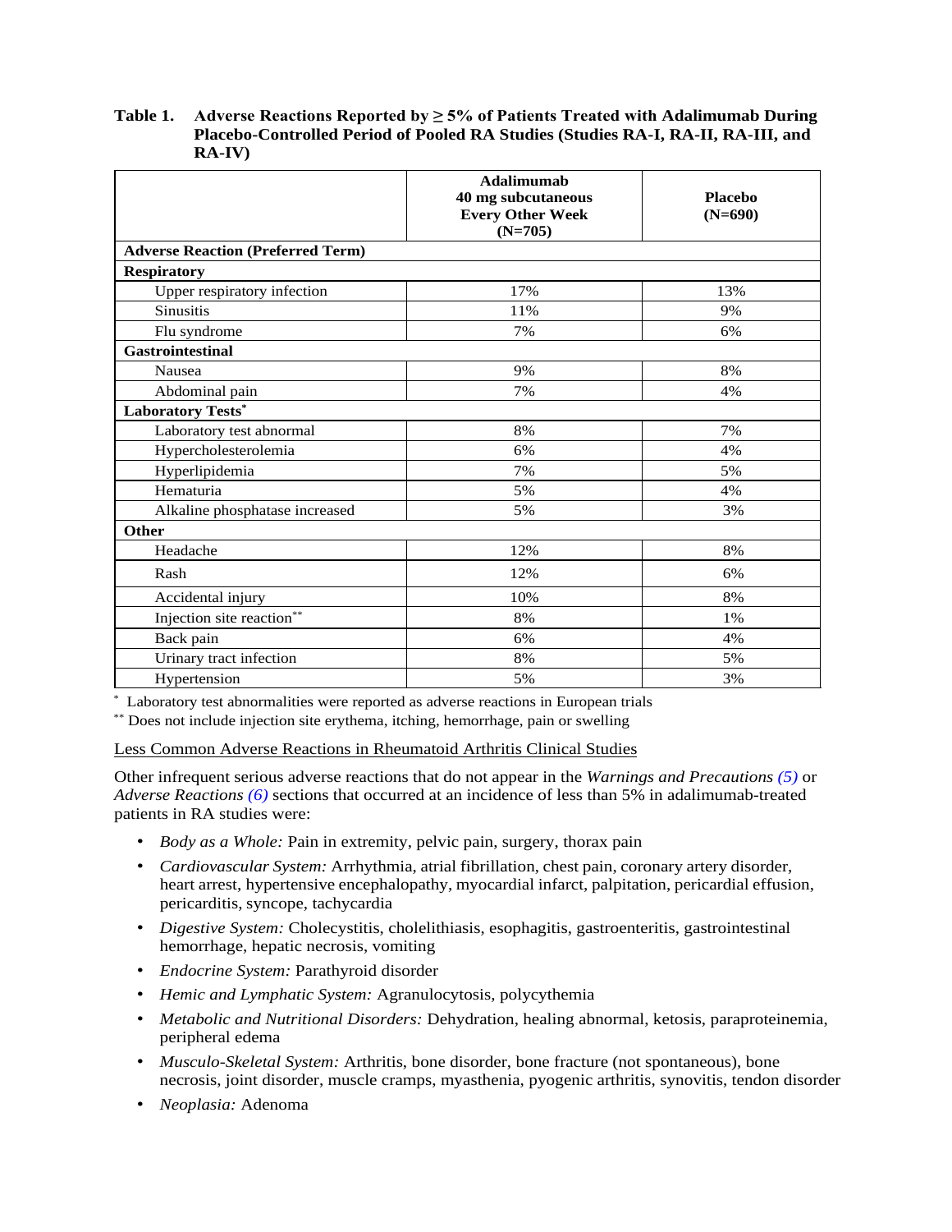#### <span id="page-12-0"></span>**Table 1. Adverse Reactions Reported by ≥ 5% of Patients Treated with Adalimumab During Placebo-Controlled Period of Pooled RA Studies (Studies RA-I, RA-II, RA-III, and RA-IV)**

|                                          | Adalimumab<br>40 mg subcutaneous<br><b>Every Other Week</b> | <b>Placebo</b><br>$(N=690)$ |
|------------------------------------------|-------------------------------------------------------------|-----------------------------|
|                                          | $(N=705)$                                                   |                             |
| <b>Adverse Reaction (Preferred Term)</b> |                                                             |                             |
| <b>Respiratory</b>                       |                                                             |                             |
| Upper respiratory infection              | 17%                                                         | 13%                         |
| <b>Sinusitis</b>                         | 11%                                                         | 9%                          |
| Flu syndrome                             | 7%                                                          | 6%                          |
| <b>Gastrointestinal</b>                  |                                                             |                             |
| Nausea                                   | 9%                                                          | 8%                          |
| Abdominal pain                           | 7%                                                          | 4%                          |
| <b>Laboratory Tests*</b>                 |                                                             |                             |
| Laboratory test abnormal                 | 8%                                                          | 7%                          |
| Hypercholesterolemia                     | 6%                                                          | 4%                          |
| Hyperlipidemia                           | 7%                                                          | 5%                          |
| Hematuria                                | 5%                                                          | 4%                          |
| Alkaline phosphatase increased           | 5%                                                          | 3%                          |
| Other                                    |                                                             |                             |
| Headache                                 | 12%                                                         | 8%                          |
| Rash                                     | 12%                                                         | 6%                          |
| Accidental injury                        | 10%                                                         | 8%                          |
| Injection site reaction**                | 8%                                                          | 1%                          |
| Back pain                                | 6%                                                          | 4%                          |
| Urinary tract infection                  | 8%                                                          | 5%                          |
| Hypertension                             | 5%                                                          | 3%                          |

\* Laboratory test abnormalities were reported as adverse reactions in European trials

\*\*\* Does not include injection site erythema, itching, hemorrhage, pain or swelling

Less Common Adverse Reactions in Rheumatoid Arthritis Clinical Studies

Other infrequent serious adverse reactions that do not appear in the *Warnings and Precautions [\(5\)](#page-5-5)* or *Adverse Reactions [\(6\)](#page-10-1)* sections that occurred at an incidence of less than 5% in adalimumab-treated patients in RA studies were:

- *Body as a Whole:* Pain in extremity, pelvic pain, surgery, thorax pain
- *Cardiovascular System:* Arrhythmia, atrial fibrillation, chest pain, coronary artery disorder, heart arrest, hypertensive encephalopathy, myocardial infarct, palpitation, pericardial effusion, pericarditis, syncope, tachycardia
- *Digestive System:* Cholecystitis, cholelithiasis, esophagitis, gastroenteritis, gastrointestinal hemorrhage, hepatic necrosis, vomiting
- *Endocrine System:* Parathyroid disorder
- *Hemic and Lymphatic System:* Agranulocytosis, polycythemia
- *Metabolic and Nutritional Disorders:* Dehydration, healing abnormal, ketosis, paraproteinemia, peripheral edema
- *Musculo-Skeletal System:* Arthritis, bone disorder, bone fracture (not spontaneous), bone necrosis, joint disorder, muscle cramps, myasthenia, pyogenic arthritis, synovitis, tendon disorder
- *Neoplasia:* Adenoma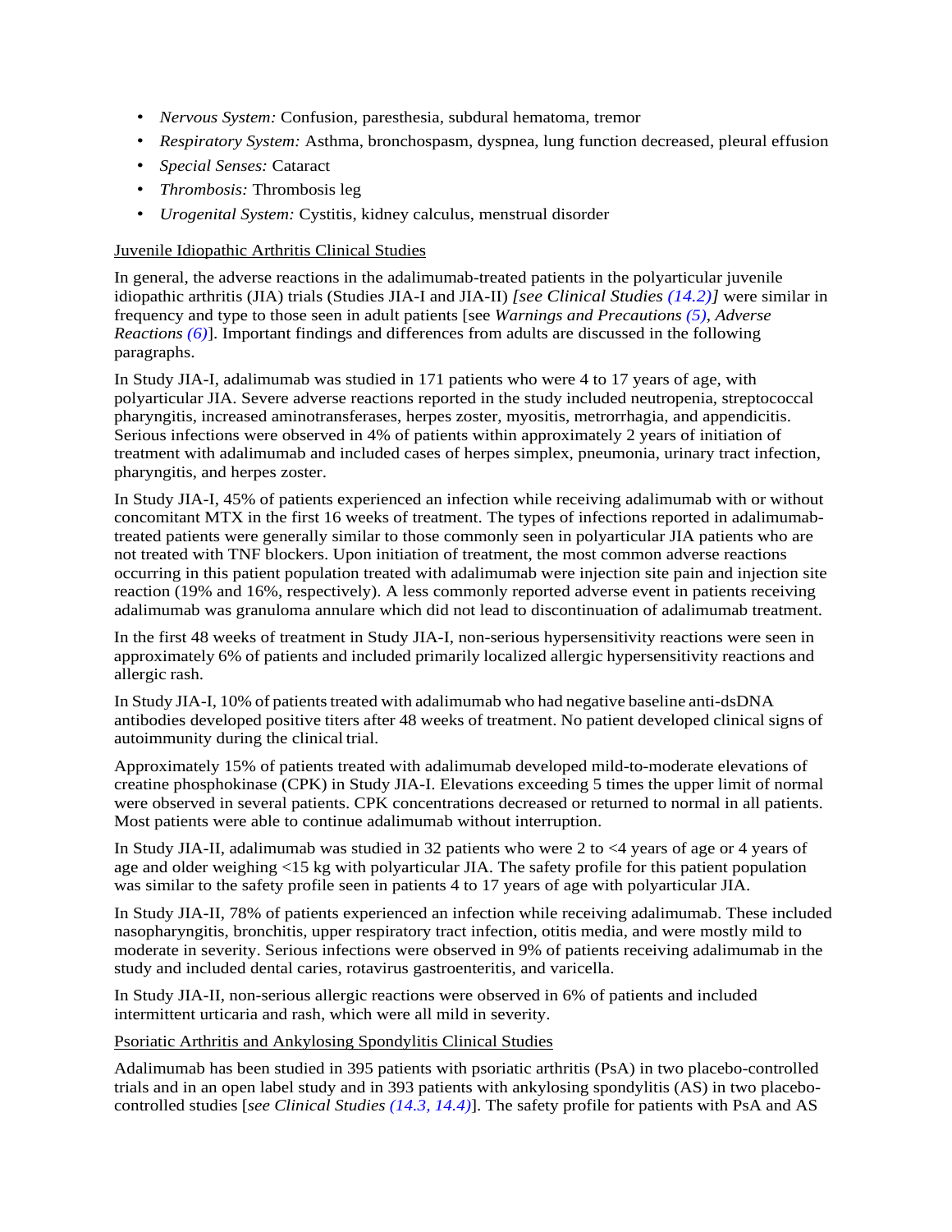- *Nervous System:* Confusion, paresthesia, subdural hematoma, tremor
- *Respiratory System:* Asthma, bronchospasm, dyspnea, lung function decreased, pleural effusion
- *Special Senses:* Cataract
- *Thrombosis:* Thrombosis leg
- *Urogenital System:* Cystitis, kidney calculus, menstrual disorder

#### Juvenile Idiopathic Arthritis Clinical Studies

In general, the adverse reactions in the adalimumab-treated patients in the polyarticular juvenile idiopathic arthritis (JIA) trials (Studies JIA-I and JIA-II) *[see Clinical Studies [\(14.2\)](#page-26-0)]* were similar in frequency and type to those seen in adult patients [see *Warnings and Precautions [\(5\)](#page-5-5)*, *Adverse Reactions [\(6\)](#page-10-1)*]. Important findings and differences from adults are discussed in the following paragraphs.

In Study JIA-I, adalimumab was studied in 171 patients who were 4 to 17 years of age, with polyarticular JIA. Severe adverse reactions reported in the study included neutropenia, streptococcal pharyngitis, increased aminotransferases, herpes zoster, myositis, metrorrhagia, and appendicitis. Serious infections were observed in 4% of patients within approximately 2 years of initiation of treatment with adalimumab and included cases of herpes simplex, pneumonia, urinary tract infection, pharyngitis, and herpes zoster.

In Study JIA-I, 45% of patients experienced an infection while receiving adalimumab with or without concomitant MTX in the first 16 weeks of treatment. The types of infections reported in adalimumabtreated patients were generally similar to those commonly seen in polyarticular JIA patients who are not treated with TNF blockers. Upon initiation of treatment, the most common adverse reactions occurring in this patient population treated with adalimumab were injection site pain and injection site reaction (19% and 16%, respectively). A less commonly reported adverse event in patients receiving adalimumab was granuloma annulare which did not lead to discontinuation of adalimumab treatment.

In the first 48 weeks of treatment in Study JIA-I, non-serious hypersensitivity reactions were seen in approximately 6% of patients and included primarily localized allergic hypersensitivity reactions and allergic rash.

In Study JIA-I, 10% of patients treated with adalimumab who had negative baseline anti-dsDNA antibodies developed positive titers after 48 weeks of treatment. No patient developed clinical signs of autoimmunity during the clinical trial.

Approximately 15% of patients treated with adalimumab developed mild-to-moderate elevations of creatine phosphokinase (CPK) in Study JIA-I. Elevations exceeding 5 times the upper limit of normal were observed in several patients. CPK concentrations decreased or returned to normal in all patients. Most patients were able to continue adalimumab without interruption.

In Study JIA-II, adalimumab was studied in 32 patients who were 2 to <4 years of age or 4 years of age and older weighing <15 kg with polyarticular JIA. The safety profile for this patient population was similar to the safety profile seen in patients 4 to 17 years of age with polyarticular JIA.

In Study JIA-II, 78% of patients experienced an infection while receiving adalimumab. These included nasopharyngitis, bronchitis, upper respiratory tract infection, otitis media, and were mostly mild to moderate in severity. Serious infections were observed in 9% of patients receiving adalimumab in the study and included dental caries, rotavirus gastroenteritis, and varicella.

In Study JIA-II, non-serious allergic reactions were observed in 6% of patients and included intermittent urticaria and rash, which were all mild in severity.

#### Psoriatic Arthritis and Ankylosing Spondylitis Clinical Studies

Adalimumab has been studied in 395 patients with psoriatic arthritis (PsA) in two placebo-controlled trials and in an open label study and in 393 patients with ankylosing spondylitis (AS) in two placebocontrolled studies [*see Clinical Studies [\(14.3,](#page-27-0) [14.4\)](#page-29-0)*]. The safety profile for patients with PsA and AS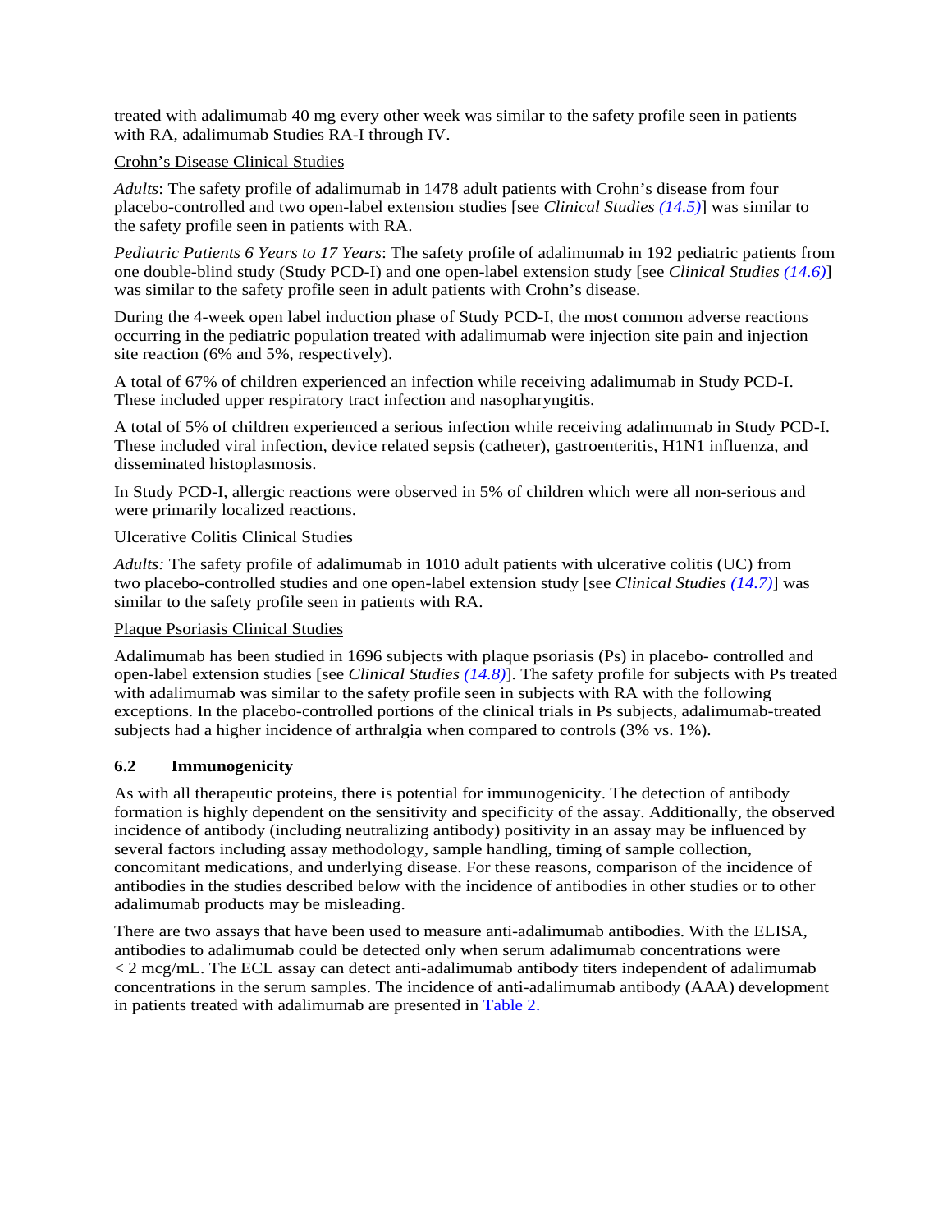treated with adalimumab 40 mg every other week was similar to the safety profile seen in patients with RA, adalimumab Studies RA-I through IV.

#### Crohn's Disease Clinical Studies

*Adults*: The safety profile of adalimumab in 1478 adult patients with Crohn's disease from four placebo-controlled and two open-label extension studies [see *Clinical Studies [\(14.5\)](#page-30-0)*] was similar to the safety profile seen in patients with RA.

*Pediatric Patients 6 Years to 17 Years*: The safety profile of adalimumab in 192 pediatric patients from one double-blind study (Study PCD-I) and one open-label extension study [see *Clinical Studies [\(14.6\)](#page-32-0)*] was similar to the safety profile seen in adult patients with Crohn's disease.

During the 4-week open label induction phase of Study PCD-I, the most common adverse reactions occurring in the pediatric population treated with adalimumab were injection site pain and injection site reaction (6% and 5%, respectively).

A total of 67% of children experienced an infection while receiving adalimumab in Study PCD-I. These included upper respiratory tract infection and nasopharyngitis.

A total of 5% of children experienced a serious infection while receiving adalimumab in Study PCD-I. These included viral infection, device related sepsis (catheter), gastroenteritis, H1N1 influenza, and disseminated histoplasmosis.

In Study PCD-I, allergic reactions were observed in 5% of children which were all non-serious and were primarily localized reactions.

#### Ulcerative Colitis Clinical Studies

*Adults:* The safety profile of adalimumab in 1010 adult patients with ulcerative colitis (UC) from two placebo-controlled studies and one open-label extension study [see *Clinical Studies [\(14.7\)](#page-33-0)*] was similar to the safety profile seen in patients with RA.

#### Plaque Psoriasis Clinical Studies

Adalimumab has been studied in 1696 subjects with plaque psoriasis (Ps) in placebo- controlled and open-label extension studies [see *Clinical Studies [\(14.8\)](#page-34-0)*]. The safety profile for subjects with Ps treated with adalimumab was similar to the safety profile seen in subjects with RA with the following exceptions. In the placebo-controlled portions of the clinical trials in Ps subjects, adalimumab-treated subjects had a higher incidence of arthralgia when compared to controls (3% vs. 1%).

## <span id="page-14-0"></span>**6.2 Immunogenicity**

As with all therapeutic proteins, there is potential for immunogenicity. The detection of antibody formation is highly dependent on the sensitivity and specificity of the assay. Additionally, the observed incidence of antibody (including neutralizing antibody) positivity in an assay may be influenced by several factors including assay methodology, sample handling, timing of sample collection, concomitant medications, and underlying disease. For these reasons, comparison of the incidence of antibodies in the studies described below with the incidence of antibodies in other studies or to other adalimumab products may be misleading.

There are two assays that have been used to measure anti-adalimumab antibodies. With the ELISA, antibodies to adalimumab could be detected only when serum adalimumab concentrations were < 2 mcg/mL. The ECL assay can detect anti-adalimumab antibody titers independent of adalimumab concentrations in the serum samples. The incidence of anti-adalimumab antibody (AAA) development in patients treated with adalimumab are presented in [Table 2.](#page-15-1)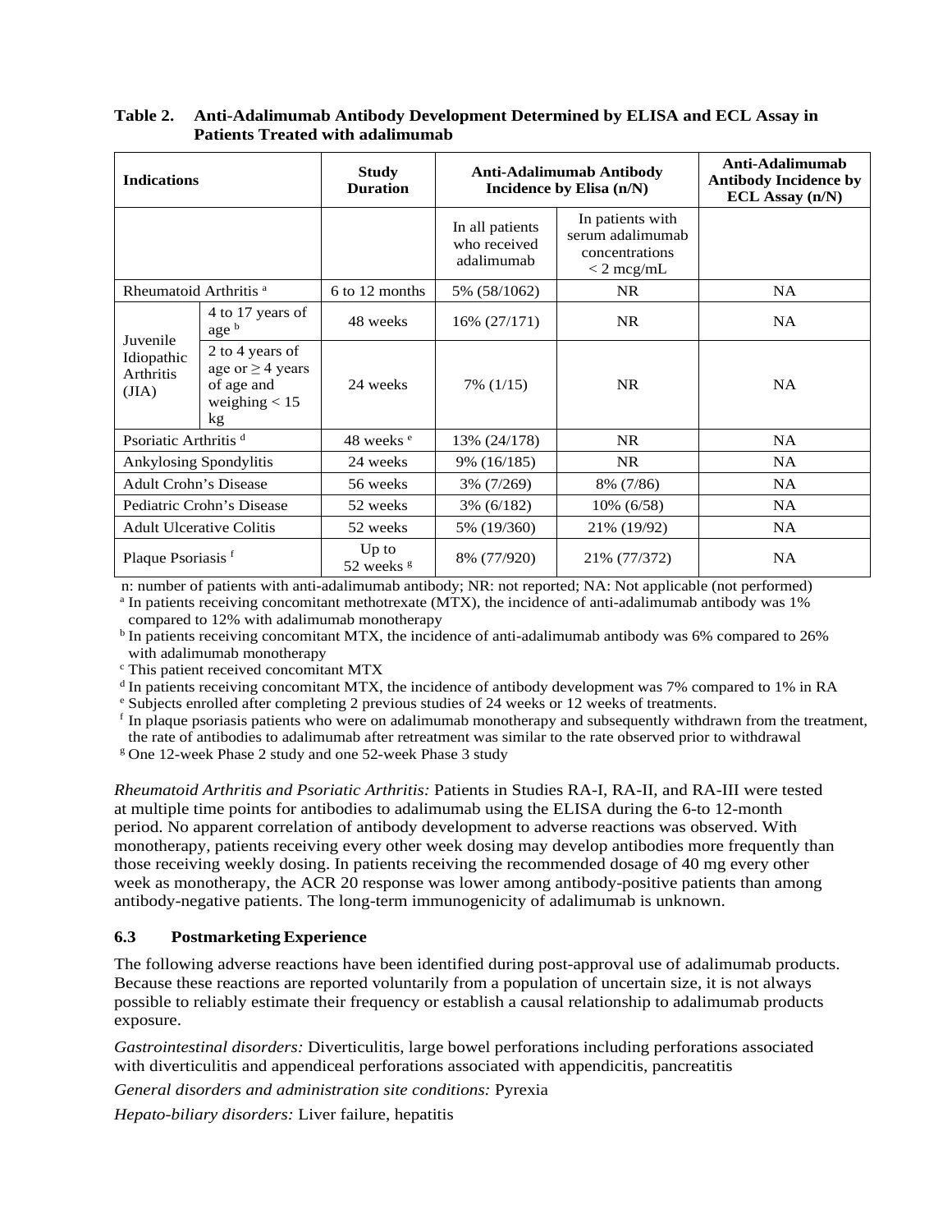| <b>Indications</b>                                  |                                                                                 | <b>Study</b><br><b>Duration</b>  | <b>Anti-Adalimumab Antibody</b><br>Incidence by Elisa (n/N) |                                                                        | Anti-Adalimumab<br><b>Antibody Incidence by</b><br>$ECL$ Assay $(n/N)$ |
|-----------------------------------------------------|---------------------------------------------------------------------------------|----------------------------------|-------------------------------------------------------------|------------------------------------------------------------------------|------------------------------------------------------------------------|
|                                                     |                                                                                 |                                  | In all patients<br>who received<br>adalimumab               | In patients with<br>serum adalimumab<br>concentrations<br>$<$ 2 mcg/mL |                                                                        |
| Rheumatoid Arthritis <sup>a</sup>                   |                                                                                 | 6 to 12 months                   | 5% (58/1062)                                                | NR.                                                                    | <b>NA</b>                                                              |
|                                                     | 4 to 17 years of<br>age b                                                       | 48 weeks                         | 16% (27/171)                                                | NR.                                                                    | <b>NA</b>                                                              |
| Juvenile<br>Idiopathic<br><b>Arthritis</b><br>(JIA) | 2 to 4 years of<br>age or $\geq$ 4 years<br>of age and<br>weighing $< 15$<br>kg | 24 weeks                         | 7% (1/15)                                                   | NR.                                                                    | <b>NA</b>                                                              |
| Psoriatic Arthritis <sup>d</sup>                    |                                                                                 | 48 weeks <sup>e</sup>            | 13% (24/178)                                                | NR                                                                     | NA.                                                                    |
|                                                     | <b>Ankylosing Spondylitis</b>                                                   | 24 weeks                         | 9% (16/185)                                                 | NR.                                                                    | <b>NA</b>                                                              |
| <b>Adult Crohn's Disease</b>                        |                                                                                 | 56 weeks                         | 3% (7/269)                                                  | 8% (7/86)                                                              | NA                                                                     |
|                                                     | Pediatric Crohn's Disease                                                       | 52 weeks                         | $3\%$ (6/182)                                               | 10% (6/58)                                                             | NA                                                                     |
|                                                     | <b>Adult Ulcerative Colitis</b>                                                 | 52 weeks                         | 5% (19/360)                                                 | 21% (19/92)                                                            | <b>NA</b>                                                              |
| Plaque Psoriasis <sup>f</sup>                       |                                                                                 | $Up$ to<br>52 weeks <sup>g</sup> | 8% (77/920)                                                 | 21% (77/372)                                                           | <b>NA</b>                                                              |

## <span id="page-15-1"></span>**Table 2. Anti-Adalimumab Antibody Development Determined by ELISA and ECL Assay in Patients Treated with adalimumab**

n: number of patients with anti-adalimumab antibody; NR: not reported; NA: Not applicable (not performed) <sup>a</sup> In patients receiving concomitant methotrexate (MTX), the incidence of anti-adalimumab antibody was 1%

compared to 12% with adalimumab monotherapy

<sup>b</sup> In patients receiving concomitant MTX, the incidence of anti-adalimumab antibody was 6% compared to 26% with adalimumab monotherapy<br>
<sup>c</sup> This patient received concomitant MTX

<sup>d</sup> In patients receiving concomitant MTX, the incidence of antibody development was 7% compared to 1% in RA  $\textdegree$  Subjects enrolled after completing 2 previous studies of 24 weeks or 12 weeks of treatments.

<sup>f</sup> In plaque psoriasis patients who were on adalimumab monotherapy and subsequently withdrawn from the treatment, the rate of antibodies to adalimumab after retreatment was similar to the rate observed prior to withdrawal

<sup>g</sup> One 12-week Phase 2 study and one 52-week Phase 3 study

*Rheumatoid Arthritis and Psoriatic Arthritis:* Patients in Studies RA-I, RA-II, and RA-III were tested at multiple time points for antibodies to adalimumab using the ELISA during the 6-to 12-month period. No apparent correlation of antibody development to adverse reactions was observed. With monotherapy, patients receiving every other week dosing may develop antibodies more frequently than those receiving weekly dosing. In patients receiving the recommended dosage of 40 mg every other week as monotherapy, the ACR 20 response was lower among antibody-positive patients than among antibody-negative patients. The long-term immunogenicity of adalimumab is unknown.

## <span id="page-15-0"></span>**6.3 PostmarketingExperience**

The following adverse reactions have been identified during post-approval use of adalimumab products. Because these reactions are reported voluntarily from a population of uncertain size, it is not always possible to reliably estimate their frequency or establish a causal relationship to adalimumab products exposure.

*Gastrointestinal disorders:* Diverticulitis, large bowel perforations including perforations associated with diverticulitis and appendiceal perforations associated with appendicitis, pancreatitis

*General disorders and administration site conditions:* Pyrexia

*Hepato-biliary disorders:* Liver failure, hepatitis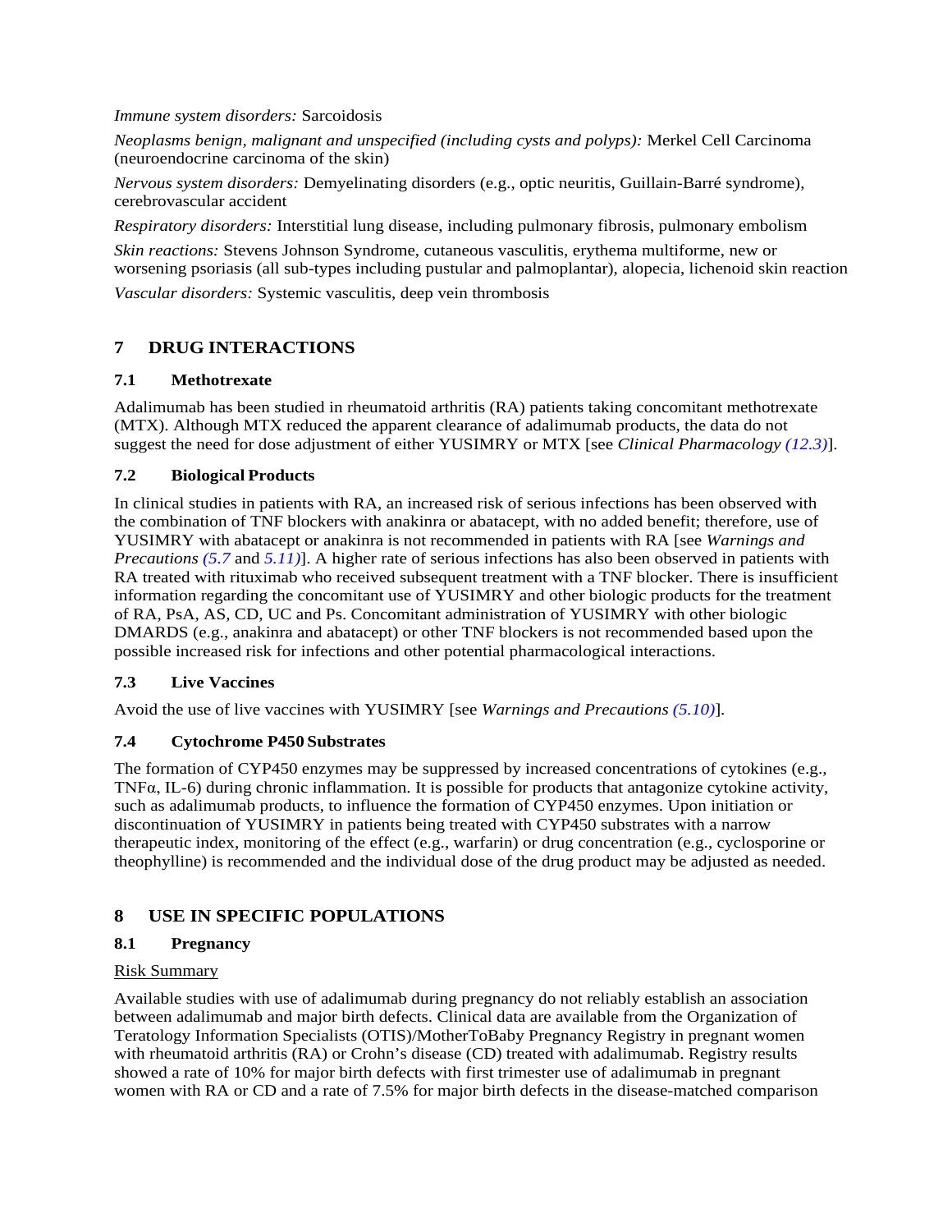*Immune system disorders:* Sarcoidosis

*Neoplasms benign, malignant and unspecified (including cysts and polyps):* Merkel Cell Carcinoma (neuroendocrine carcinoma of the skin)

*Nervous system disorders:* Demyelinating disorders (e.g., optic neuritis, Guillain-Barré syndrome), cerebrovascular accident

*Respiratory disorders:* Interstitial lung disease, including pulmonary fibrosis, pulmonary embolism

<span id="page-16-2"></span>*Skin reactions:* Stevens Johnson Syndrome, cutaneous vasculitis, erythema multiforme, new or worsening psoriasis (all sub-types including pustular and palmoplantar), alopecia, lichenoid skin reaction *Vascular disorders:* Systemic vasculitis, deep vein thrombosis

# <span id="page-16-3"></span>**7 DRUG INTERACTIONS**

## **7.1 Methotrexate**

<span id="page-16-0"></span>Adalimumab has been studied in rheumatoid arthritis (RA) patients taking concomitant methotrexate (MTX). Although MTX reduced the apparent clearance of adalimumab products, the data do not suggest the need for dose adjustment of either YUSIMRY or MTX [see *Clinical Pharmacology [\(12.3\)](#page-20-1)*].

## **7.2 Biological Products**

In clinical studies in patients with RA, an increased risk of serious infections has been observed with the combination of TNF blockers with anakinra or abatacept, with no added benefit; therefore, use of YUSIMRY with abatacept or anakinra is not recommended in patients with RA [see *Warnings and Precautions [\(5.7](#page-9-4)* and *[5.11\)](#page-9-3)*]. A higher rate of serious infections has also been observed in patients with RA treated with rituximab who received subsequent treatment with a TNF blocker. There is insufficient information regarding the concomitant use of YUSIMRY and other biologic products for the treatment of RA, PsA, AS, CD, UC and Ps. Concomitant administration of YUSIMRY with other biologic DMARDS (e.g., anakinra and abatacept) or other TNF blockers is not recommended based upon the possible increased risk for infections and other potential pharmacological interactions.

## <span id="page-16-1"></span>**7.3 Live Vaccines**

<span id="page-16-4"></span>Avoid the use of live vaccines with YUSIMRY [see *Warnings and Precautions [\(5.10\)](#page-9-5)*]*.* 

## **7.4 Cytochrome P450 Substrates**

The formation of CYP450 enzymes may be suppressed by increased concentrations of cytokines (e.g., TNFα, IL-6) during chronic inflammation. It is possible for products that antagonize cytokine activity, such as adalimumab products, to influence the formation of CYP450 enzymes. Upon initiation or discontinuation of YUSIMRY in patients being treated with CYP450 substrates with a narrow therapeutic index, monitoring of the effect (e.g., warfarin) or drug concentration (e.g., cyclosporine or theophylline) is recommended and the individual dose of the drug product may be adjusted as needed.

## <span id="page-16-6"></span><span id="page-16-5"></span>**8 USE IN SPECIFIC POPULATIONS**

## **8.1 Pregnancy**

## Risk Summary

Available studies with use of adalimumab during pregnancy do not reliably establish an association between adalimumab and major birth defects. Clinical data are available from the Organization of Teratology Information Specialists (OTIS)/MotherToBaby Pregnancy Registry in pregnant women with rheumatoid arthritis (RA) or Crohn's disease (CD) treated with adalimumab. Registry results showed a rate of 10% for major birth defects with first trimester use of adalimumab in pregnant women with RA or CD and a rate of 7.5% for major birth defects in the disease-matched comparison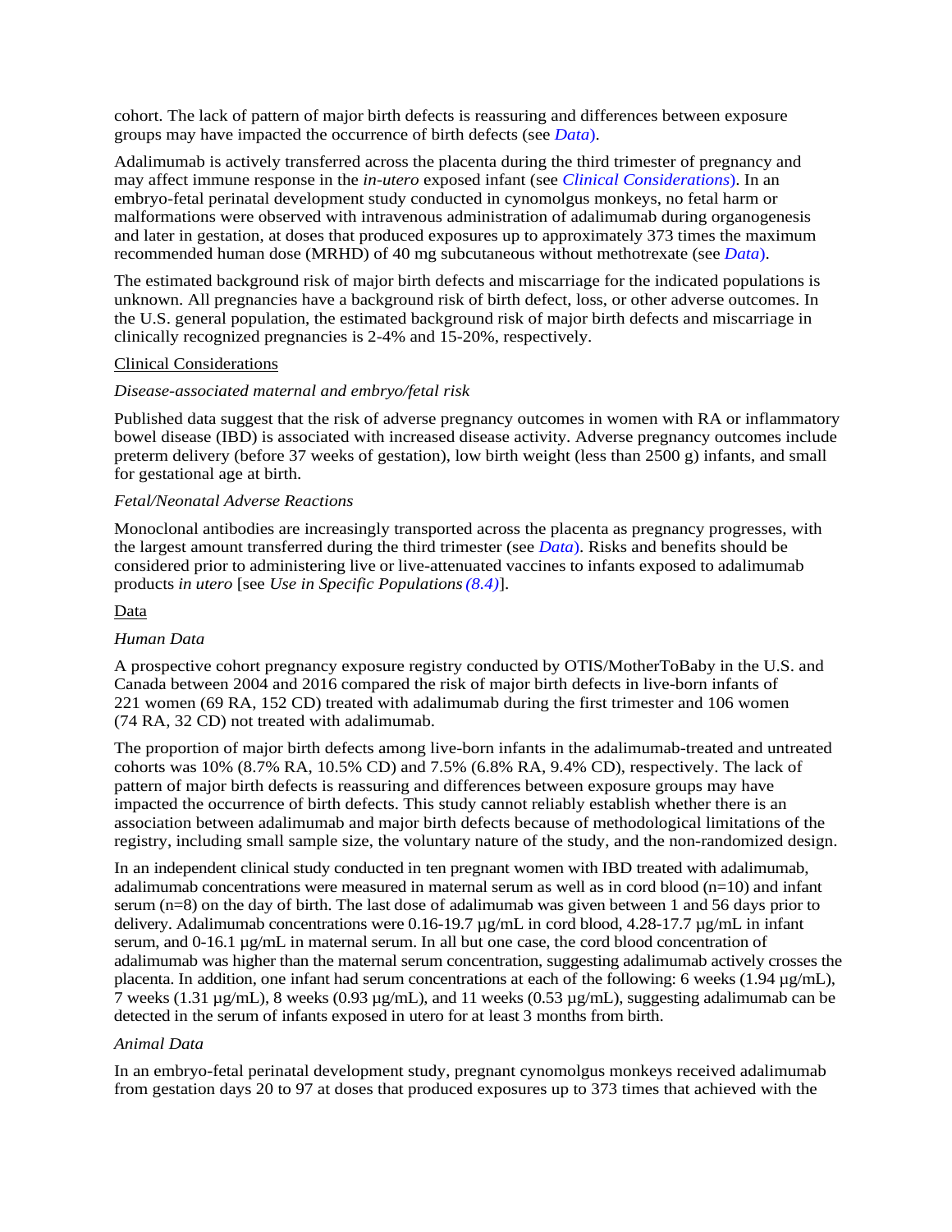cohort. The lack of pattern of major birth defects is reassuring and differences between exposure groups may have impacted the occurrence of birth defects (see *[Data](#page-17-0)*).

Adalimumab is actively transferred across the placenta during the third trimester of pregnancy and may affect immune response in the *in-utero* exposed infant (see *[Clinical Considerations](#page-17-1)*). In an embryo-fetal perinatal development study conducted in cynomolgus monkeys, no fetal harm or malformations were observed with intravenous administration of adalimumab during organogenesis and later in gestation, at doses that produced exposures up to approximately 373 times the maximum recommended human dose (MRHD) of 40 mg subcutaneous without methotrexate (see *[Data](#page-17-0)*).

<span id="page-17-1"></span>The estimated background risk of major birth defects and miscarriage for the indicated populations is unknown. All pregnancies have a background risk of birth defect, loss, or other adverse outcomes. In the U.S. general population, the estimated background risk of major birth defects and miscarriage in clinically recognized pregnancies is 2-4% and 15-20%, respectively.

#### Clinical Considerations

#### *Disease-associated maternal and embryo/fetal risk*

Published data suggest that the risk of adverse pregnancy outcomes in women with RA or inflammatory bowel disease (IBD) is associated with increased disease activity. Adverse pregnancy outcomes include preterm delivery (before 37 weeks of gestation), low birth weight (less than 2500 g) infants, and small for gestational age at birth.

#### *Fetal/Neonatal Adverse Reactions*

<span id="page-17-0"></span>Monoclonal antibodies are increasingly transported across the placenta as pregnancy progresses, with the largest amount transferred during the third trimester (see *[Data](#page-17-0)*). Risks and benefits should be considered prior to administering live or live-attenuated vaccines to infants exposed to adalimumab products *in utero* [see *Use in Specific Populations[\(8.4\)](#page-18-1)*].

#### Data

#### *Human Data*

A prospective cohort pregnancy exposure registry conducted by OTIS/MotherToBaby in the U.S. and Canada between 2004 and 2016 compared the risk of major birth defects in live-born infants of 221 women (69 RA, 152 CD) treated with adalimumab during the first trimester and 106 women (74 RA, 32 CD) not treated with adalimumab.

The proportion of major birth defects among live-born infants in the adalimumab-treated and untreated cohorts was 10% (8.7% RA, 10.5% CD) and 7.5% (6.8% RA, 9.4% CD), respectively. The lack of pattern of major birth defects is reassuring and differences between exposure groups may have impacted the occurrence of birth defects. This study cannot reliably establish whether there is an association between adalimumab and major birth defects because of methodological limitations of the registry, including small sample size, the voluntary nature of the study, and the non-randomized design.

In an independent clinical study conducted in ten pregnant women with IBD treated with adalimumab, adalimumab concentrations were measured in maternal serum as well as in cord blood  $(n=10)$  and infant serum (n=8) on the day of birth. The last dose of adalimumab was given between 1 and 56 days prior to delivery. Adalimumab concentrations were  $0.16$ -19.7  $\mu$ g/mL in cord blood, 4.28-17.7  $\mu$ g/mL in infant serum, and 0-16.1  $\mu$ g/mL in maternal serum. In all but one case, the cord blood concentration of adalimumab was higher than the maternal serum concentration, suggesting adalimumab actively crosses the placenta. In addition, one infant had serum concentrations at each of the following: 6 weeks (1.94  $\mu$ g/mL), 7 weeks (1.31  $\mu$ g/mL), 8 weeks (0.93  $\mu$ g/mL), and 11 weeks (0.53  $\mu$ g/mL), suggesting adalimumab can be detected in the serum of infants exposed in utero for at least 3 months from birth.

#### *Animal Data*

In an embryo-fetal perinatal development study, pregnant cynomolgus monkeys received adalimumab from gestation days 20 to 97 at doses that produced exposures up to 373 times that achieved with the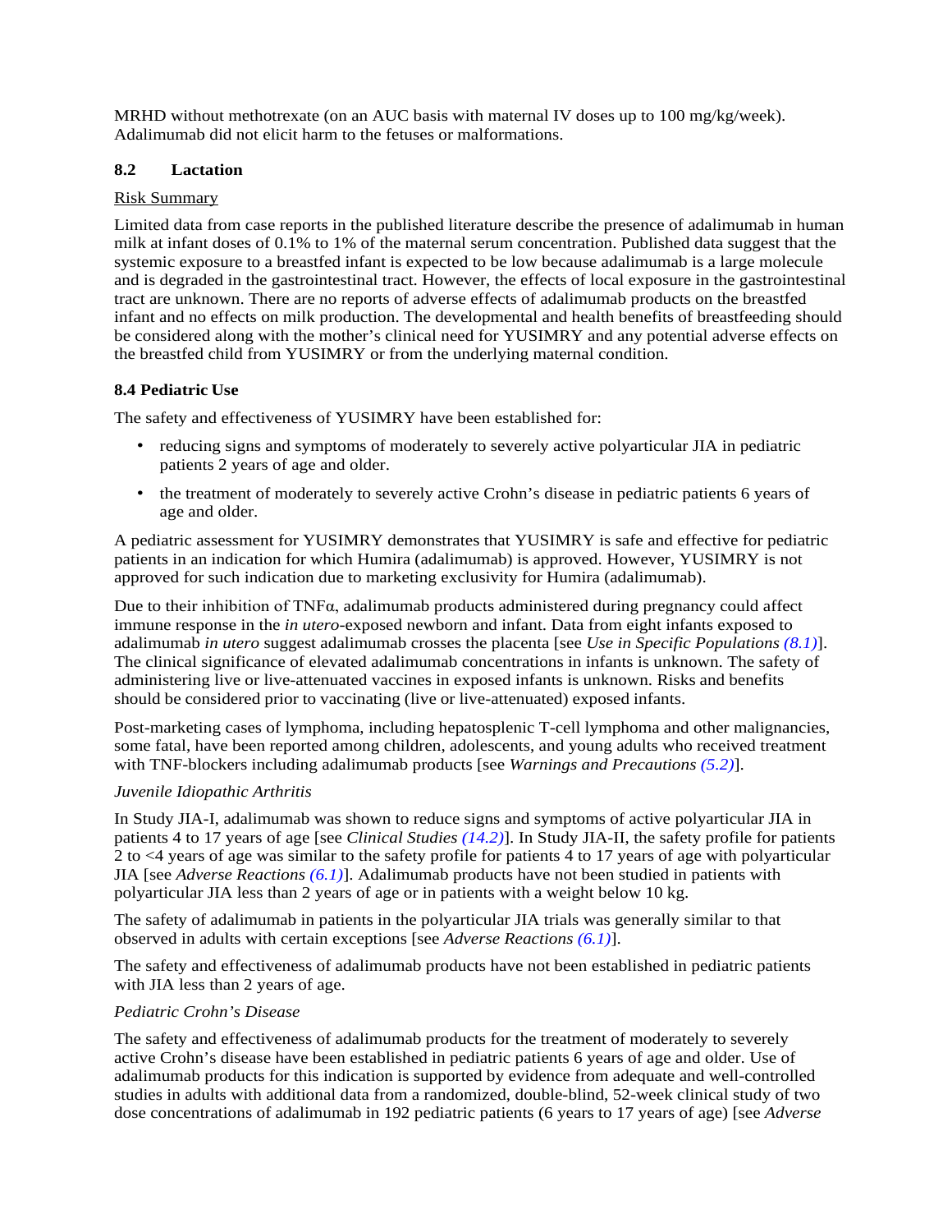<span id="page-18-0"></span>MRHD without methotrexate (on an AUC basis with maternal IV doses up to 100 mg/kg/week). Adalimumab did not elicit harm to the fetuses or malformations.

#### **8.2 Lactation**

#### Risk Summary

Limited data from case reports in the published literature describe the presence of adalimumab in human milk at infant doses of 0.1% to 1% of the maternal serum concentration. Published data suggest that the systemic exposure to a breastfed infant is expected to be low because adalimumab is a large molecule and is degraded in the gastrointestinal tract. However, the effects of local exposure in the gastrointestinal tract are unknown. There are no reports of adverse effects of adalimumab products on the breastfed infant and no effects on milk production. The developmental and health benefits of breastfeeding should be considered along with the mother's clinical need for YUSIMRY and any potential adverse effects on the breastfed child from YUSIMRY or from the underlying maternal condition.

## <span id="page-18-1"></span>**8.4 Pediatric Use**

The safety and effectiveness of YUSIMRY have been established for:

- reducing signs and symptoms of moderately to severely active polyarticular JIA in pediatric patients 2 years of age and older.
- the treatment of moderately to severely active Crohn's disease in pediatric patients 6 years of age and older.

A pediatric assessment for YUSIMRY demonstrates that YUSIMRY is safe and effective for pediatric patients in an indication for which Humira (adalimumab) is approved. However, YUSIMRY is not approved for such indication due to marketing exclusivity for Humira (adalimumab).

Due to their inhibition of  $TNF\alpha$ , adalimumab products administered during pregnancy could affect immune response in the *in utero*-exposed newborn and infant. Data from eight infants exposed to adalimumab *in utero* suggest adalimumab crosses the placenta [see *Use in Specific Populations [\(8.1\)](#page-16-6)*]. The clinical significance of elevated adalimumab concentrations in infants is unknown. The safety of administering live or live-attenuated vaccines in exposed infants is unknown. Risks and benefits should be considered prior to vaccinating (live or live-attenuated) exposed infants.

Post-marketing cases of lymphoma, including hepatosplenic T-cell lymphoma and other malignancies, some fatal, have been reported among children, adolescents, and young adults who received treatment with TNF-blockers including adalimumab products [see *Warnings and Precautions [\(5.2\)](#page-7-0)*].

#### *Juvenile Idiopathic Arthritis*

In Study JIA-I, adalimumab was shown to reduce signs and symptoms of active polyarticular JIA in patients 4 to 17 years of age [see *Clinical Studies [\(14.2\)](#page-26-0)*]. In Study JIA-II, the safety profile for patients 2 to <4 years of age was similar to the safety profile for patients 4 to 17 years of age with polyarticular JIA [see *Adverse Reactions [\(6.1\)](#page-10-0)*]. Adalimumab products have not been studied in patients with polyarticular JIA less than 2 years of age or in patients with a weight below 10 kg.

The safety of adalimumab in patients in the polyarticular JIA trials was generally similar to that observed in adults with certain exceptions [see *Adverse Reactions [\(6.1\)](#page-10-0)*].

The safety and effectiveness of adalimumab products have not been established in pediatric patients with JIA less than 2 years of age.

#### *Pediatric Crohn's Disease*

The safety and effectiveness of adalimumab products for the treatment of moderately to severely active Crohn's disease have been established in pediatric patients 6 years of age and older. Use of adalimumab products for this indication is supported by evidence from adequate and well-controlled studies in adults with additional data from a randomized, double-blind, 52-week clinical study of two dose concentrations of adalimumab in 192 pediatric patients (6 years to 17 years of age) [see *Adverse*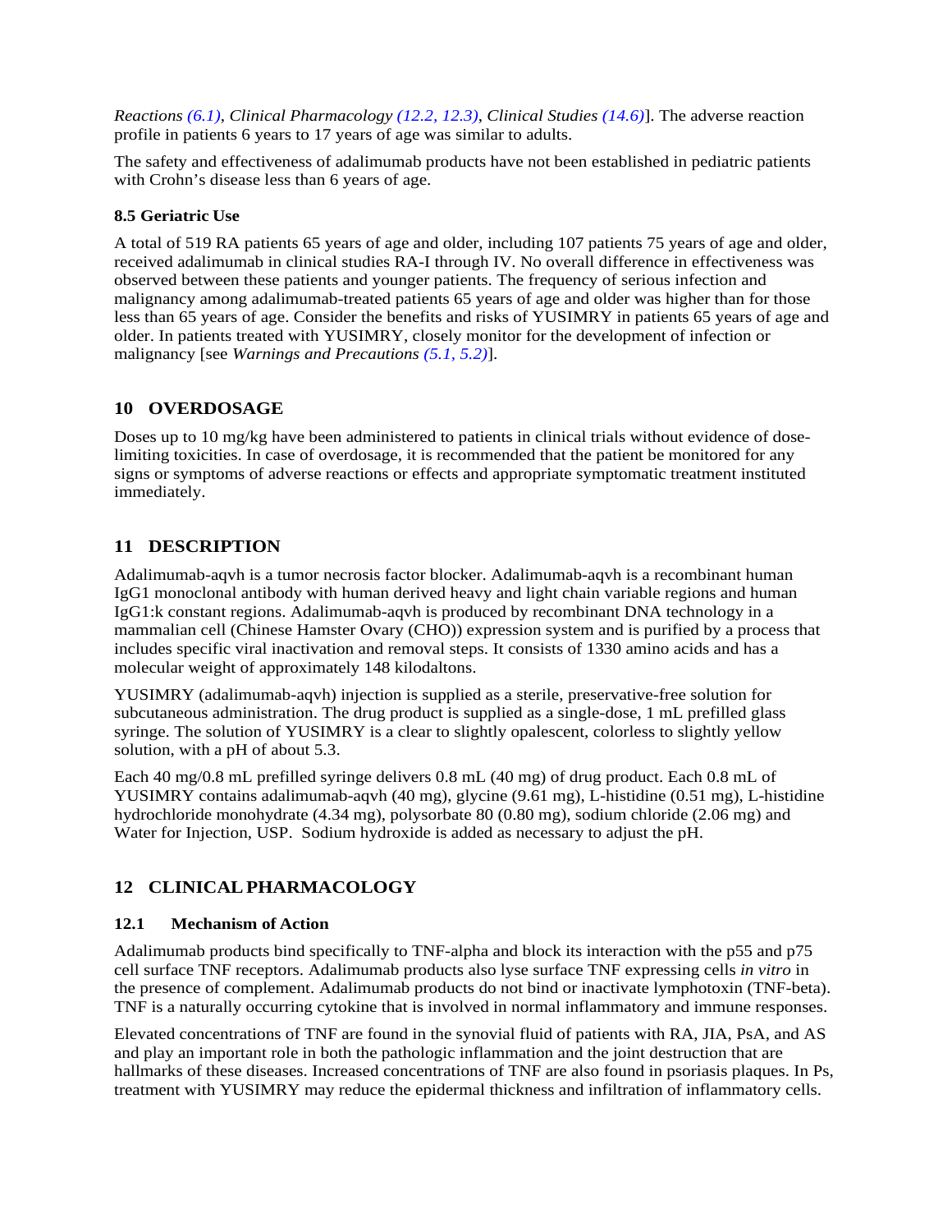*Reactions [\(6.1\)](#page-10-0)*, *Clinical Pharmacology [\(12.2,](#page-20-0) [12.3\)](#page-20-1)*, *Clinical Studies [\(14.6\)](#page-32-0)*]. The adverse reaction profile in patients 6 years to 17 years of age was similar to adults.

<span id="page-19-0"></span>The safety and effectiveness of adalimumab products have not been established in pediatric patients with Crohn's disease less than 6 years of age.

#### **8.5 Geriatric Use**

<span id="page-19-1"></span>A total of 519 RA patients 65 years of age and older, including 107 patients 75 years of age and older, received adalimumab in clinical studies RA-I through IV. No overall difference in effectiveness was observed between these patients and younger patients. The frequency of serious infection and malignancy among adalimumab-treated patients 65 years of age and older was higher than for those less than 65 years of age. Consider the benefits and risks of YUSIMRY in patients 65 years of age and older. In patients treated with YUSIMRY, closely monitor for the development of infection or malignancy [see *Warnings and Precautions [\(5.1,](#page-5-0) [5.2\)](#page-7-0)*].

#### **10 OVERDOSAGE**

<span id="page-19-2"></span>Doses up to 10 mg/kg have been administered to patients in clinical trials without evidence of doselimiting toxicities. In case of overdosage, it is recommended that the patient be monitored for any signs or symptoms of adverse reactions or effects and appropriate symptomatic treatment instituted immediately.

## **11 DESCRIPTION**

Adalimumab-aqvh is a tumor necrosis factor blocker. Adalimumab-aqvh is a recombinant human IgG1 monoclonal antibody with human derived heavy and light chain variable regions and human IgG1:k constant regions. Adalimumab-aqvh is produced by recombinant DNA technology in a mammalian cell (Chinese Hamster Ovary (CHO)) expression system and is purified by a process that includes specific viral inactivation and removal steps. It consists of 1330 amino acids and has a molecular weight of approximately 148 kilodaltons.

YUSIMRY (adalimumab-aqvh) injection is supplied as a sterile, preservative-free solution for subcutaneous administration. The drug product is supplied as a single-dose, 1 mL prefilled glass syringe. The solution of YUSIMRY is a clear to slightly opalescent, colorless to slightly yellow solution, with a pH of about 5.3.

Each 40 mg/0.8 mL prefilled syringe delivers 0.8 mL (40 mg) of drug product. Each 0.8 mL of YUSIMRY contains adalimumab-aqvh (40 mg), glycine (9.61 mg), L-histidine (0.51 mg), L-histidine hydrochloride monohydrate (4.34 mg), polysorbate 80 (0.80 mg), sodium chloride (2.06 mg) and Water for Injection, USP. Sodium hydroxide is added as necessary to adjust the pH.

## <span id="page-19-4"></span><span id="page-19-3"></span>**12 CLINICALPHARMACOLOGY**

#### **12.1 Mechanism of Action**

Adalimumab products bind specifically to TNF-alpha and block its interaction with the p55 and p75 cell surface TNF receptors. Adalimumab products also lyse surface TNF expressing cells *in vitro* in the presence of complement. Adalimumab products do not bind or inactivate lymphotoxin (TNF-beta). TNF is a naturally occurring cytokine that is involved in normal inflammatory and immune responses.

Elevated concentrations of TNF are found in the synovial fluid of patients with RA, JIA, PsA, and AS and play an important role in both the pathologic inflammation and the joint destruction that are hallmarks of these diseases. Increased concentrations of TNF are also found in psoriasis plaques. In Ps, treatment with YUSIMRY may reduce the epidermal thickness and infiltration of inflammatory cells.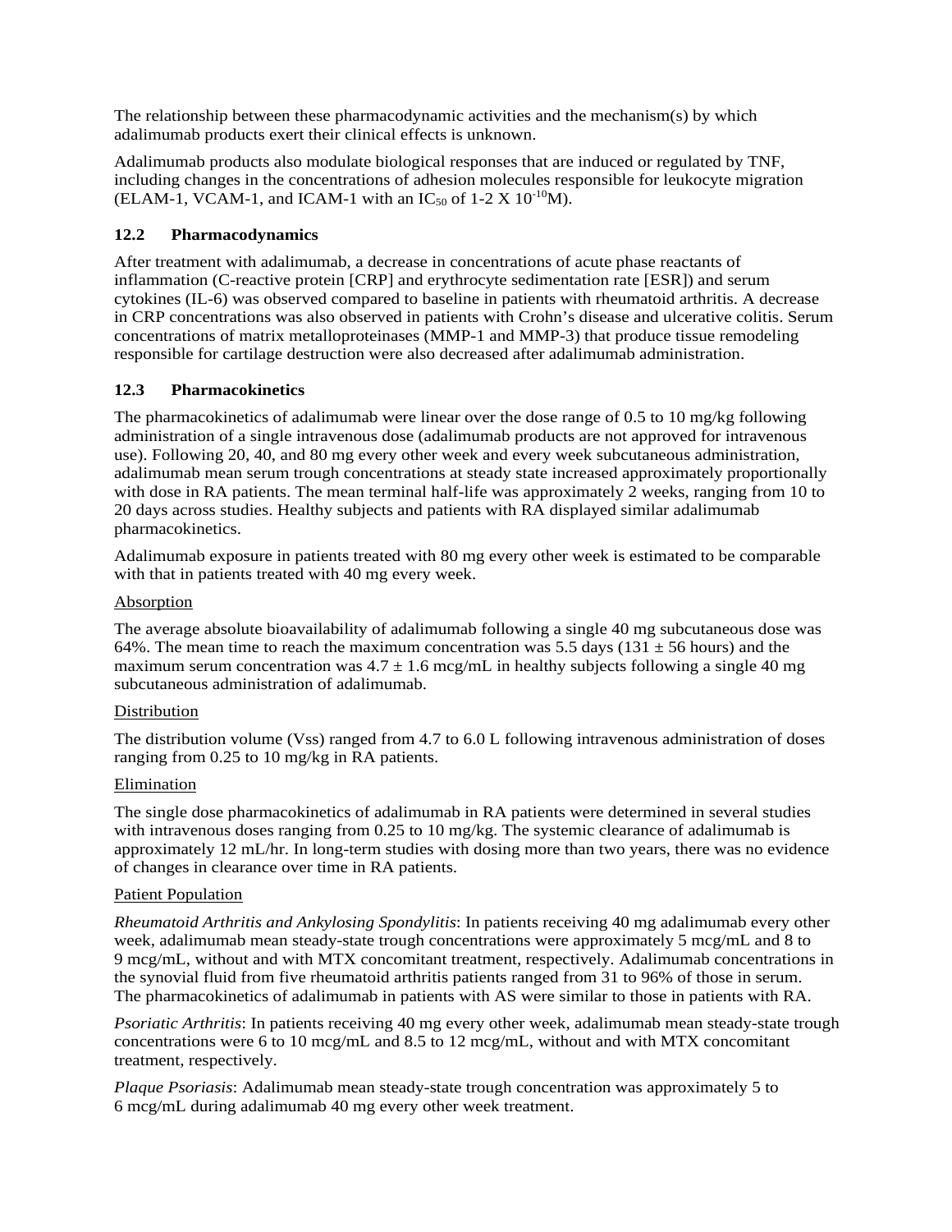The relationship between these pharmacodynamic activities and the mechanism(s) by which adalimumab products exert their clinical effects is unknown.

<span id="page-20-0"></span>Adalimumab products also modulate biological responses that are induced or regulated by TNF, including changes in the concentrations of adhesion molecules responsible for leukocyte migration (ELAM-1, VCAM-1, and ICAM-1 with an  $IC_{50}$  of 1-2 X  $10^{-10}$ M).

#### **12.2 Pharmacodynamics**

<span id="page-20-1"></span>After treatment with adalimumab, a decrease in concentrations of acute phase reactants of inflammation (C-reactive protein [CRP] and erythrocyte sedimentation rate [ESR]) and serum cytokines (IL-6) was observed compared to baseline in patients with rheumatoid arthritis. A decrease in CRP concentrations was also observed in patients with Crohn's disease and ulcerative colitis. Serum concentrations of matrix metalloproteinases (MMP-1 and MMP-3) that produce tissue remodeling responsible for cartilage destruction were also decreased after adalimumab administration.

#### **12.3 Pharmacokinetics**

The pharmacokinetics of adalimumab were linear over the dose range of 0.5 to 10 mg/kg following administration of a single intravenous dose (adalimumab products are not approved for intravenous use). Following 20, 40, and 80 mg every other week and every week subcutaneous administration, adalimumab mean serum trough concentrations at steady state increased approximately proportionally with dose in RA patients. The mean terminal half-life was approximately 2 weeks, ranging from 10 to 20 days across studies. Healthy subjects and patients with RA displayed similar adalimumab pharmacokinetics.

Adalimumab exposure in patients treated with 80 mg every other week is estimated to be comparable with that in patients treated with 40 mg every week.

#### **Absorption**

The average absolute bioavailability of adalimumab following a single 40 mg subcutaneous dose was 64%. The mean time to reach the maximum concentration was 5.5 days (131  $\pm$  56 hours) and the maximum serum concentration was  $4.7 \pm 1.6$  mcg/mL in healthy subjects following a single 40 mg subcutaneous administration of adalimumab.

#### Distribution

The distribution volume (Vss) ranged from 4.7 to 6.0 L following intravenous administration of doses ranging from 0.25 to 10 mg/kg in RA patients.

#### Elimination

The single dose pharmacokinetics of adalimumab in RA patients were determined in several studies with intravenous doses ranging from 0.25 to 10 mg/kg. The systemic clearance of adalimumab is approximately 12 mL/hr. In long-term studies with dosing more than two years, there was no evidence of changes in clearance over time in RA patients.

#### Patient Population

*Rheumatoid Arthritis and Ankylosing Spondylitis*: In patients receiving 40 mg adalimumab every other week, adalimumab mean steady-state trough concentrations were approximately 5 mcg/mL and 8 to 9 mcg/mL, without and with MTX concomitant treatment, respectively. Adalimumab concentrations in the synovial fluid from five rheumatoid arthritis patients ranged from 31 to 96% of those in serum. The pharmacokinetics of adalimumab in patients with AS were similar to those in patients with RA.

*Psoriatic Arthritis*: In patients receiving 40 mg every other week, adalimumab mean steady-state trough concentrations were 6 to 10 mcg/mL and 8.5 to 12 mcg/mL, without and with MTX concomitant treatment, respectively.

*Plaque Psoriasis*: Adalimumab mean steady-state trough concentration was approximately 5 to 6 mcg/mL during adalimumab 40 mg every other week treatment.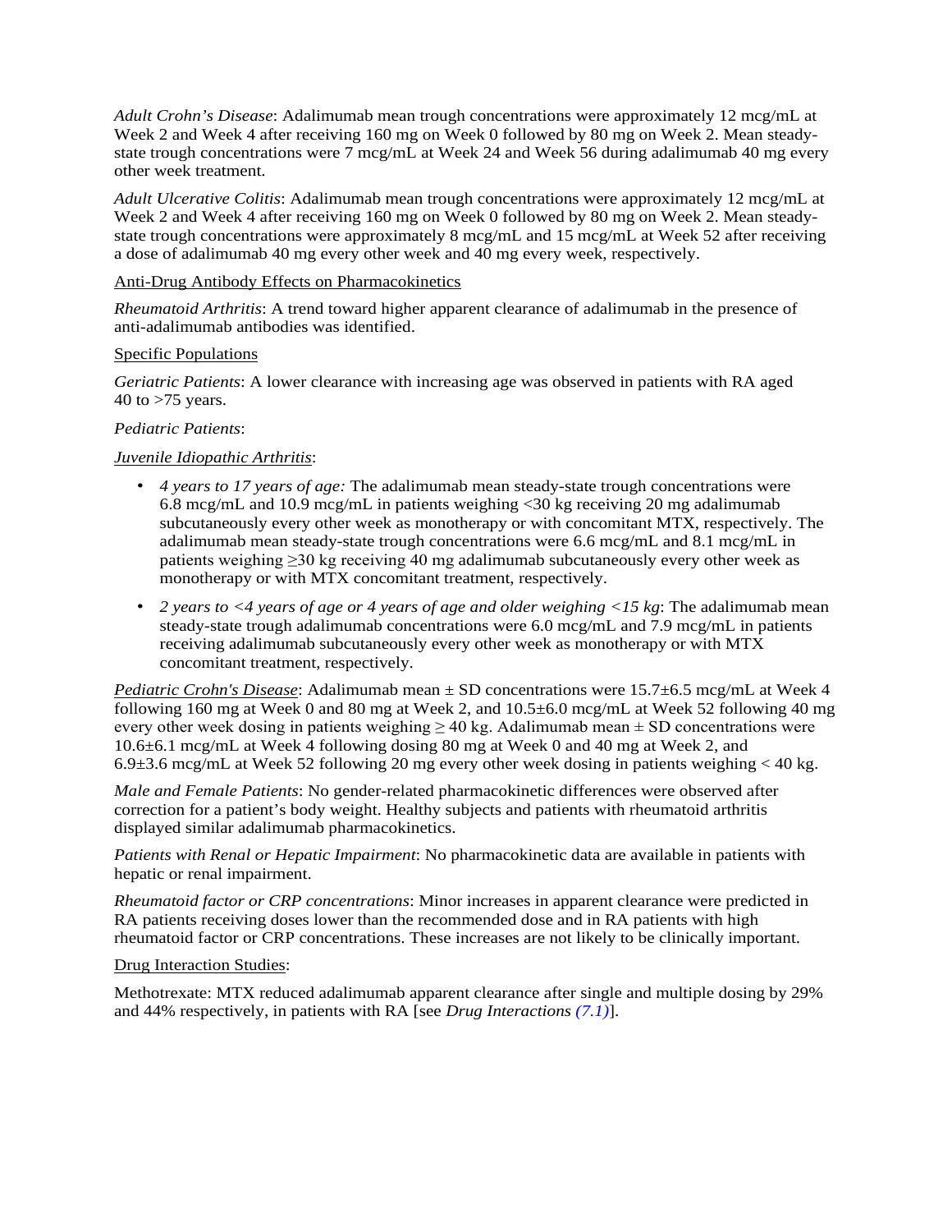*Adult Crohn's Disease*: Adalimumab mean trough concentrations were approximately 12 mcg/mL at Week 2 and Week 4 after receiving 160 mg on Week 0 followed by 80 mg on Week 2. Mean steadystate trough concentrations were 7 mcg/mL at Week 24 and Week 56 during adalimumab 40 mg every other week treatment.

*Adult Ulcerative Colitis*: Adalimumab mean trough concentrations were approximately 12 mcg/mL at Week 2 and Week 4 after receiving 160 mg on Week 0 followed by 80 mg on Week 2. Mean steadystate trough concentrations were approximately 8 mcg/mL and 15 mcg/mL at Week 52 after receiving a dose of adalimumab 40 mg every other week and 40 mg every week, respectively.

#### Anti-Drug Antibody Effects on Pharmacokinetics

*Rheumatoid Arthritis*: A trend toward higher apparent clearance of adalimumab in the presence of anti-adalimumab antibodies was identified.

#### Specific Populations

*Geriatric Patients*: A lower clearance with increasing age was observed in patients with RA aged 40 to  $>75$  years.

#### *Pediatric Patients*:

#### *Juvenile Idiopathic Arthritis*:

- *4 years to 17 years of age:* The adalimumab mean steady-state trough concentrations were 6.8 mcg/mL and 10.9 mcg/mL in patients weighing <30 kg receiving 20 mg adalimumab subcutaneously every other week as monotherapy or with concomitant MTX, respectively. The adalimumab mean steady-state trough concentrations were 6.6 mcg/mL and 8.1 mcg/mL in patients weighing ≥30 kg receiving 40 mg adalimumab subcutaneously every other week as monotherapy or with MTX concomitant treatment, respectively.
- *2 years to <4 years of age or 4 years of age and older weighing <15 kg*: The adalimumab mean steady-state trough adalimumab concentrations were 6.0 mcg/mL and 7.9 mcg/mL in patients receiving adalimumab subcutaneously every other week as monotherapy or with MTX concomitant treatment, respectively.

*Pediatric Crohn's Disease*: Adalimumab mean ± SD concentrations were 15.7±6.5 mcg/mL at Week 4 following 160 mg at Week 0 and 80 mg at Week 2, and 10.5±6.0 mcg/mL at Week 52 following 40 mg every other week dosing in patients weighing  $\geq$  40 kg. Adalimumab mean  $\pm$  SD concentrations were 10.6±6.1 mcg/mL at Week 4 following dosing 80 mg at Week 0 and 40 mg at Week 2, and 6.9 $\pm$ 3.6 mcg/mL at Week 52 following 20 mg every other week dosing in patients weighing  $<$  40 kg.

*Male and Female Patients*: No gender-related pharmacokinetic differences were observed after correction for a patient's body weight. Healthy subjects and patients with rheumatoid arthritis displayed similar adalimumab pharmacokinetics.

*Patients with Renal or Hepatic Impairment*: No pharmacokinetic data are available in patients with hepatic or renal impairment.

*Rheumatoid factor or CRP concentrations*: Minor increases in apparent clearance were predicted in RA patients receiving doses lower than the recommended dose and in RA patients with high rheumatoid factor or CRP concentrations. These increases are not likely to be clinically important.

#### Drug Interaction Studies:

Methotrexate: MTX reduced adalimumab apparent clearance after single and multiple dosing by 29% and 44% respectively, in patients with RA [see *Drug Interactions [\(7.1\)](#page-16-3)*].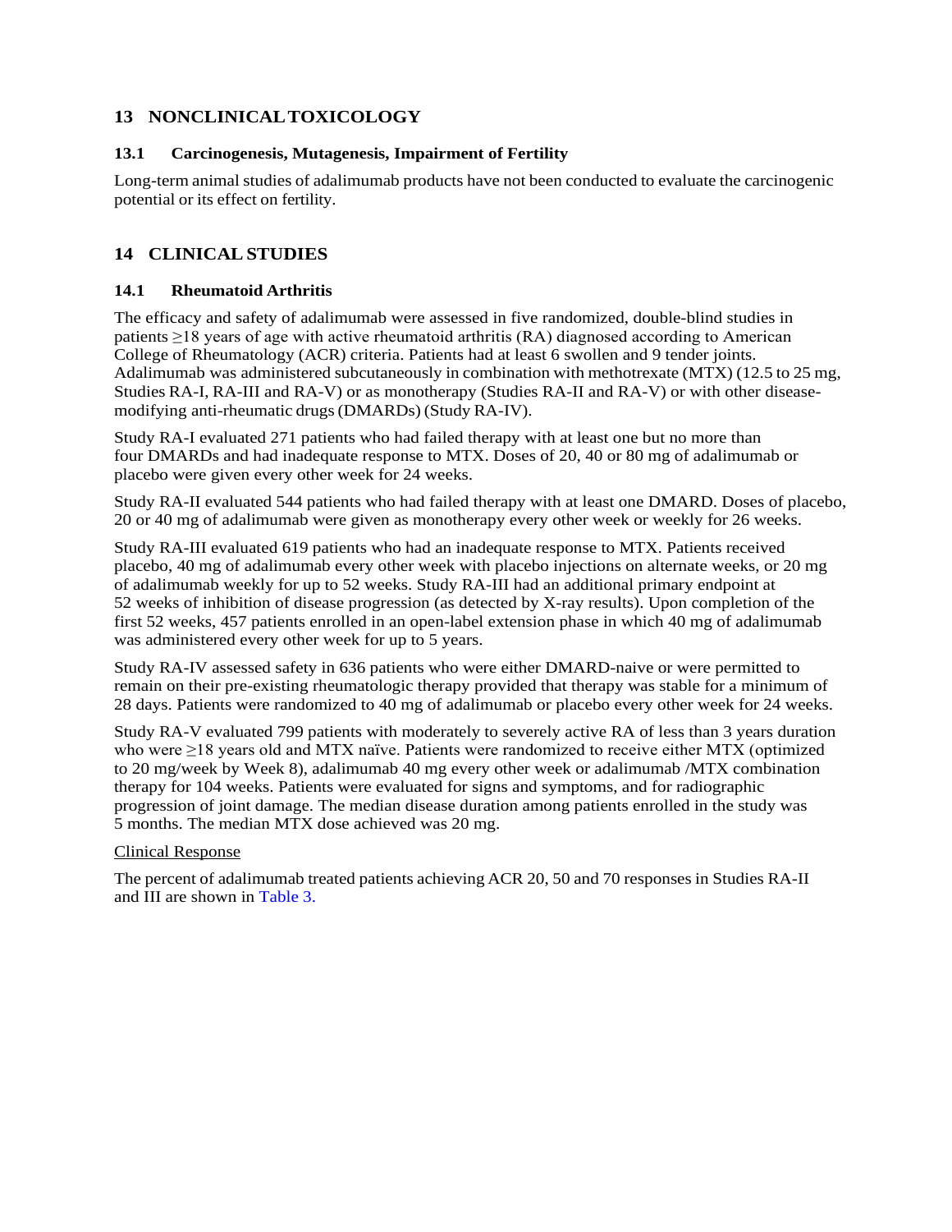## <span id="page-22-1"></span><span id="page-22-0"></span>**13 NONCLINICALTOXICOLOGY**

#### <span id="page-22-2"></span>**13.1 Carcinogenesis, Mutagenesis, Impairment of Fertility**

Long-term animal studies of adalimumab products have not been conducted to evaluate the carcinogenic potential or its effect on fertility.

## <span id="page-22-3"></span>**14 CLINICALSTUDIES**

## **14.1 Rheumatoid Arthritis**

The efficacy and safety of adalimumab were assessed in five randomized, double-blind studies in patients ≥18 years of age with active rheumatoid arthritis (RA) diagnosed according to American College of Rheumatology (ACR) criteria. Patients had at least 6 swollen and 9 tender joints. Adalimumab was administered subcutaneously in combination with methotrexate (MTX) (12.5 to 25 mg, Studies RA-I, RA-III and RA-V) or as monotherapy (Studies RA-II and RA-V) or with other diseasemodifying anti-rheumatic drugs(DMARDs) (Study RA-IV).

Study RA-I evaluated 271 patients who had failed therapy with at least one but no more than four DMARDs and had inadequate response to MTX. Doses of 20, 40 or 80 mg of adalimumab or placebo were given every other week for 24 weeks.

Study RA-II evaluated 544 patients who had failed therapy with at least one DMARD. Doses of placebo, 20 or 40 mg of adalimumab were given as monotherapy every other week or weekly for 26 weeks.

Study RA-III evaluated 619 patients who had an inadequate response to MTX. Patients received placebo, 40 mg of adalimumab every other week with placebo injections on alternate weeks, or 20 mg of adalimumab weekly for up to 52 weeks. Study RA-III had an additional primary endpoint at 52 weeks of inhibition of disease progression (as detected by X-ray results). Upon completion of the first 52 weeks, 457 patients enrolled in an open-label extension phase in which 40 mg of adalimumab was administered every other week for up to 5 years.

Study RA-IV assessed safety in 636 patients who were either DMARD-naive or were permitted to remain on their pre-existing rheumatologic therapy provided that therapy was stable for a minimum of 28 days. Patients were randomized to 40 mg of adalimumab or placebo every other week for 24 weeks.

Study RA-V evaluated 799 patients with moderately to severely active RA of less than 3 years duration who were ≥18 years old and MTX naïve. Patients were randomized to receive either MTX (optimized to 20 mg/week by Week 8), adalimumab 40 mg every other week or adalimumab /MTX combination therapy for 104 weeks. Patients were evaluated for signs and symptoms, and for radiographic progression of joint damage. The median disease duration among patients enrolled in the study was 5 months. The median MTX dose achieved was 20 mg.

#### Clinical Response

The percent of adalimumab treated patients achieving ACR 20, 50 and 70 responses in Studies RA-II and III are shown in [Table 3.](#page-23-0)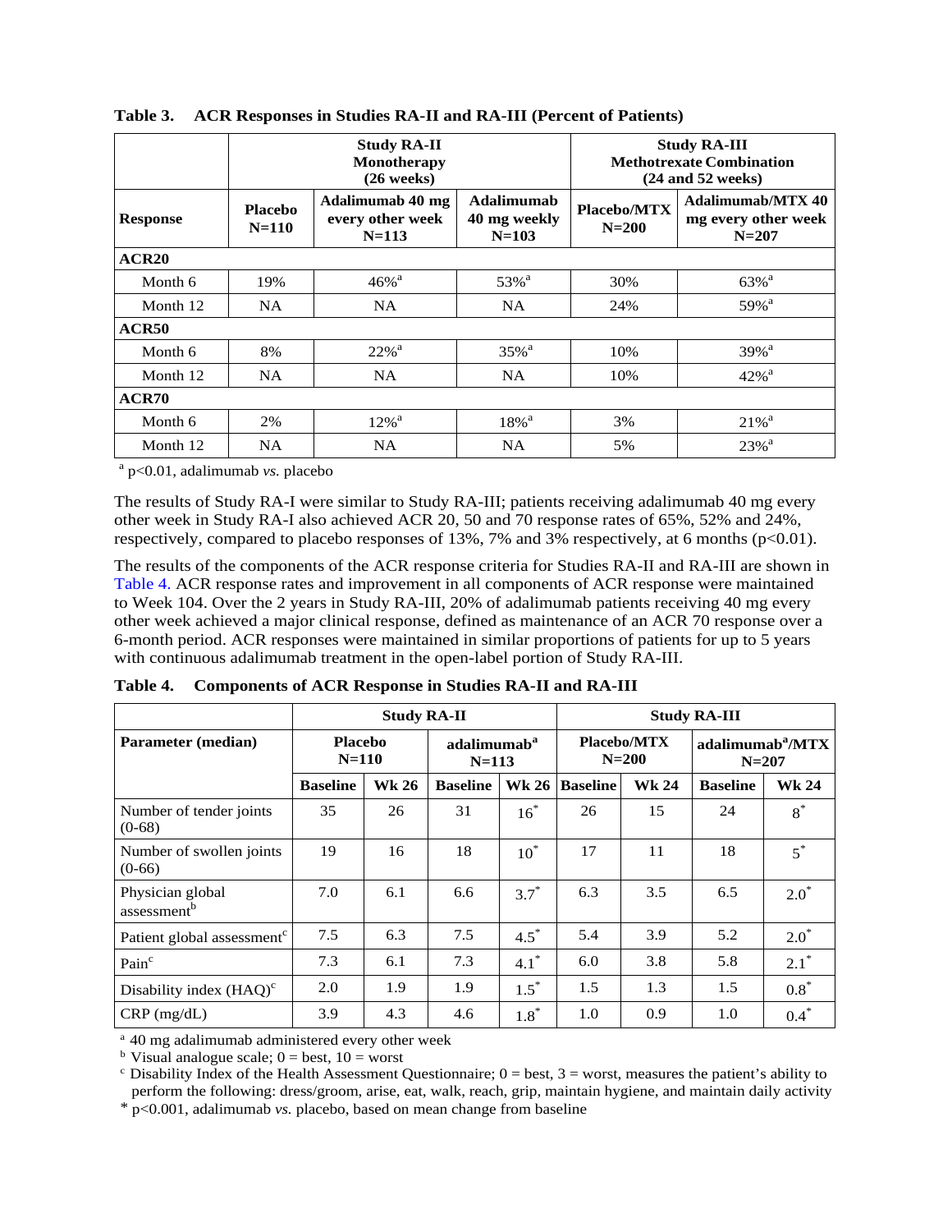|                 | <b>Study RA-II</b><br>Monotherapy<br>$(26$ weeks)                                             |                     |                            | <b>Study RA-III</b><br><b>Methotrexate Combination</b><br>$(24$ and 52 weeks) |                                                       |
|-----------------|-----------------------------------------------------------------------------------------------|---------------------|----------------------------|-------------------------------------------------------------------------------|-------------------------------------------------------|
| <b>Response</b> | Adalimumab 40 mg<br><b>Placebo</b><br>every other week<br>$N = 110$<br>$N = 103$<br>$N = 113$ |                     | Adalimumab<br>40 mg weekly | Placebo/MTX<br>$N = 200$                                                      | Adalimumab/MTX 40<br>mg every other week<br>$N = 207$ |
| ACR20           |                                                                                               |                     |                            |                                                                               |                                                       |
| Month 6         | 19%                                                                                           | $46\%$ <sup>a</sup> | 53% <sup>a</sup>           | 30%                                                                           | $63\%$ <sup>a</sup>                                   |
| Month 12        | NA                                                                                            | <b>NA</b>           | NA.                        | 24%                                                                           | $59\%$ <sup>a</sup>                                   |
| ACR50           |                                                                                               |                     |                            |                                                                               |                                                       |
| Month 6         | 8%                                                                                            | $22%$ <sup>a</sup>  | $35\%$ <sup>a</sup>        | 10%                                                                           | $39%$ <sup>a</sup>                                    |
| Month 12        | NA                                                                                            | <b>NA</b>           | NA                         | 10%                                                                           | $42\%$ <sup>a</sup>                                   |
| ACR70           |                                                                                               |                     |                            |                                                                               |                                                       |
| Month 6         | 2%                                                                                            | $12\%$ <sup>a</sup> | $18\%$ <sup>a</sup>        | 3%                                                                            | $21\%$ <sup>a</sup>                                   |
| Month 12        | <b>NA</b>                                                                                     | <b>NA</b>           | <b>NA</b>                  | 5%                                                                            | $23%$ <sup>a</sup>                                    |

#### <span id="page-23-0"></span>**Table 3. ACR Responses in Studies RA-II and RA-III (Percent of Patients)**

<sup>a</sup> p<0.01, adalimumab *vs.* placebo

The results of Study RA-I were similar to Study RA-III; patients receiving adalimumab 40 mg every other week in Study RA-I also achieved ACR 20, 50 and 70 response rates of 65%, 52% and 24%, respectively, compared to placebo responses of 13%, 7% and 3% respectively, at 6 months  $(p<0.01)$ .

The results of the components of the ACR response criteria for Studies RA-II and RA-III are shown in [Table 4.](#page-23-1) ACR response rates and improvement in all components of ACR response were maintained to Week 104. Over the 2 years in Study RA-III, 20% of adalimumab patients receiving 40 mg every other week achieved a major clinical response, defined as maintenance of an ACR 70 response over a 6-month period. ACR responses were maintained in similar proportions of patients for up to 5 years with continuous adalimumab treatment in the open-label portion of Study RA-III.

|                                             | <b>Study RA-II</b>        |       |                                      | <b>Study RA-III</b> |                               |              |                                           |              |
|---------------------------------------------|---------------------------|-------|--------------------------------------|---------------------|-------------------------------|--------------|-------------------------------------------|--------------|
| <b>Parameter (median)</b>                   | <b>Placebo</b><br>$N=110$ |       | adalimumab <sup>a</sup><br>$N = 113$ |                     | <b>Placebo/MTX</b><br>$N=200$ |              | adalimumab <sup>a</sup> /MTX<br>$N = 207$ |              |
|                                             | <b>Baseline</b>           | Wk 26 | <b>Baseline</b>                      | <b>Wk 26</b>        | <b>Baseline</b>               | <b>Wk 24</b> | <b>Baseline</b>                           | <b>Wk 24</b> |
| Number of tender joints<br>$(0-68)$         | 35                        | 26    | 31                                   | $16^*$              | 26                            | 15           | 24                                        | $8^*$        |
| Number of swollen joints<br>$(0-66)$        | 19                        | 16    | 18                                   | $10^*$              | 17                            | 11           | 18                                        | $5^*$        |
| Physician global<br>assessment <sup>b</sup> | 7.0                       | 6.1   | 6.6                                  | $3.7^*$             | 6.3                           | 3.5          | 6.5                                       | $2.0^*$      |
| Patient global assessment <sup>c</sup>      | 7.5                       | 6.3   | 7.5                                  | $4.5^*$             | 5.4                           | 3.9          | 5.2                                       | $2.0*$       |
| Pain <sup>c</sup>                           | 7.3                       | 6.1   | 7.3                                  | $4.1*$              | 6.0                           | 3.8          | 5.8                                       | $2.1^*$      |
| Disability index $(HAQ)^c$                  | 2.0                       | 1.9   | 1.9                                  | $1.5^*$             | 1.5                           | 1.3          | 1.5                                       | $0.8*$       |
| $CRP$ (mg/dL)                               | 3.9                       | 4.3   | 4.6                                  | $1.8^*$             | 1.0                           | 0.9          | 1.0                                       | $0.4*$       |

<span id="page-23-1"></span>**Table 4. Components of ACR Response in Studies RA-II and RA-III**

<sup>a</sup> 40 mg adalimumab administered every other week

<sup>b</sup> Visual analogue scale;  $0 =$  best,  $10 =$  worst

 $c$  Disability Index of the Health Assessment Questionnaire;  $0 =$  best,  $3 =$  worst, measures the patient's ability to perform the following: dress/groom, arise, eat, walk, reach, grip, maintain hygiene, and maintain daily activity

\* p<0.001, adalimumab *vs.* placebo, based on mean change from baseline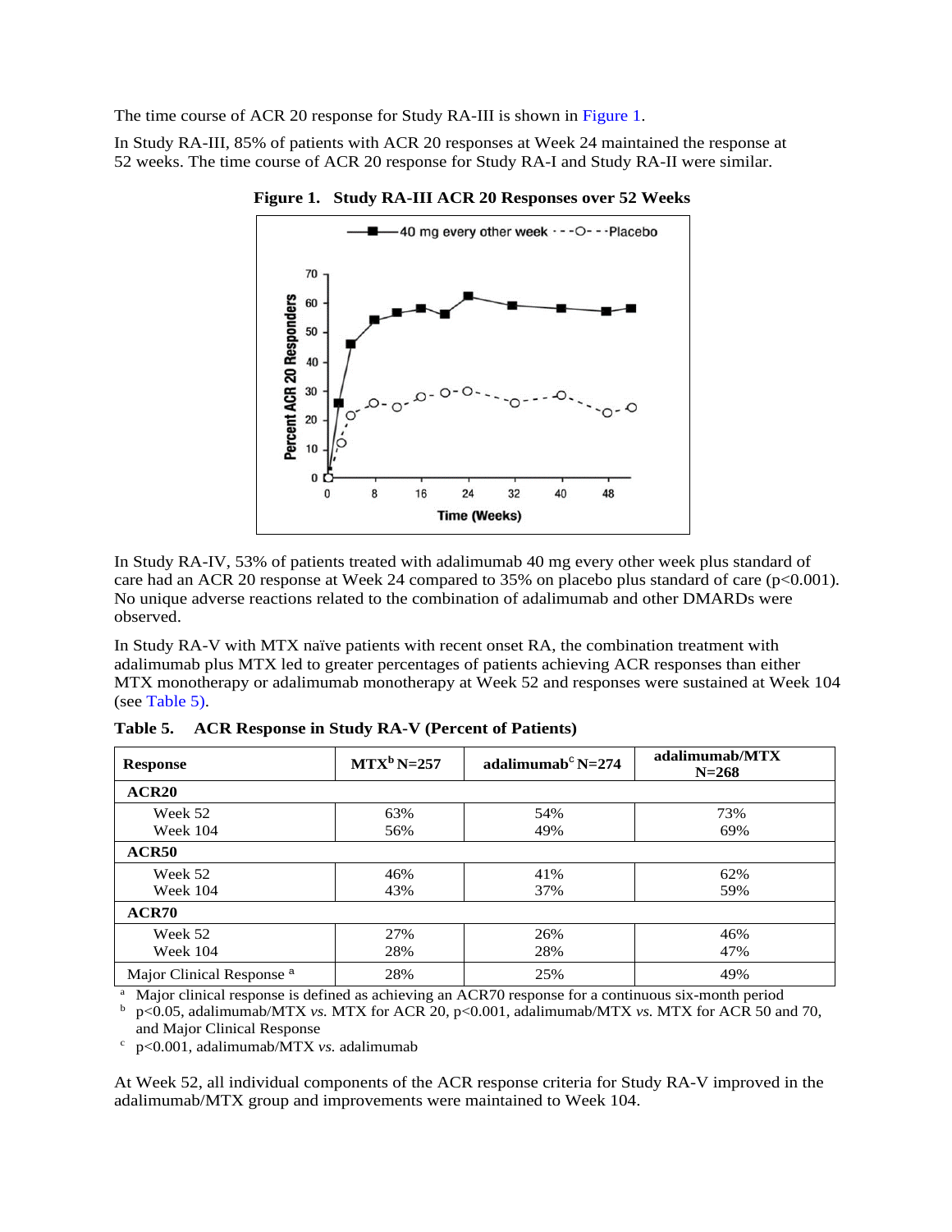<span id="page-24-0"></span>The time course of ACR 20 response for Study RA-III is shown i[n Figure 1.](#page-24-0)

In Study RA-III, 85% of patients with ACR 20 responses at Week 24 maintained the response at 52 weeks. The time course of ACR 20 response for Study RA-I and Study RA-II were similar.



**Figure 1. Study RA-III ACR 20 Responses over 52 Weeks**

In Study RA-IV, 53% of patients treated with adalimumab 40 mg every other week plus standard of care had an ACR 20 response at Week 24 compared to  $35\%$  on placebo plus standard of care (p<0.001). No unique adverse reactions related to the combination of adalimumab and other DMARDs were observed.

In Study RA-V with MTX naïve patients with recent onset RA, the combination treatment with adalimumab plus MTX led to greater percentages of patients achieving ACR responses than either MTX monotherapy or adalimumab monotherapy at Week 52 and responses were sustained at Week 104 (se[e Table 5\)](#page-24-1).

| <b>Response</b>                      | $MTXb N=257$ | adalimumab <sup>c</sup> N=274 | adalimumab/MTX<br>$N = 268$ |
|--------------------------------------|--------------|-------------------------------|-----------------------------|
| ACR <sub>20</sub>                    |              |                               |                             |
| Week 52<br><b>Week 104</b>           | 63%<br>56%   | 54%<br>49%                    | 73%<br>69%                  |
| ACR50                                |              |                               |                             |
| Week 52<br>Week 104                  | 46%<br>43%   | 41%<br>37%                    | 62%<br>59%                  |
| ACR70                                |              |                               |                             |
| Week 52<br><b>Week 104</b>           | 27%<br>28%   | 26%<br>28%                    | 46%<br>47%                  |
| Major Clinical Response <sup>a</sup> | 28%          | 25%                           | 49%                         |

<span id="page-24-1"></span>**Table 5. ACR Response in Study RA-V (Percent of Patients)**

<sup>a</sup> Major clinical response is defined as achieving an ACR70 response for a continuous six-month period  $\frac{b}{n}$  n<0.05 adalimumab/MTX vs MTX for ACR 50 are

<sup>b</sup> p<0.05, adalimumab/MTX *vs.* MTX for ACR 20, p<0.001, adalimumab/MTX *vs.* MTX for ACR 50 and 70, and Major Clinical Response

<sup>c</sup> p<0.001, adalimumab/MTX *vs.* adalimumab

At Week 52, all individual components of the ACR response criteria for Study RA-V improved in the adalimumab/MTX group and improvements were maintained to Week 104.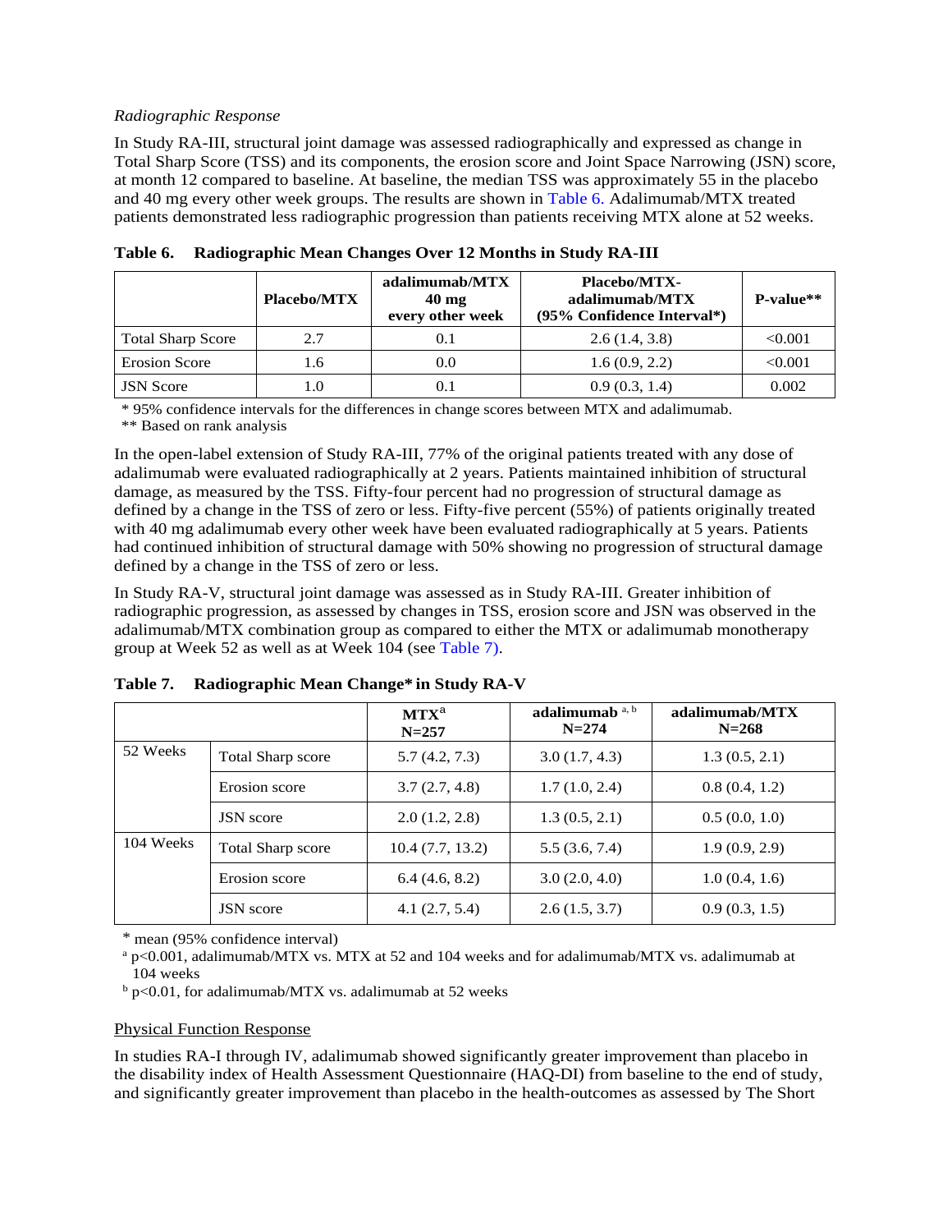#### *Radiographic Response*

<span id="page-25-0"></span>In Study RA-III, structural joint damage was assessed radiographically and expressed as change in Total Sharp Score (TSS) and its components, the erosion score and Joint Space Narrowing (JSN) score, at month 12 compared to baseline. At baseline, the median TSS was approximately 55 in the placebo and 40 mg every other week groups. The results are shown i[n Table 6.](#page-25-0) Adalimumab/MTX treated patients demonstrated less radiographic progression than patients receiving MTX alone at 52 weeks.

|                          | <b>Placebo/MTX</b> | adalimumab/MTX<br>$40 \text{ mg}$<br>every other week | <b>Placebo/MTX-</b><br>adalimumab/MTX<br>(95% Confidence Interval*) | $P-value**$ |
|--------------------------|--------------------|-------------------------------------------------------|---------------------------------------------------------------------|-------------|
| <b>Total Sharp Score</b> | 2.7                | 0.1                                                   | 2.6(1.4, 3.8)                                                       | < 0.001     |
| <b>Erosion Score</b>     | I.6                | 0.0                                                   | 1.6(0.9, 2.2)                                                       | < 0.001     |
| <b>JSN</b> Score         | L.O                | 0.1                                                   | 0.9(0.3, 1.4)                                                       | 0.002       |

**Table 6. Radiographic Mean Changes Over 12 Months in Study RA-III**

\* 95% confidence intervals for the differences in change scores between MTX and adalimumab.

\*\* Based on rank analysis

In the open-label extension of Study RA-III, 77% of the original patients treated with any dose of adalimumab were evaluated radiographically at 2 years. Patients maintained inhibition of structural damage, as measured by the TSS. Fifty-four percent had no progression of structural damage as defined by a change in the TSS of zero or less. Fifty-five percent (55%) of patients originally treated with 40 mg adalimumab every other week have been evaluated radiographically at 5 years. Patients had continued inhibition of structural damage with 50% showing no progression of structural damage defined by a change in the TSS of zero or less.

In Study RA-V, structural joint damage was assessed as in Study RA-III. Greater inhibition of radiographic progression, as assessed by changes in TSS, erosion score and JSN was observed in the adalimumab/MTX combination group as compared to either the MTX or adalimumab monotherapy group at Week 52 as well as at Week 104 (se[e Table 7\)](#page-25-1).

|           |                          | $MTX^a$<br>$N = 257$ | adalimumab a, b<br>$N = 274$ | adalimumab/MTX<br>$N = 268$ |
|-----------|--------------------------|----------------------|------------------------------|-----------------------------|
| 52 Weeks  | <b>Total Sharp score</b> | 5.7(4.2, 7.3)        | 3.0(1.7, 4.3)                | 1.3(0.5, 2.1)               |
|           | Erosion score            | 3.7(2.7, 4.8)        | 1.7(1.0, 2.4)                | 0.8(0.4, 1.2)               |
|           | <b>JSN</b> score         | 2.0(1.2, 2.8)        | 1.3(0.5, 2.1)                | 0.5(0.0, 1.0)               |
| 104 Weeks | Total Sharp score        | 10.4(7.7, 13.2)      | 5.5(3.6, 7.4)                | 1.9(0.9, 2.9)               |
|           | Erosion score            | 6.4(4.6, 8.2)        | 3.0(2.0, 4.0)                | 1.0(0.4, 1.6)               |
|           | <b>JSN</b> score         | 4.1(2.7, 5.4)        | 2.6(1.5, 3.7)                | 0.9(0.3, 1.5)               |

<span id="page-25-1"></span>**Table 7. Radiographic Mean Change\* in Study RA-V** 

\* mean (95% confidence interval)

<sup>a</sup> p<0.001, adalimumab/MTX vs. MTX at 52 and 104 weeks and for adalimumab/MTX vs. adalimumab at 104 weeks

 $b$  p<0.01, for adalimumab/MTX vs. adalimumab at 52 weeks

#### Physical Function Response

In studies RA-I through IV, adalimumab showed significantly greater improvement than placebo in the disability index of Health Assessment Questionnaire (HAQ-DI) from baseline to the end of study, and significantly greater improvement than placebo in the health-outcomes as assessed by The Short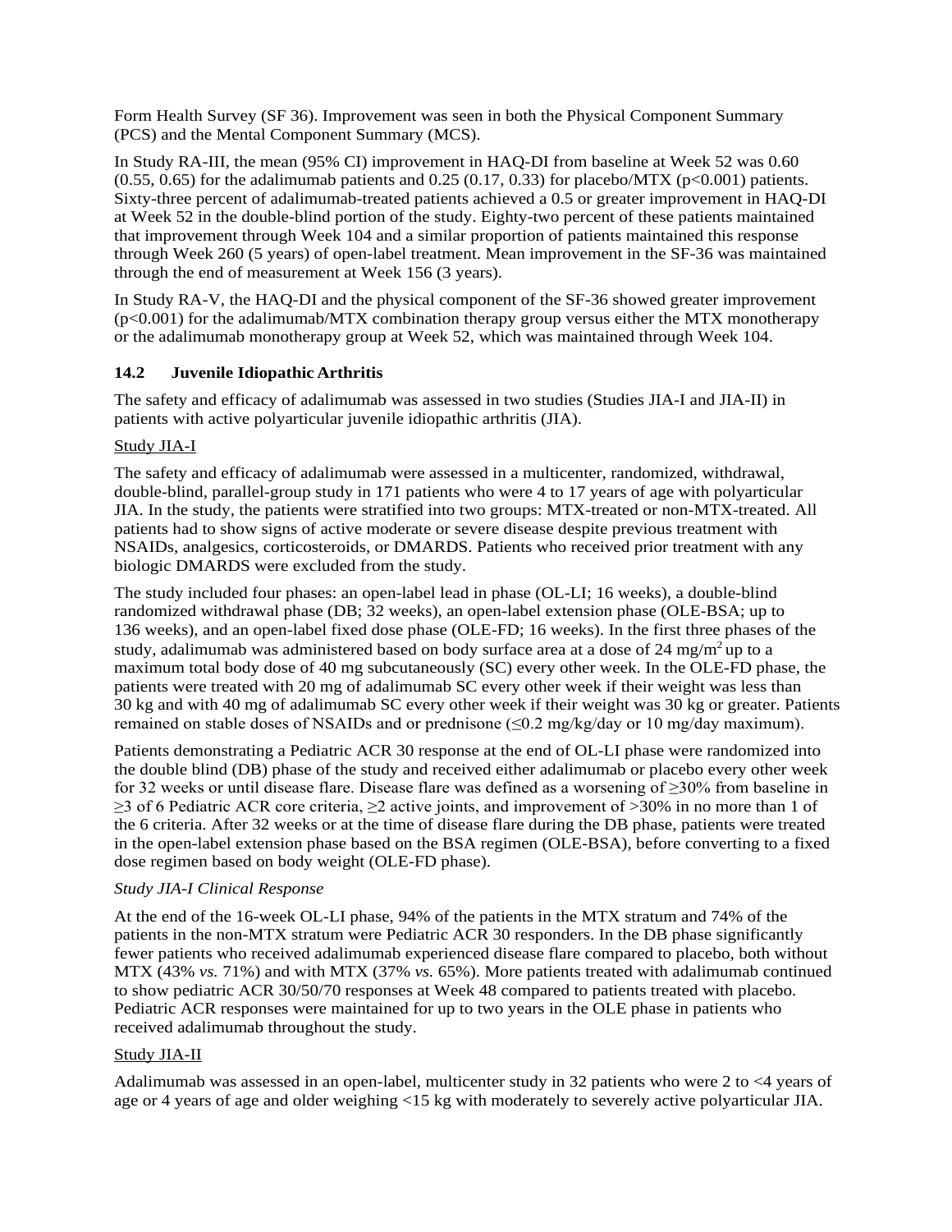Form Health Survey (SF 36). Improvement was seen in both the Physical Component Summary (PCS) and the Mental Component Summary (MCS).

In Study RA-III, the mean (95% CI) improvement in HAQ-DI from baseline at Week 52 was 0.60  $(0.55, 0.65)$  for the adalimumab patients and 0.25  $(0.17, 0.33)$  for placebo/MTX (p<0.001) patients. Sixty-three percent of adalimumab-treated patients achieved a 0.5 or greater improvement in HAQ-DI at Week 52 in the double-blind portion of the study. Eighty-two percent of these patients maintained that improvement through Week 104 and a similar proportion of patients maintained this response through Week 260 (5 years) of open-label treatment. Mean improvement in the SF-36 was maintained through the end of measurement at Week 156 (3 years).

<span id="page-26-0"></span>In Study RA-V, the HAQ-DI and the physical component of the SF-36 showed greater improvement  $(p<0.001)$  for the adalimumab/MTX combination therapy group versus either the MTX monotherapy or the adalimumab monotherapy group at Week 52, which was maintained through Week 104.

## **14.2 Juvenile Idiopathic Arthritis**

The safety and efficacy of adalimumab was assessed in two studies (Studies JIA-I and JIA-II) in patients with active polyarticular juvenile idiopathic arthritis (JIA).

#### Study JIA-I

The safety and efficacy of adalimumab were assessed in a multicenter, randomized, withdrawal, double-blind, parallel-group study in 171 patients who were 4 to 17 years of age with polyarticular JIA. In the study, the patients were stratified into two groups: MTX-treated or non-MTX-treated. All patients had to show signs of active moderate or severe disease despite previous treatment with NSAIDs, analgesics, corticosteroids, or DMARDS. Patients who received prior treatment with any biologic DMARDS were excluded from the study.

The study included four phases: an open-label lead in phase (OL-LI; 16 weeks), a double-blind randomized withdrawal phase (DB; 32 weeks), an open-label extension phase (OLE-BSA; up to 136 weeks), and an open-label fixed dose phase (OLE-FD; 16 weeks). In the first three phases of the study, adalimumab was administered based on body surface area at a dose of 24 mg/m<sup>2</sup> up to a maximum total body dose of 40 mg subcutaneously (SC) every other week. In the OLE-FD phase, the patients were treated with 20 mg of adalimumab SC every other week if their weight was less than 30 kg and with 40 mg of adalimumab SC every other week if their weight was 30 kg or greater. Patients remained on stable doses of NSAIDs and or prednisone ( $\leq 0.2$  mg/kg/day or 10 mg/day maximum).

Patients demonstrating a Pediatric ACR 30 response at the end of OL-LI phase were randomized into the double blind (DB) phase of the study and received either adalimumab or placebo every other week for 32 weeks or until disease flare. Disease flare was defined as a worsening of ≥30% from baseline in  $\geq$ 3 of 6 Pediatric ACR core criteria,  $\geq$ 2 active joints, and improvement of  $>$ 30% in no more than 1 of the 6 criteria. After 32 weeks or at the time of disease flare during the DB phase, patients were treated in the open-label extension phase based on the BSA regimen (OLE-BSA), before converting to a fixed dose regimen based on body weight (OLE-FD phase).

#### *Study JIA-I Clinical Response*

At the end of the 16-week OL-LI phase, 94% of the patients in the MTX stratum and 74% of the patients in the non-MTX stratum were Pediatric ACR 30 responders. In the DB phase significantly fewer patients who received adalimumab experienced disease flare compared to placebo, both without MTX (43% *vs.* 71%) and with MTX (37% *vs.* 65%). More patients treated with adalimumab continued to show pediatric ACR 30/50/70 responses at Week 48 compared to patients treated with placebo. Pediatric ACR responses were maintained for up to two years in the OLE phase in patients who received adalimumab throughout the study.

#### Study JIA-II

Adalimumab was assessed in an open-label, multicenter study in 32 patients who were 2 to <4 years of age or 4 years of age and older weighing <15 kg with moderately to severely active polyarticular JIA.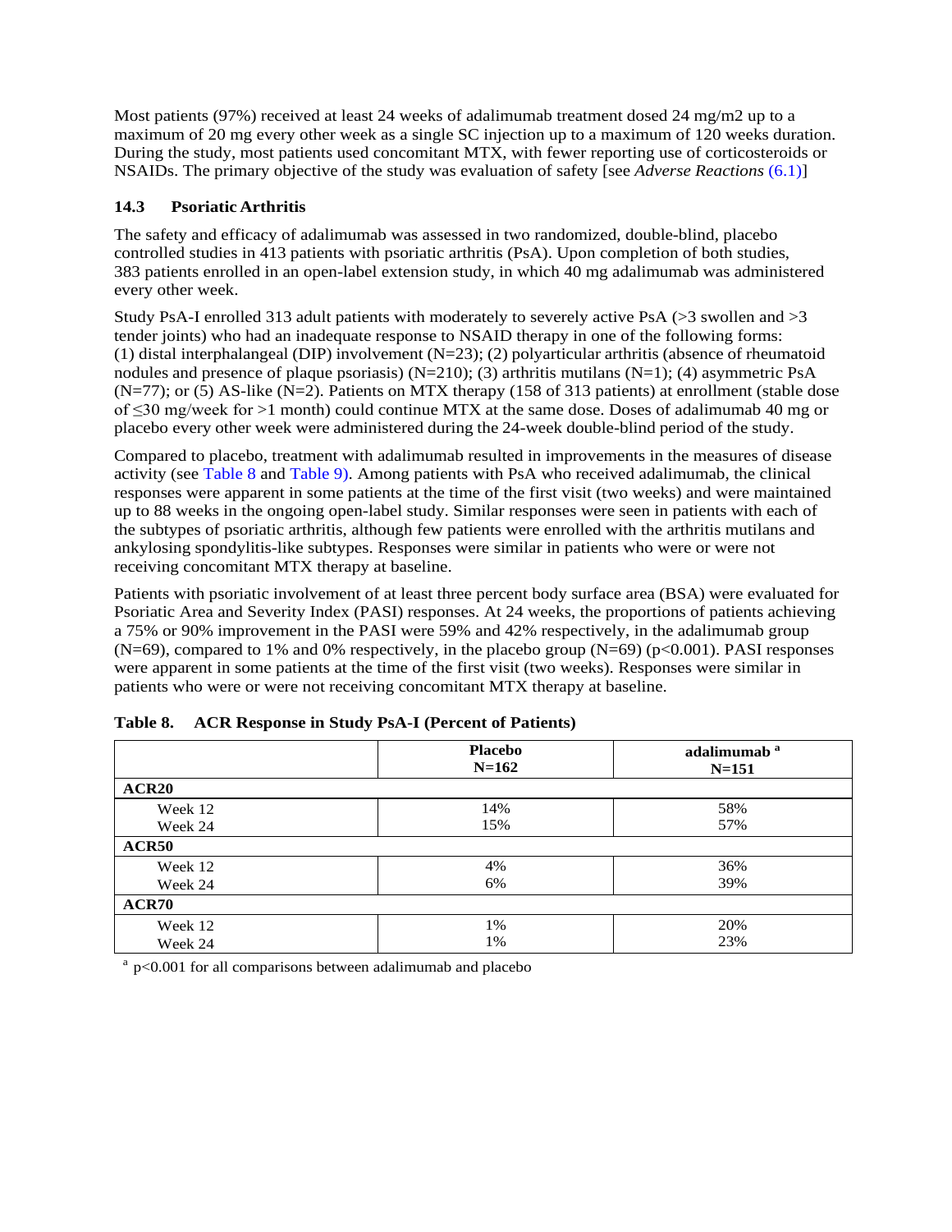<span id="page-27-0"></span>Most patients (97%) received at least 24 weeks of adalimumab treatment dosed 24 mg/m2 up to a maximum of 20 mg every other week as a single SC injection up to a maximum of 120 weeks duration. During the study, most patients used concomitant MTX, with fewer reporting use of corticosteroids or NSAIDs. The primary objective of the study was evaluation of safety [see *Adverse Reactions* [\(6.1\)](#page-10-0)]

## **14.3 Psoriatic Arthritis**

The safety and efficacy of adalimumab was assessed in two randomized, double-blind, placebo controlled studies in 413 patients with psoriatic arthritis (PsA). Upon completion of both studies, 383 patients enrolled in an open-label extension study, in which 40 mg adalimumab was administered every other week.

Study PsA-I enrolled 313 adult patients with moderately to severely active PsA (>3 swollen and >3 tender joints) who had an inadequate response to NSAID therapy in one of the following forms: (1) distal interphalangeal (DIP) involvement  $(N=23)$ ; (2) polyarticular arthritis (absence of rheumatoid nodules and presence of plaque psoriasis)  $(N=210)$ ; (3) arthritis mutilans  $(N=1)$ ; (4) asymmetric PsA (N=77); or (5) AS-like (N=2). Patients on MTX therapy (158 of 313 patients) at enrollment (stable dose of ≤30 mg/week for >1 month) could continue MTX at the same dose. Doses of adalimumab 40 mg or placebo every other week were administered during the 24-week double-blind period of the study.

Compared to placebo, treatment with adalimumab resulted in improvements in the measures of disease activity (see [Table 8](#page-27-1) and [Table 9\)](#page-28-0). Among patients with PsA who received adalimumab, the clinical responses were apparent in some patients at the time of the first visit (two weeks) and were maintained up to 88 weeks in the ongoing open-label study. Similar responses were seen in patients with each of the subtypes of psoriatic arthritis, although few patients were enrolled with the arthritis mutilans and ankylosing spondylitis-like subtypes. Responses were similar in patients who were or were not receiving concomitant MTX therapy at baseline.

Patients with psoriatic involvement of at least three percent body surface area (BSA) were evaluated for Psoriatic Area and Severity Index (PASI) responses. At 24 weeks, the proportions of patients achieving a 75% or 90% improvement in the PASI were 59% and 42% respectively, in the adalimumab group  $(N=69)$ , compared to 1% and 0% respectively, in the placebo group  $(N=69)$  (p<0.001). PASI responses were apparent in some patients at the time of the first visit (two weeks). Responses were similar in patients who were or were not receiving concomitant MTX therapy at baseline.

|                   | <b>Placebo</b><br>$N=162$ | adalimumab <sup>a</sup><br>$N = 151$ |
|-------------------|---------------------------|--------------------------------------|
| ACR <sub>20</sub> |                           |                                      |
| Week 12           | 14%                       | 58%                                  |
| Week 24           | 15%                       | 57%                                  |
| <b>ACR50</b>      |                           |                                      |
| Week 12           | 4%                        | 36%                                  |
| Week 24           | 6%                        | 39%                                  |
| <b>ACR70</b>      |                           |                                      |
| Week 12           | 1%                        | 20%                                  |
| Week 24           | 1%                        | 23%                                  |

<span id="page-27-1"></span>**Table 8. ACR Response in Study PsA-I (Percent of Patients)**

 $a$  p<0.001 for all comparisons between adalimumab and placebo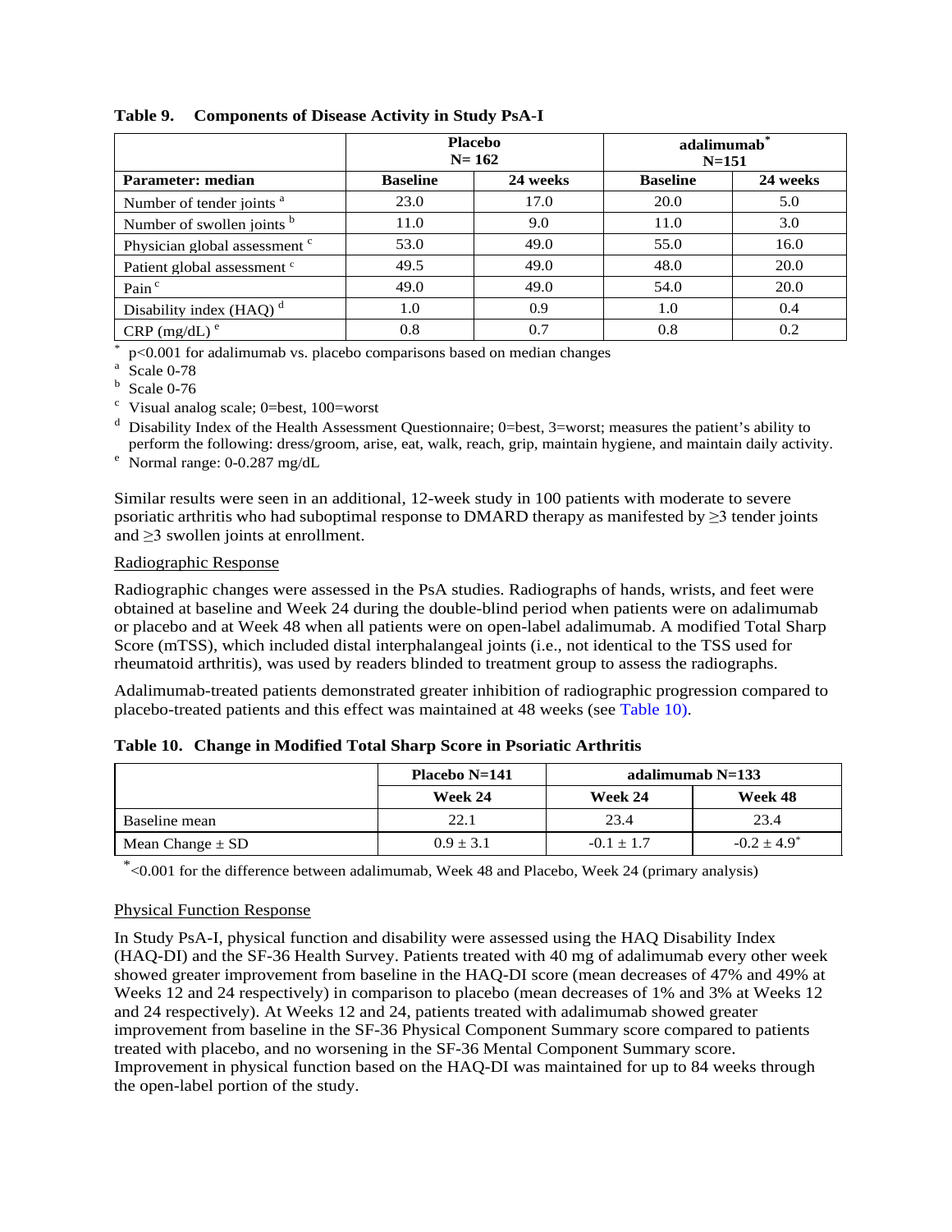|                                          |                 | <b>Placebo</b><br>$N = 162$ | adalimumab <sup>*</sup><br>$N = 151$ |          |  |  |
|------------------------------------------|-----------------|-----------------------------|--------------------------------------|----------|--|--|
| Parameter: median                        | <b>Baseline</b> | 24 weeks                    | <b>Baseline</b>                      | 24 weeks |  |  |
| Number of tender joints <sup>a</sup>     | 23.0            | 17.0                        | 20.0                                 | 5.0      |  |  |
| Number of swollen joints b               | 11.0            | 9.0                         | 11.0                                 | 3.0      |  |  |
| Physician global assessment <sup>c</sup> | 53.0            | 49.0                        | 55.0                                 | 16.0     |  |  |
| Patient global assessment <sup>c</sup>   | 49.5            | 49.0                        | 48.0                                 | 20.0     |  |  |
| Pain <sup>c</sup>                        | 49.0            | 49.0                        | 54.0                                 | 20.0     |  |  |
| Disability index $(HAO)^d$               | 1.0             | 0.9                         | 1.0                                  | 0.4      |  |  |
| $CRP$ (mg/dL) <sup>e</sup>               | 0.8             |                             | 0.8                                  | 0.2      |  |  |

#### <span id="page-28-0"></span>**Table 9. Components of Disease Activity in Study PsA-I**

 $*$  p<0.001 for adalimumab vs. placebo comparisons based on median changes  $*$  Scale 0-78 b Scale 0-76

 $\degree$  Visual analog scale; 0=best, 100=worst

 $d$  Disability Index of the Health Assessment Questionnaire; 0=best, 3=worst; measures the patient's ability to perform the following: dress/groom, arise, eat, walk, reach, grip, maintain hygiene, and maintain daily activity.<br>
<sup>e</sup> Normal range: 0-0.287 mg/dL

Similar results were seen in an additional, 12-week study in 100 patients with moderate to severe psoriatic arthritis who had suboptimal response to DMARD therapy as manifested by  $\geq 3$  tender joints and ≥3 swollen joints at enrollment.

#### Radiographic Response

Radiographic changes were assessed in the PsA studies. Radiographs of hands, wrists, and feet were obtained at baseline and Week 24 during the double-blind period when patients were on adalimumab or placebo and at Week 48 when all patients were on open-label adalimumab. A modified Total Sharp Score (mTSS), which included distal interphalangeal joints (i.e., not identical to the TSS used for rheumatoid arthritis), was used by readers blinded to treatment group to assess the radiographs.

<span id="page-28-1"></span>Adalimumab-treated patients demonstrated greater inhibition of radiographic progression compared to placebo-treated patients and this effect was maintained at 48 weeks (se[e Table 10\)](#page-28-1).

|  | Table 10. Change in Modified Total Sharp Score in Psoriatic Arthritis |  |  |  |  |  |  |
|--|-----------------------------------------------------------------------|--|--|--|--|--|--|
|--|-----------------------------------------------------------------------|--|--|--|--|--|--|

|                      | <b>Placebo N=141</b> |                | adalimumab N=133 |
|----------------------|----------------------|----------------|------------------|
|                      | Week 24              | Week 24        | Week 48          |
| Baseline mean        | 22.1                 | 23.4           | 23.4             |
| Mean Change $\pm$ SD | $0.9 \pm 3.1$        | $-0.1 \pm 1.7$ | $-0.2 + 4.9^*$   |

\*<0.001 for the difference between adalimumab, Week 48 and Placebo, Week 24 (primary analysis)

## Physical Function Response

In Study PsA-I, physical function and disability were assessed using the HAQ Disability Index (HAQ-DI) and the SF-36 Health Survey. Patients treated with 40 mg of adalimumab every other week showed greater improvement from baseline in the HAQ-DI score (mean decreases of 47% and 49% at Weeks 12 and 24 respectively) in comparison to placebo (mean decreases of 1% and 3% at Weeks 12 and 24 respectively). At Weeks 12 and 24, patients treated with adalimumab showed greater improvement from baseline in the SF-36 Physical Component Summary score compared to patients treated with placebo, and no worsening in the SF-36 Mental Component Summary score. Improvement in physical function based on the HAQ-DI was maintained for up to 84 weeks through the open-label portion of the study.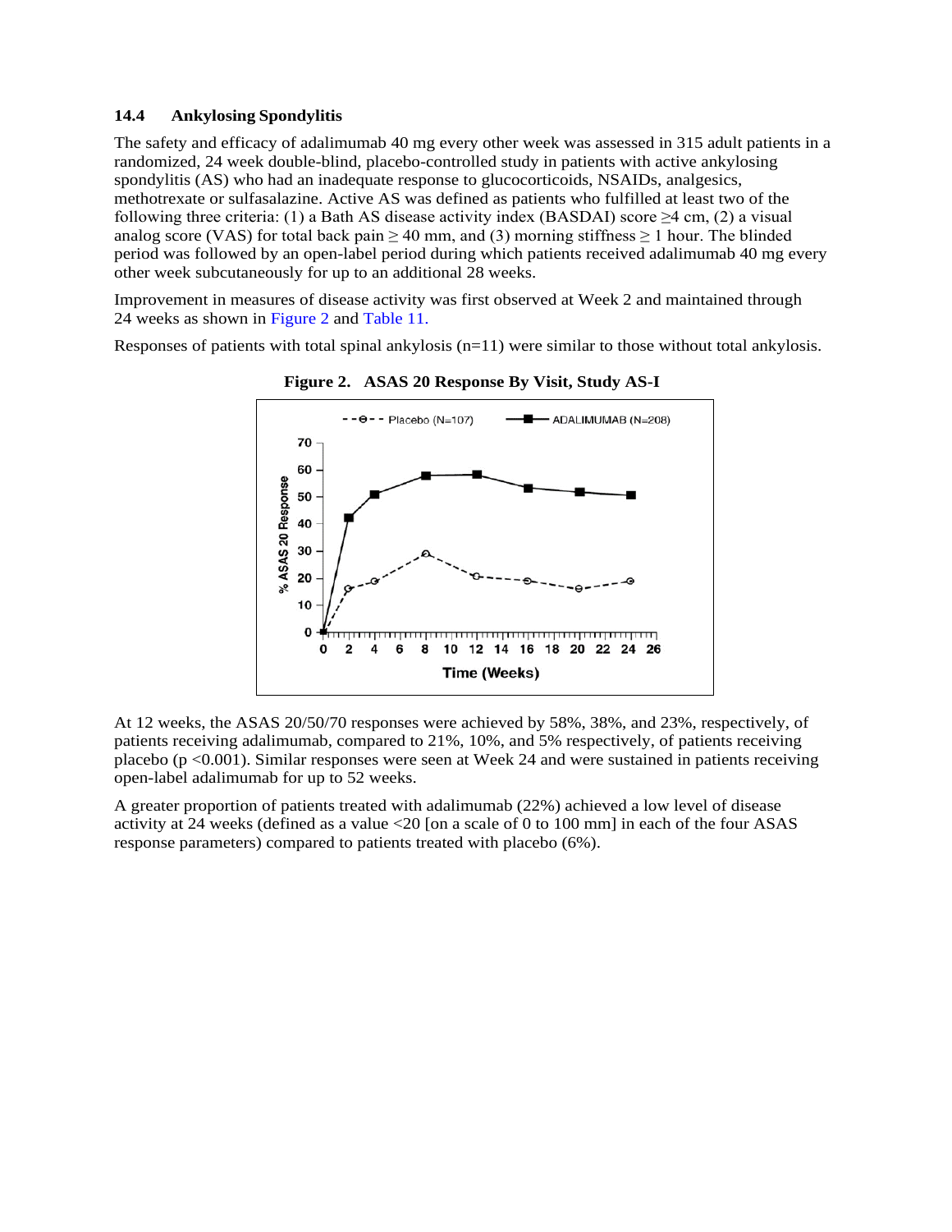#### <span id="page-29-0"></span>**14.4 Ankylosing Spondylitis**

The safety and efficacy of adalimumab 40 mg every other week was assessed in 315 adult patients in a randomized, 24 week double-blind, placebo-controlled study in patients with active ankylosing spondylitis (AS) who had an inadequate response to glucocorticoids, NSAIDs, analgesics, methotrexate or sulfasalazine. Active AS was defined as patients who fulfilled at least two of the following three criteria: (1) a Bath AS disease activity index (BASDAI) score ≥4 cm, (2) a visual analog score (VAS) for total back pain  $\geq$  40 mm, and (3) morning stiffness  $\geq$  1 hour. The blinded period was followed by an open-label period during which patients received adalimumab 40 mg every other week subcutaneously for up to an additional 28 weeks.

Improvement in measures of disease activity was first observed at Week 2 and maintained through 24 weeks as shown in [Figure 2](#page-29-1) and [Table 11.](#page-29-2)

<span id="page-29-1"></span>Responses of patients with total spinal ankylosis (n=11) were similar to those without total ankylosis.



**Figure 2. ASAS 20 Response By Visit, Study AS-I** 

At 12 weeks, the ASAS 20/50/70 responses were achieved by 58%, 38%, and 23%, respectively, of patients receiving adalimumab, compared to 21%, 10%, and 5% respectively, of patients receiving placebo (p <0.001). Similar responses were seen at Week 24 and were sustained in patients receiving open-label adalimumab for up to 52 weeks.

<span id="page-29-2"></span>A greater proportion of patients treated with adalimumab (22%) achieved a low level of disease activity at 24 weeks (defined as a value <20 [on a scale of 0 to 100 mm] in each of the four ASAS response parameters) compared to patients treated with placebo (6%).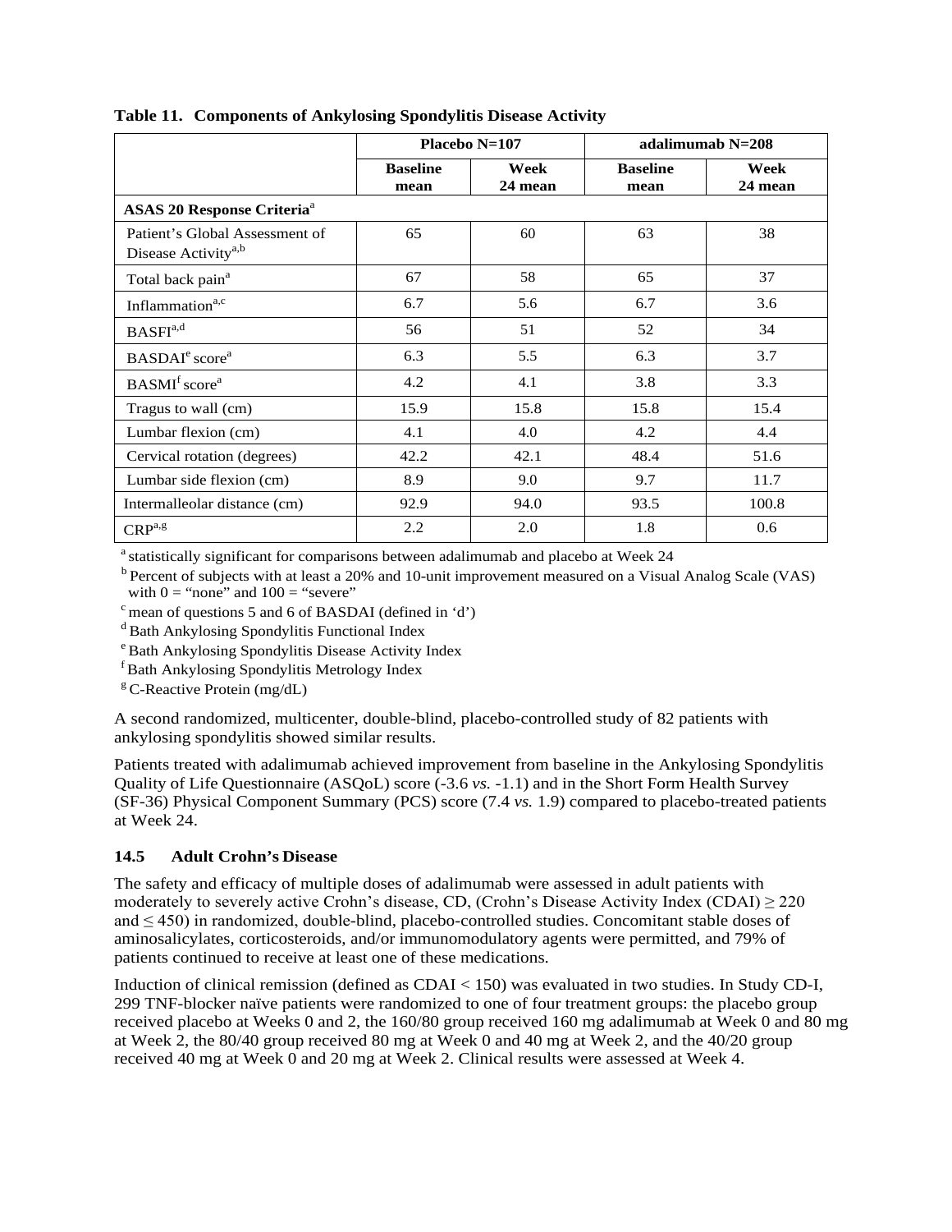|                                                                   |                         | Placebo N=107   | adalimumab N=208        |                 |  |  |
|-------------------------------------------------------------------|-------------------------|-----------------|-------------------------|-----------------|--|--|
|                                                                   | <b>Baseline</b><br>mean | Week<br>24 mean | <b>Baseline</b><br>mean | Week<br>24 mean |  |  |
| <b>ASAS 20 Response Criteria<sup>a</sup></b>                      |                         |                 |                         |                 |  |  |
| Patient's Global Assessment of<br>Disease Activity <sup>a,b</sup> | 65                      | 60              | 63                      | 38              |  |  |
| Total back pain <sup>a</sup>                                      | 67                      | 58              | 65                      | 37              |  |  |
| Inflammation <sup>a,c</sup>                                       | 6.7                     | 5.6             | 6.7                     | 3.6             |  |  |
| BASFI <sup>a,d</sup>                                              | 56                      | 51              | 52                      | 34              |  |  |
| BASDAI <sup>e</sup> score <sup>a</sup>                            | 6.3                     | 5.5             | 6.3                     | 3.7             |  |  |
| BASMI <sup>f</sup> score <sup>a</sup>                             | 4.2                     | 4.1             | 3.8                     | 3.3             |  |  |
| Tragus to wall (cm)                                               | 15.9                    | 15.8            | 15.8                    | 15.4            |  |  |
| Lumbar flexion (cm)                                               | 4.1                     | 4.0             | 4.2                     | 4.4             |  |  |
| Cervical rotation (degrees)                                       | 42.2                    | 42.1            | 48.4                    | 51.6            |  |  |
| Lumbar side flexion (cm)                                          | 8.9                     | 9.0             | 9.7                     | 11.7            |  |  |
| Intermalleolar distance (cm)                                      | 92.9                    | 94.0            | 93.5                    | 100.8           |  |  |
| $CRP^{a,g}$                                                       | 2.2                     | 2.0             | 1.8                     | 0.6             |  |  |

**Table 11. Components of Ankylosing Spondylitis Disease Activity**

<sup>a</sup> statistically significant for comparisons between adalimumab and placebo at Week 24

<sup>b</sup> Percent of subjects with at least a 20% and 10-unit improvement measured on a Visual Analog Scale (VAS) with  $0 =$  "none" and  $100 =$  "severe"

 $c$  mean of questions 5 and 6 of BASDAI (defined in 'd')

<sup>d</sup> Bath Ankylosing Spondylitis Functional Index

<sup>e</sup> Bath Ankylosing Spondylitis Disease Activity Index

f Bath Ankylosing Spondylitis Metrology Index

 ${}^{g}$  C-Reactive Protein (mg/dL)

A second randomized, multicenter, double-blind, placebo-controlled study of 82 patients with ankylosing spondylitis showed similar results.

Patients treated with adalimumab achieved improvement from baseline in the Ankylosing Spondylitis Quality of Life Questionnaire (ASQoL) score (-3.6 *vs.* -1.1) and in the Short Form Health Survey (SF-36) Physical Component Summary (PCS) score (7.4 *vs.* 1.9) compared to placebo-treated patients at Week 24.

## <span id="page-30-0"></span>**14.5 Adult Crohn's Disease**

The safety and efficacy of multiple doses of adalimumab were assessed in adult patients with moderately to severely active Crohn's disease, CD, (Crohn's Disease Activity Index (CDAI)  $\geq$  220 and ≤ 450) in randomized, double-blind, placebo-controlled studies. Concomitant stable doses of aminosalicylates, corticosteroids, and/or immunomodulatory agents were permitted, and 79% of patients continued to receive at least one of these medications.

Induction of clinical remission (defined as CDAI < 150) was evaluated in two studies. In Study CD-I, 299 TNF-blocker naïve patients were randomized to one of four treatment groups: the placebo group received placebo at Weeks 0 and 2, the 160/80 group received 160 mg adalimumab at Week 0 and 80 mg at Week 2, the 80/40 group received 80 mg at Week 0 and 40 mg at Week 2, and the 40/20 group received 40 mg at Week 0 and 20 mg at Week 2. Clinical results were assessed at Week 4.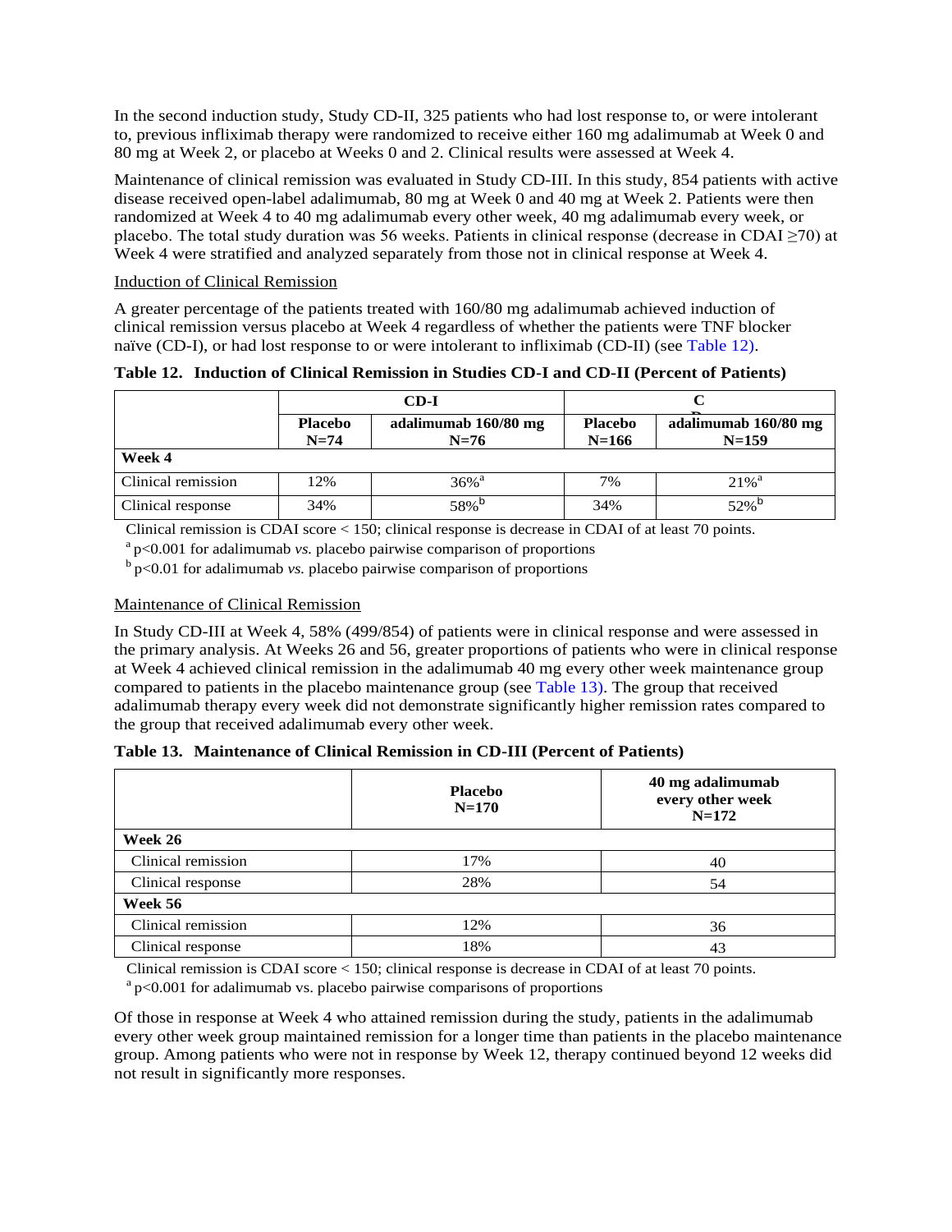In the second induction study, Study CD-II, 325 patients who had lost response to, or were intolerant to, previous infliximab therapy were randomized to receive either 160 mg adalimumab at Week 0 and 80 mg at Week 2, or placebo at Weeks 0 and 2. Clinical results were assessed at Week 4.

Maintenance of clinical remission was evaluated in Study CD-III. In this study, 854 patients with active disease received open-label adalimumab, 80 mg at Week 0 and 40 mg at Week 2. Patients were then randomized at Week 4 to 40 mg adalimumab every other week, 40 mg adalimumab every week, or placebo. The total study duration was 56 weeks. Patients in clinical response (decrease in CDAI  $\geq$ 70) at Week 4 were stratified and analyzed separately from those not in clinical response at Week 4.

#### Induction of Clinical Remission

<span id="page-31-0"></span>A greater percentage of the patients treated with 160/80 mg adalimumab achieved induction of clinical remission versus placebo at Week 4 regardless of whether the patients were TNF blocker naïve (CD-I), or had lost response to or were intolerant to infliximab (CD-II) (see [Table 12\)](#page-31-0).

|                    |                          | CD-I                           |                             |                                   |  |  |
|--------------------|--------------------------|--------------------------------|-----------------------------|-----------------------------------|--|--|
|                    | <b>Placebo</b><br>$N=74$ | adalimumab 160/80 mg<br>$N=76$ | <b>Placebo</b><br>$N = 166$ | adalimumab 160/80 mg<br>$N = 159$ |  |  |
| Week 4             |                          |                                |                             |                                   |  |  |
| Clinical remission | 12%                      | $36\%$ <sup>a</sup>            | 7%                          | $21\%$ <sup>a</sup>               |  |  |
| Clinical response  | 34%                      | 58% <sup>b</sup>               | 34%                         | $52\%$ <sup>p</sup>               |  |  |

**Table 12. Induction of Clinical Remission in Studies CD-I and CD-II (Percent of Patients)**

Clinical remission is CDAI score < 150; clinical response is decrease in CDAI of at least 70 points.

a p<0.001 for adalimumab *vs.* placebo pairwise comparison of proportions

 $b$  p $< 0.01$  for adalimumab *vs.* placebo pairwise comparison of proportions

#### Maintenance of Clinical Remission

In Study CD-III at Week 4, 58% (499/854) of patients were in clinical response and were assessed in the primary analysis. At Weeks 26 and 56, greater proportions of patients who were in clinical response at Week 4 achieved clinical remission in the adalimumab 40 mg every other week maintenance group compared to patients in the placebo maintenance group (se[e Table 13\)](#page-31-1). The group that received adalimumab therapy every week did not demonstrate significantly higher remission rates compared to the group that received adalimumab every other week.

<span id="page-31-1"></span>

|  | Table 13. Maintenance of Clinical Remission in CD-III (Percent of Patients) |  |  |  |  |  |
|--|-----------------------------------------------------------------------------|--|--|--|--|--|
|--|-----------------------------------------------------------------------------|--|--|--|--|--|

|                    | <b>Placebo</b><br>$N = 170$ | 40 mg adalimumab<br>every other week<br>$N=172$ |  |  |
|--------------------|-----------------------------|-------------------------------------------------|--|--|
| Week 26            |                             |                                                 |  |  |
| Clinical remission | 17%                         | 40                                              |  |  |
| Clinical response  | 28%                         | 54                                              |  |  |
| Week 56            |                             |                                                 |  |  |
| Clinical remission | 12%                         | 36                                              |  |  |
| Clinical response  | 18%                         | 43                                              |  |  |

Clinical remission is CDAI score < 150; clinical response is decrease in CDAI of at least 70 points.

 $a<sub>p</sub>$   $\leq$  0.001 for adalimumab vs. placebo pairwise comparisons of proportions

Of those in response at Week 4 who attained remission during the study, patients in the adalimumab every other week group maintained remission for a longer time than patients in the placebo maintenance group. Among patients who were not in response by Week 12, therapy continued beyond 12 weeks did not result in significantly more responses.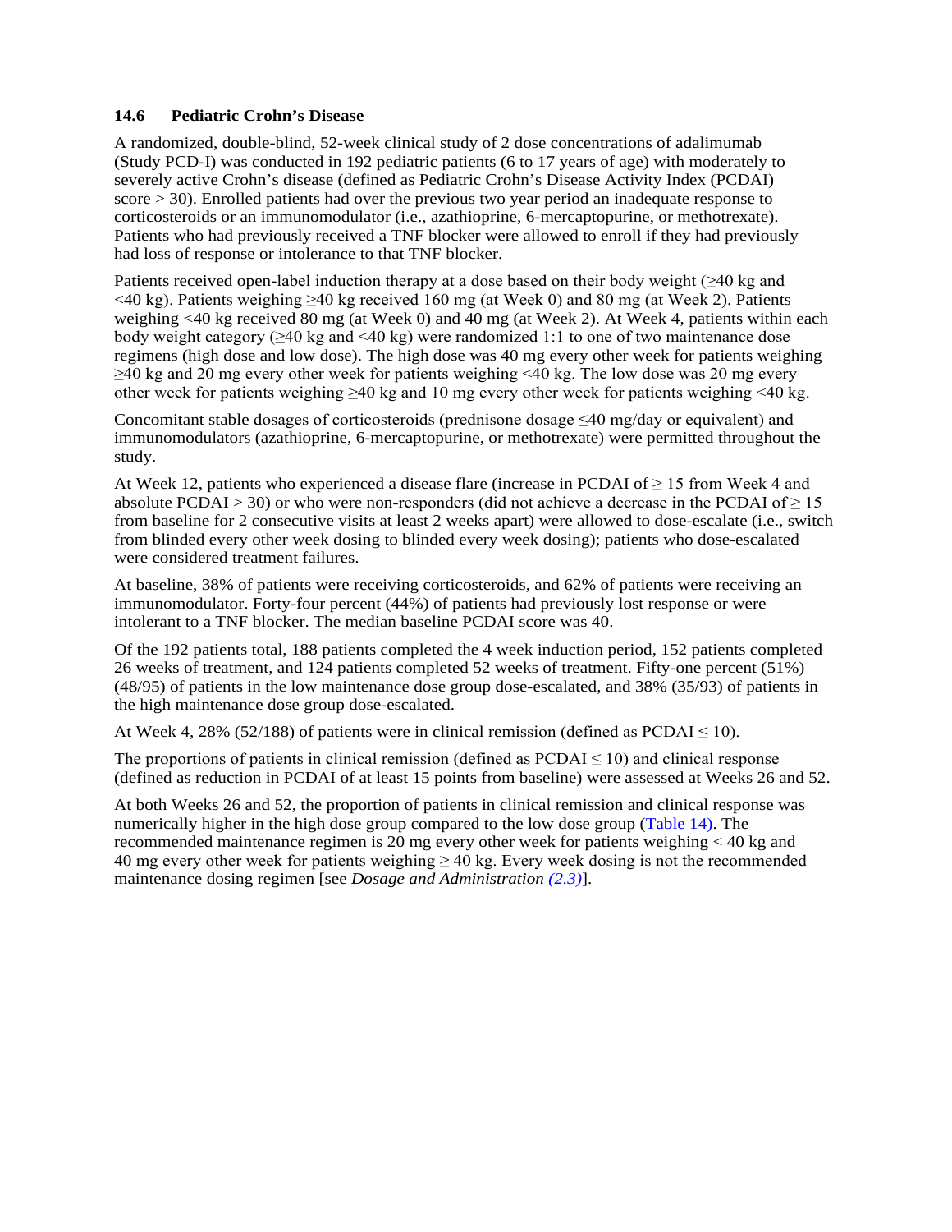#### <span id="page-32-0"></span>**14.6 Pediatric Crohn's Disease**

A randomized, double-blind, 52-week clinical study of 2 dose concentrations of adalimumab (Study PCD-I) was conducted in 192 pediatric patients (6 to 17 years of age) with moderately to severely active Crohn's disease (defined as Pediatric Crohn's Disease Activity Index (PCDAI) score > 30). Enrolled patients had over the previous two year period an inadequate response to corticosteroids or an immunomodulator (i.e., azathioprine, 6-mercaptopurine, or methotrexate). Patients who had previously received a TNF blocker were allowed to enroll if they had previously had loss of response or intolerance to that TNF blocker.

Patients received open-label induction therapy at a dose based on their body weight (≥40 kg and <40 kg). Patients weighing ≥40 kg received 160 mg (at Week 0) and 80 mg (at Week 2). Patients weighing <40 kg received 80 mg (at Week 0) and 40 mg (at Week 2). At Week 4, patients within each body weight category (≥40 kg and <40 kg) were randomized 1:1 to one of two maintenance dose regimens (high dose and low dose). The high dose was 40 mg every other week for patients weighing  $\geq$ 40 kg and 20 mg every other week for patients weighing <40 kg. The low dose was 20 mg every other week for patients weighing  $\geq 40$  kg and 10 mg every other week for patients weighing <40 kg.

Concomitant stable dosages of corticosteroids (prednisone dosage ≤40 mg/day or equivalent) and immunomodulators (azathioprine, 6-mercaptopurine, or methotrexate) were permitted throughout the study.

At Week 12, patients who experienced a disease flare (increase in PCDAI of  $\geq$  15 from Week 4 and absolute PCDAI > 30) or who were non-responders (did not achieve a decrease in the PCDAI of  $\geq$  15 from baseline for 2 consecutive visits at least 2 weeks apart) were allowed to dose-escalate (i.e., switch from blinded every other week dosing to blinded every week dosing); patients who dose-escalated were considered treatment failures.

At baseline, 38% of patients were receiving corticosteroids, and 62% of patients were receiving an immunomodulator. Forty-four percent (44%) of patients had previously lost response or were intolerant to a TNF blocker. The median baseline PCDAI score was 40.

Of the 192 patients total, 188 patients completed the 4 week induction period, 152 patients completed 26 weeks of treatment, and 124 patients completed 52 weeks of treatment. Fifty-one percent (51%) (48/95) of patients in the low maintenance dose group dose-escalated, and 38% (35/93) of patients in the high maintenance dose group dose-escalated.

At Week 4, 28% (52/188) of patients were in clinical remission (defined as PCDAI  $\leq$  10).

The proportions of patients in clinical remission (defined as  $PCDAI \leq 10$ ) and clinical response (defined as reduction in PCDAI of at least 15 points from baseline) were assessed at Weeks 26 and 52.

At both Weeks 26 and 52, the proportion of patients in clinical remission and clinical response was numerically higher in the high dose group compared to the low dose group [\(Table 14\)](#page-33-1). The recommended maintenance regimen is 20 mg every other week for patients weighing < 40 kg and 40 mg every other week for patients weighing  $\geq$  40 kg. Every week dosing is not the recommended maintenance dosing regimen [see *Dosage and Administration [\(2.3\)](#page-4-1)*].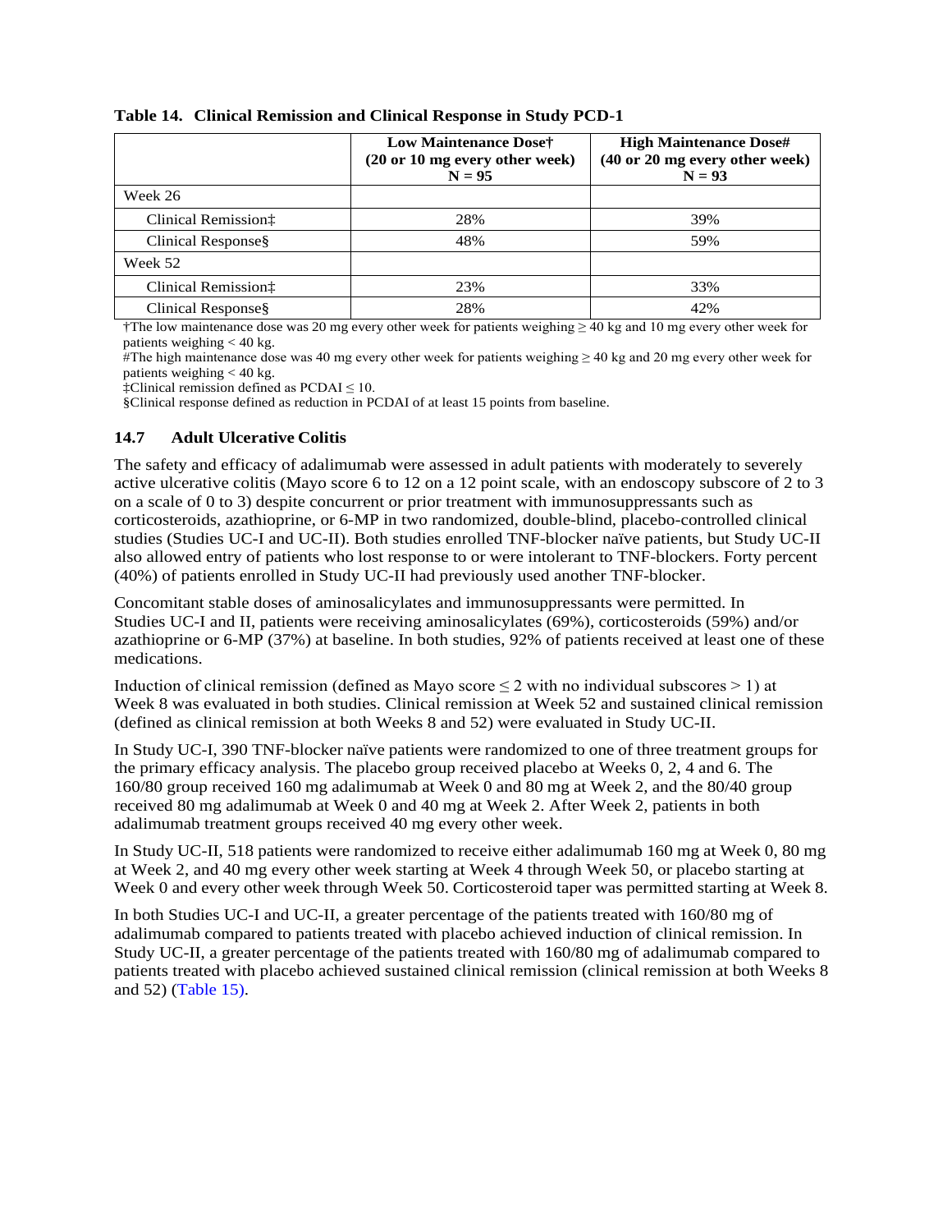|                     | Low Maintenance Dose†<br>(20 or 10 mg every other week)<br>$N = 95$ | <b>High Maintenance Dose#</b><br>(40 or 20 mg every other week)<br>$N = 93$ |  |  |
|---------------------|---------------------------------------------------------------------|-----------------------------------------------------------------------------|--|--|
| Week 26             |                                                                     |                                                                             |  |  |
| Clinical Remission: | 28%                                                                 | 39%                                                                         |  |  |
| Clinical Response§  | 48%                                                                 | 59%                                                                         |  |  |
| Week 52             |                                                                     |                                                                             |  |  |
| Clinical Remission: | 23%                                                                 | 33%                                                                         |  |  |
| Clinical Response§  | 28%                                                                 | 42%                                                                         |  |  |

#### <span id="page-33-1"></span>**Table 14. Clinical Remission and Clinical Response in Study PCD-1**

†The low maintenance dose was 20 mg every other week for patients weighing ≥ 40 kg and 10 mg every other week for patients weighing < 40 kg.

<span id="page-33-0"></span>#The high maintenance dose was 40 mg every other week for patients weighing ≥ 40 kg and 20 mg every other week for patients weighing < 40 kg.

‡Clinical remission defined as PCDAI ≤ 10.

§Clinical response defined as reduction in PCDAI of at least 15 points from baseline.

#### **14.7 Adult Ulcerative Colitis**

The safety and efficacy of adalimumab were assessed in adult patients with moderately to severely active ulcerative colitis (Mayo score 6 to 12 on a 12 point scale, with an endoscopy subscore of 2 to 3 on a scale of 0 to 3) despite concurrent or prior treatment with immunosuppressants such as corticosteroids, azathioprine, or 6-MP in two randomized, double-blind, placebo-controlled clinical studies (Studies UC-I and UC-II). Both studies enrolled TNF-blocker naïve patients, but Study UC-II also allowed entry of patients who lost response to or were intolerant to TNF-blockers. Forty percent (40%) of patients enrolled in Study UC-II had previously used another TNF-blocker.

Concomitant stable doses of aminosalicylates and immunosuppressants were permitted. In Studies UC-I and II, patients were receiving aminosalicylates (69%), corticosteroids (59%) and/or azathioprine or 6-MP (37%) at baseline. In both studies, 92% of patients received at least one of these medications.

Induction of clinical remission (defined as Mayo score  $\leq 2$  with no individual subscores  $> 1$ ) at Week 8 was evaluated in both studies. Clinical remission at Week 52 and sustained clinical remission (defined as clinical remission at both Weeks 8 and 52) were evaluated in Study UC-II.

In Study UC-I, 390 TNF-blocker naïve patients were randomized to one of three treatment groups for the primary efficacy analysis. The placebo group received placebo at Weeks 0, 2, 4 and 6. The 160/80 group received 160 mg adalimumab at Week 0 and 80 mg at Week 2, and the 80/40 group received 80 mg adalimumab at Week 0 and 40 mg at Week 2. After Week 2, patients in both adalimumab treatment groups received 40 mg every other week.

In Study UC-II, 518 patients were randomized to receive either adalimumab 160 mg at Week 0, 80 mg at Week 2, and 40 mg every other week starting at Week 4 through Week 50, or placebo starting at Week 0 and every other week through Week 50. Corticosteroid taper was permitted starting at Week 8.

In both Studies UC-I and UC-II, a greater percentage of the patients treated with 160/80 mg of adalimumab compared to patients treated with placebo achieved induction of clinical remission. In Study UC-II, a greater percentage of the patients treated with 160/80 mg of adalimumab compared to patients treated with placebo achieved sustained clinical remission (clinical remission at both Weeks 8 and 52) [\(Table 15\)](#page-34-1).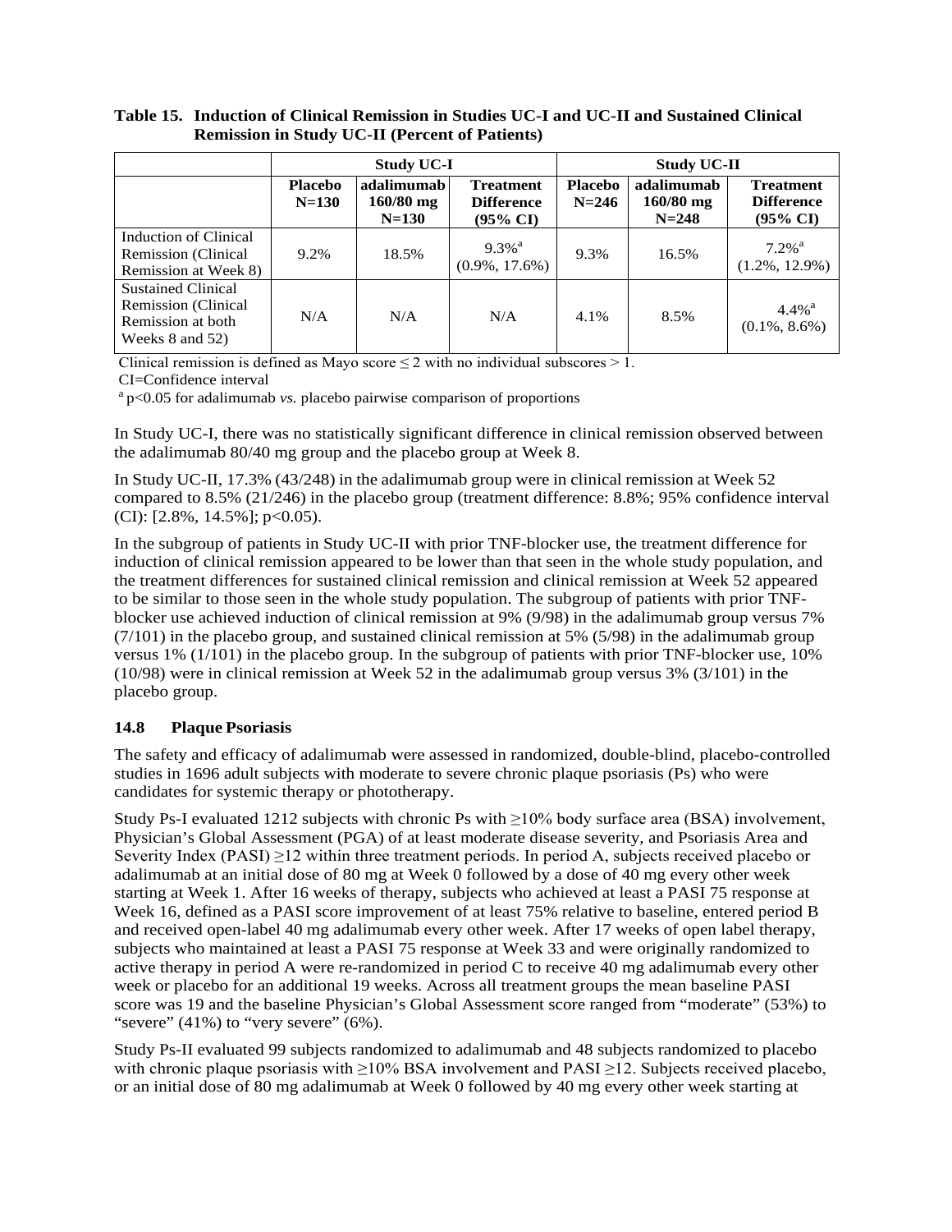|                                                                                                      |                             | <b>Study UC-I</b>                                                                                      |                                           |                             | <b>Study UC-II</b>                     |                                                              |
|------------------------------------------------------------------------------------------------------|-----------------------------|--------------------------------------------------------------------------------------------------------|-------------------------------------------|-----------------------------|----------------------------------------|--------------------------------------------------------------|
|                                                                                                      | <b>Placebo</b><br>$N = 130$ | adalimumab<br><b>Treatment</b><br>$160/80$ mg<br><b>Difference</b><br>$N = 130$<br>$(95\% \text{ CI})$ |                                           | <b>Placebo</b><br>$N = 246$ | adalimumab<br>$160/80$ mg<br>$N = 248$ | <b>Treatment</b><br><b>Difference</b><br>$(95\% \text{ CI})$ |
| Induction of Clinical<br>Remission (Clinical<br>Remission at Week 8)                                 | 9.2%                        | 18.5%                                                                                                  | $9.3\%$ <sup>a</sup><br>$(0.9\%, 17.6\%)$ | 9.3%                        | 16.5%                                  | $7.2\%$ <sup>a</sup><br>$(1.2\%, 12.9\%)$                    |
| <b>Sustained Clinical</b><br><b>Remission</b> (Clinical<br>Remission at both<br>Weeks $8$ and $52$ ) | N/A                         | N/A                                                                                                    | N/A                                       | 4.1%                        | 8.5%                                   | $4.4\%$ <sup>a</sup><br>$(0.1\%, 8.6\%)$                     |

<span id="page-34-1"></span>**Table 15. Induction of Clinical Remission in Studies UC-I and UC-II and Sustained Clinical Remission in Study UC-II (Percent of Patients)**

Clinical remission is defined as Mayo score  $\leq 2$  with no individual subscores  $\geq 1$ .

CI=Confidence interval

<sup>a</sup> p<0.05 for adalimumab *vs.* placebo pairwise comparison of proportions

In Study UC-I, there was no statistically significant difference in clinical remission observed between the adalimumab 80/40 mg group and the placebo group at Week 8.

In Study UC-II, 17.3% (43/248) in the adalimumab group were in clinical remission at Week 52 compared to 8.5% (21/246) in the placebo group (treatment difference: 8.8%; 95% confidence interval (CI):  $[2.8\%, 14.5\%]$ ; p<0.05).

In the subgroup of patients in Study UC-II with prior TNF-blocker use, the treatment difference for induction of clinical remission appeared to be lower than that seen in the whole study population, and the treatment differences for sustained clinical remission and clinical remission at Week 52 appeared to be similar to those seen in the whole study population. The subgroup of patients with prior TNFblocker use achieved induction of clinical remission at 9% (9/98) in the adalimumab group versus 7% (7/101) in the placebo group, and sustained clinical remission at 5% (5/98) in the adalimumab group versus 1% (1/101) in the placebo group. In the subgroup of patients with prior TNF-blocker use, 10% (10/98) were in clinical remission at Week 52 in the adalimumab group versus 3% (3/101) in the placebo group.

## <span id="page-34-0"></span>**14.8 Plaque Psoriasis**

The safety and efficacy of adalimumab were assessed in randomized, double-blind, placebo-controlled studies in 1696 adult subjects with moderate to severe chronic plaque psoriasis (Ps) who were candidates for systemic therapy or phototherapy.

Study Ps-I evaluated 1212 subjects with chronic Ps with  $\geq$ 10% body surface area (BSA) involvement, Physician's Global Assessment (PGA) of at least moderate disease severity, and Psoriasis Area and Severity Index (PASI) ≥12 within three treatment periods. In period A, subjects received placebo or adalimumab at an initial dose of 80 mg at Week 0 followed by a dose of 40 mg every other week starting at Week 1. After 16 weeks of therapy, subjects who achieved at least a PASI 75 response at Week 16, defined as a PASI score improvement of at least 75% relative to baseline, entered period B and received open-label 40 mg adalimumab every other week. After 17 weeks of open label therapy, subjects who maintained at least a PASI 75 response at Week 33 and were originally randomized to active therapy in period A were re-randomized in period C to receive 40 mg adalimumab every other week or placebo for an additional 19 weeks. Across all treatment groups the mean baseline PASI score was 19 and the baseline Physician's Global Assessment score ranged from "moderate" (53%) to "severe"  $(41\%)$  to "very severe"  $(6\%)$ .

Study Ps-II evaluated 99 subjects randomized to adalimumab and 48 subjects randomized to placebo with chronic plaque psoriasis with ≥10% BSA involvement and PASI ≥12. Subjects received placebo, or an initial dose of 80 mg adalimumab at Week 0 followed by 40 mg every other week starting at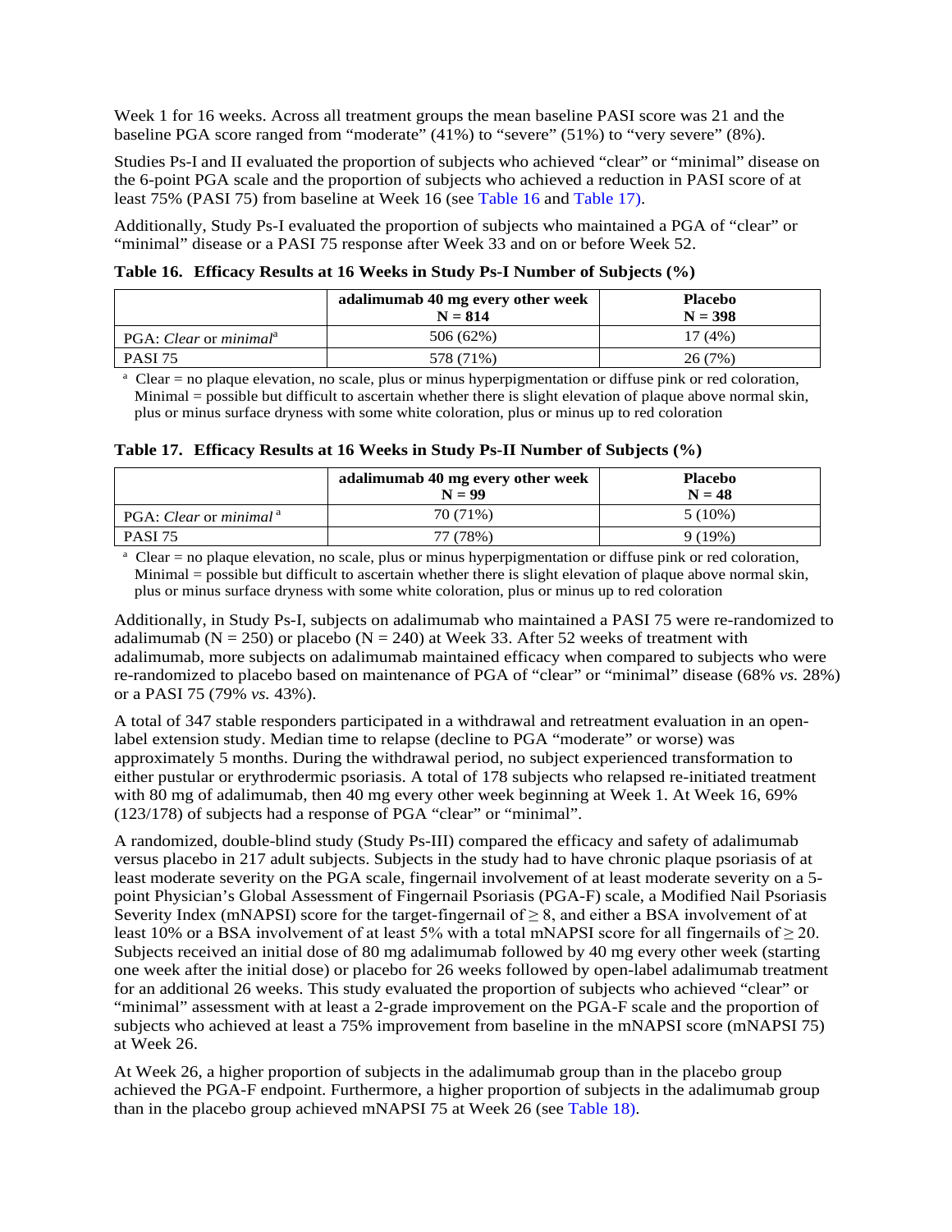Week 1 for 16 weeks. Across all treatment groups the mean baseline PASI score was 21 and the baseline PGA score ranged from "moderate" (41%) to "severe" (51%) to "very severe" (8%).

Studies Ps-I and II evaluated the proportion of subjects who achieved "clear" or "minimal" disease on the 6-point PGA scale and the proportion of subjects who achieved a reduction in PASI score of at least 75% (PASI 75) from baseline at Week 16 (see [Table 16](#page-35-0) and [Table 17\)](#page-35-1).

<span id="page-35-0"></span>Additionally, Study Ps-I evaluated the proportion of subjects who maintained a PGA of "clear" or "minimal" disease or a PASI 75 response after Week 33 and on or before Week 52.

**Table 16. Efficacy Results at 16 Weeks in Study Ps-I Number of Subjects (%)**

|                                    | adalimumab 40 mg every other week<br>$N = 814$ | <b>Placebo</b><br>$N = 398$ |
|------------------------------------|------------------------------------------------|-----------------------------|
| PGA: Clear or minimal <sup>a</sup> | 506 (62%)                                      | 17 (4%)                     |
| <b>PASI 75</b>                     | 578 (71%)                                      | 26(7%)                      |

<span id="page-35-1"></span><sup>a</sup> Clear = no plaque elevation, no scale, plus or minus hyperpigmentation or diffuse pink or red coloration, Minimal = possible but difficult to ascertain whether there is slight elevation of plaque above normal skin, plus or minus surface dryness with some white coloration, plus or minus up to red coloration

|  | Table 17. Efficacy Results at 16 Weeks in Study Ps-II Number of Subjects (%) |  |  |  |  |  |  |
|--|------------------------------------------------------------------------------|--|--|--|--|--|--|
|  |                                                                              |  |  |  |  |  |  |

|                                    | adalimumab 40 mg every other week<br>$N = 99$ | <b>Placebo</b><br>$N = 48$ |
|------------------------------------|-----------------------------------------------|----------------------------|
| PGA: Clear or minimal <sup>a</sup> | 70 (71%)                                      | $5(10\%)$                  |
| <b>PASI 75</b>                     | 77 (78%)                                      | $9(19\%)$                  |

<sup>a</sup> Clear = no plaque elevation, no scale, plus or minus hyperpigmentation or diffuse pink or red coloration, Minimal = possible but difficult to ascertain whether there is slight elevation of plaque above normal skin, plus or minus surface dryness with some white coloration, plus or minus up to red coloration

Additionally, in Study Ps-I, subjects on adalimumab who maintained a PASI 75 were re-randomized to adalimumab ( $N = 250$ ) or placebo ( $N = 240$ ) at Week 33. After 52 weeks of treatment with adalimumab, more subjects on adalimumab maintained efficacy when compared to subjects who were re-randomized to placebo based on maintenance of PGA of "clear" or "minimal" disease (68% *vs.* 28%) or a PASI 75 (79% *vs.* 43%).

A total of 347 stable responders participated in a withdrawal and retreatment evaluation in an openlabel extension study. Median time to relapse (decline to PGA "moderate" or worse) was approximately 5 months. During the withdrawal period, no subject experienced transformation to either pustular or erythrodermic psoriasis. A total of 178 subjects who relapsed re-initiated treatment with 80 mg of adalimumab, then 40 mg every other week beginning at Week 1. At Week 16, 69% (123/178) of subjects had a response of PGA "clear" or "minimal".

A randomized, double-blind study (Study Ps-III) compared the efficacy and safety of adalimumab versus placebo in 217 adult subjects. Subjects in the study had to have chronic plaque psoriasis of at least moderate severity on the PGA scale, fingernail involvement of at least moderate severity on a 5 point Physician's Global Assessment of Fingernail Psoriasis (PGA-F) scale, a Modified Nail Psoriasis Severity Index (mNAPSI) score for the target-fingernail of  $\geq 8$ , and either a BSA involvement of at least 10% or a BSA involvement of at least 5% with a total mNAPSI score for all fingernails of  $\geq$  20. Subjects received an initial dose of 80 mg adalimumab followed by 40 mg every other week (starting one week after the initial dose) or placebo for 26 weeks followed by open-label adalimumab treatment for an additional 26 weeks. This study evaluated the proportion of subjects who achieved "clear" or "minimal" assessment with at least a 2-grade improvement on the PGA-F scale and the proportion of subjects who achieved at least a 75% improvement from baseline in the mNAPSI score (mNAPSI 75) at Week 26.

At Week 26, a higher proportion of subjects in the adalimumab group than in the placebo group achieved the PGA-F endpoint. Furthermore, a higher proportion of subjects in the adalimumab group than in the placebo group achieved mNAPSI 75 at Week 26 (see [Table 18\)](#page-36-3).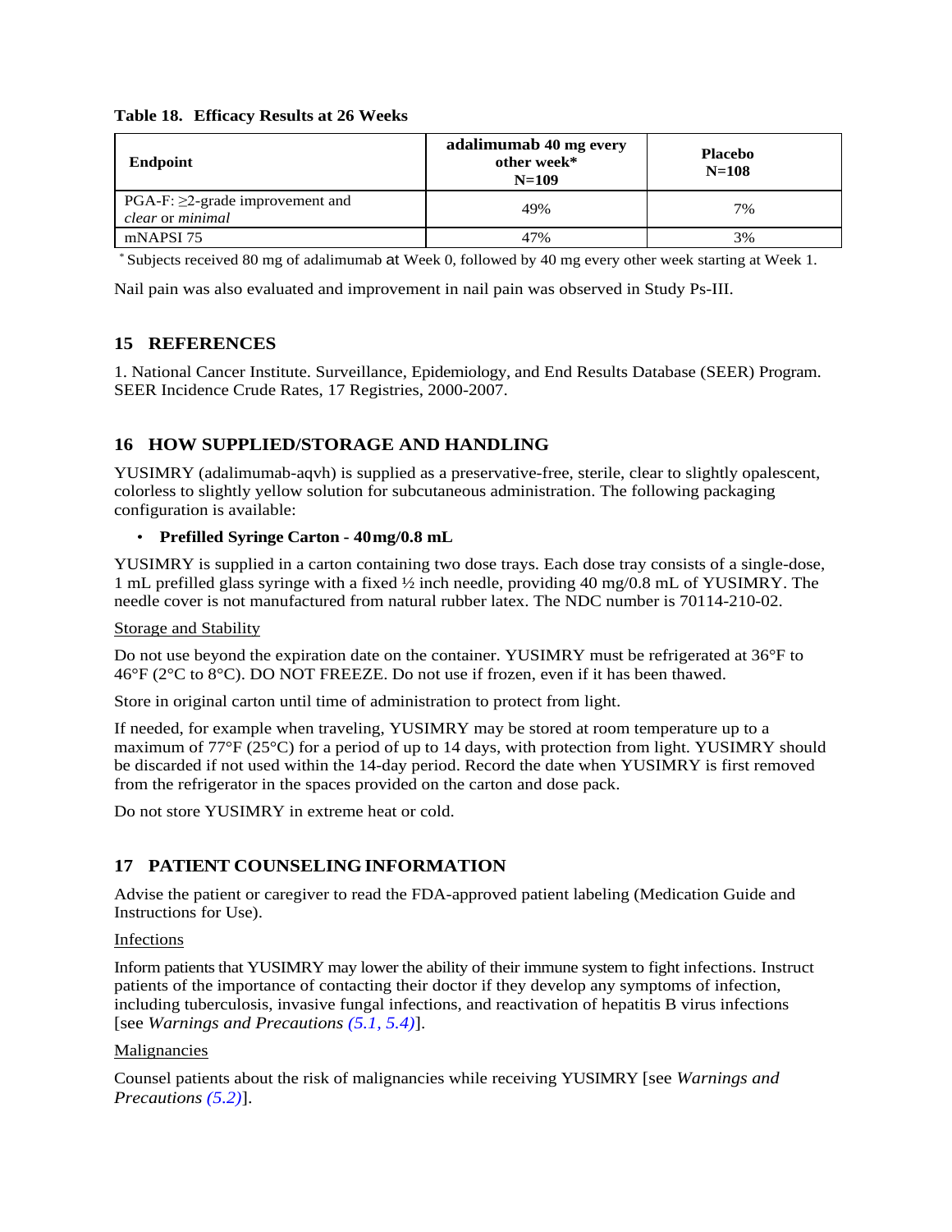#### <span id="page-36-3"></span>**Table 18. Efficacy Results at 26 Weeks**

| Endpoint                                                   | adalimumab 40 mg every<br>other week*<br>$N=109$ | <b>Placebo</b><br>$N = 108$ |
|------------------------------------------------------------|--------------------------------------------------|-----------------------------|
| $PGA-F: \geq 2$ -grade improvement and<br>clear or minimal | 49%                                              | 7%                          |
| mNAPSI 75                                                  | 47%                                              | 3%                          |

<span id="page-36-1"></span>\* Subjects received 80 mg of adalimumab at Week 0, followed by 40 mg every other week starting at Week 1.

Nail pain was also evaluated and improvement in nail pain was observed in Study Ps-III.

## **15 REFERENCES**

<span id="page-36-2"></span>1. National Cancer Institute. Surveillance, Epidemiology, and End Results Database (SEER) Program. SEER Incidence Crude Rates, 17 Registries, 2000-2007.

## **16 HOW SUPPLIED/STORAGE AND HANDLING**

YUSIMRY (adalimumab-aqvh) is supplied as a preservative-free, sterile, clear to slightly opalescent, colorless to slightly yellow solution for subcutaneous administration. The following packaging configuration is available:

#### • **Prefilled Syringe Carton - 40mg/0.8 mL**

YUSIMRY is supplied in a carton containing two dose trays. Each dose tray consists of a single-dose, 1 mL prefilled glass syringe with a fixed ½ inch needle, providing 40 mg/0.8 mL of YUSIMRY. The needle cover is not manufactured from natural rubber latex. The NDC number is 70114-210-02.

#### Storage and Stability

Do not use beyond the expiration date on the container. YUSIMRY must be refrigerated at 36°F to 46°F (2°C to 8°C). DO NOT FREEZE. Do not use if frozen, even if it has been thawed.

Store in original carton until time of administration to protect from light.

If needed, for example when traveling, YUSIMRY may be stored at room temperature up to a maximum of 77°F (25°C) for a period of up to 14 days, with protection from light. YUSIMRY should be discarded if not used within the 14-day period. Record the date when YUSIMRY is first removed from the refrigerator in the spaces provided on the carton and dose pack.

<span id="page-36-0"></span>Do not store YUSIMRY in extreme heat or cold.

## **17 PATIENT COUNSELINGINFORMATION**

Advise the patient or caregiver to read the FDA-approved patient labeling (Medication Guide and Instructions for Use).

#### Infections

Inform patients that YUSIMRY may lower the ability of their immune system to fight infections. Instruct patients of the importance of contacting their doctor if they develop any symptoms of infection, including tuberculosis, invasive fungal infections, and reactivation of hepatitis B virus infections [see *Warnings and Precautions [\(5.1,](#page-5-0) [5.4\)](#page-8-1)*].

#### Malignancies

Counsel patients about the risk of malignancies while receiving YUSIMRY [see *Warnings and Precautions [\(5.2\)](#page-7-0)*].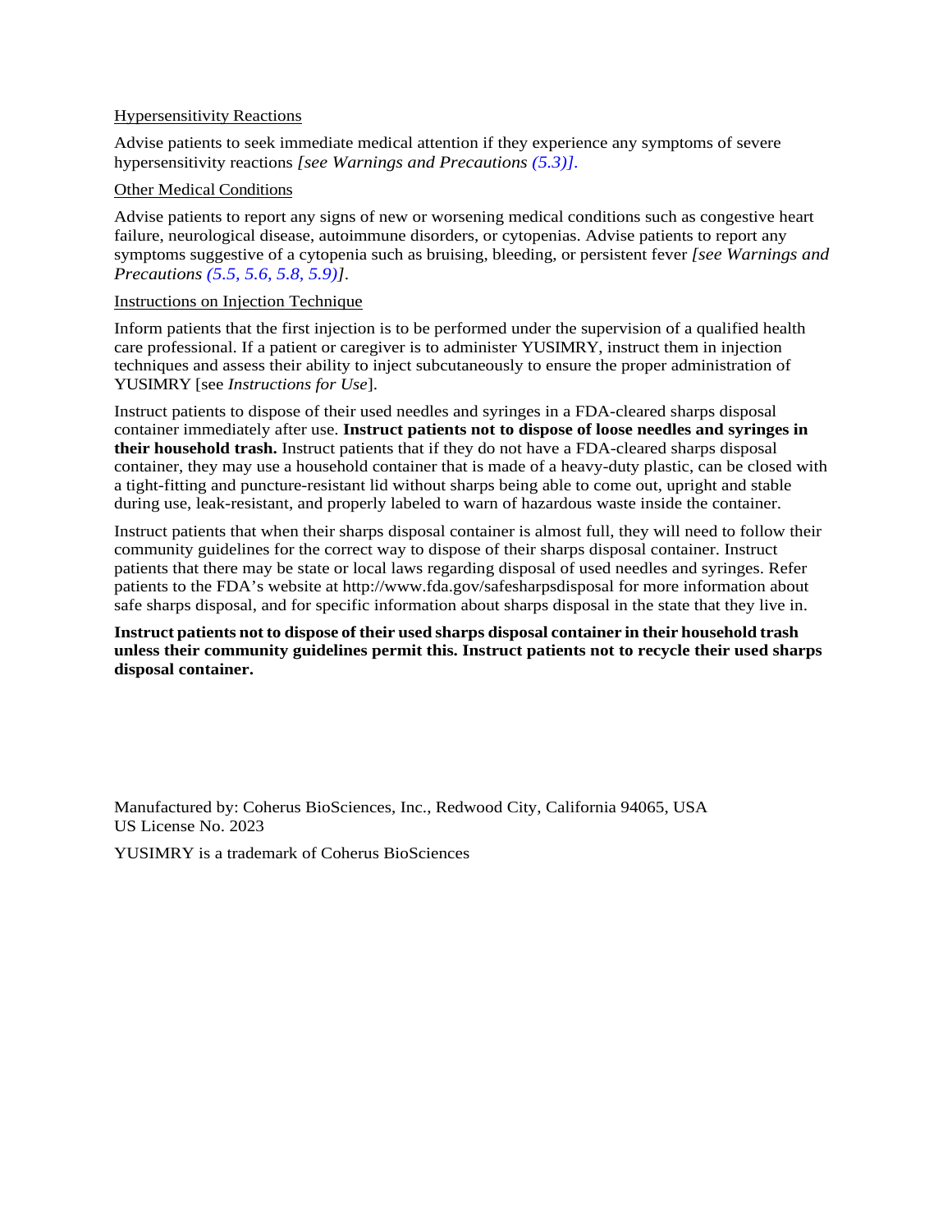#### Hypersensitivity Reactions

Advise patients to seek immediate medical attention if they experience any symptoms of severe hypersensitivity reactions *[see Warnings and Precautions [\(5.3\)](#page-8-0)].*

#### Other Medical Conditions

Advise patients to report any signs of new or worsening medical conditions such as congestive heart failure, neurological disease, autoimmune disorders, or cytopenias. Advise patients to report any symptoms suggestive of a cytopenia such as bruising, bleeding, or persistent fever *[see Warnings and Precautions [\(5.5,](#page-8-2) [5.6,](#page-9-0) [5.8,](#page-9-1) [5.9\)](#page-9-2)]*.

#### Instructions on Injection Technique

Inform patients that the first injection is to be performed under the supervision of a qualified health care professional. If a patient or caregiver is to administer YUSIMRY, instruct them in injection techniques and assess their ability to inject subcutaneously to ensure the proper administration of YUSIMRY [see *Instructions for Use*].

Instruct patients to dispose of their used needles and syringes in a FDA-cleared sharps disposal container immediately after use. **Instruct patients not to dispose of loose needles and syringes in their household trash.** Instruct patients that if they do not have a FDA-cleared sharps disposal container, they may use a household container that is made of a heavy-duty plastic, can be closed with a tight-fitting and puncture-resistant lid without sharps being able to come out, upright and stable during use, leak-resistant, and properly labeled to warn of hazardous waste inside the container.

Instruct patients that when their sharps disposal container is almost full, they will need to follow their community guidelines for the correct way to dispose of their sharps disposal container. Instruct patients that there may be state or local laws regarding disposal of used needles and syringes. Refer patients to the FDA's website at http://www.fda.gov/safesharpsdisposal for more information about safe sharps disposal, and for specific information about sharps disposal in the state that they live in.

**Instruct patients not to dispose of their used sharps disposal container in their household trash unless their community guidelines permit this. Instruct patients not to recycle their used sharps disposal container.**

Manufactured by: Coherus BioSciences, Inc., Redwood City, California 94065, USA US License No. 2023

YUSIMRY is a trademark of Coherus BioSciences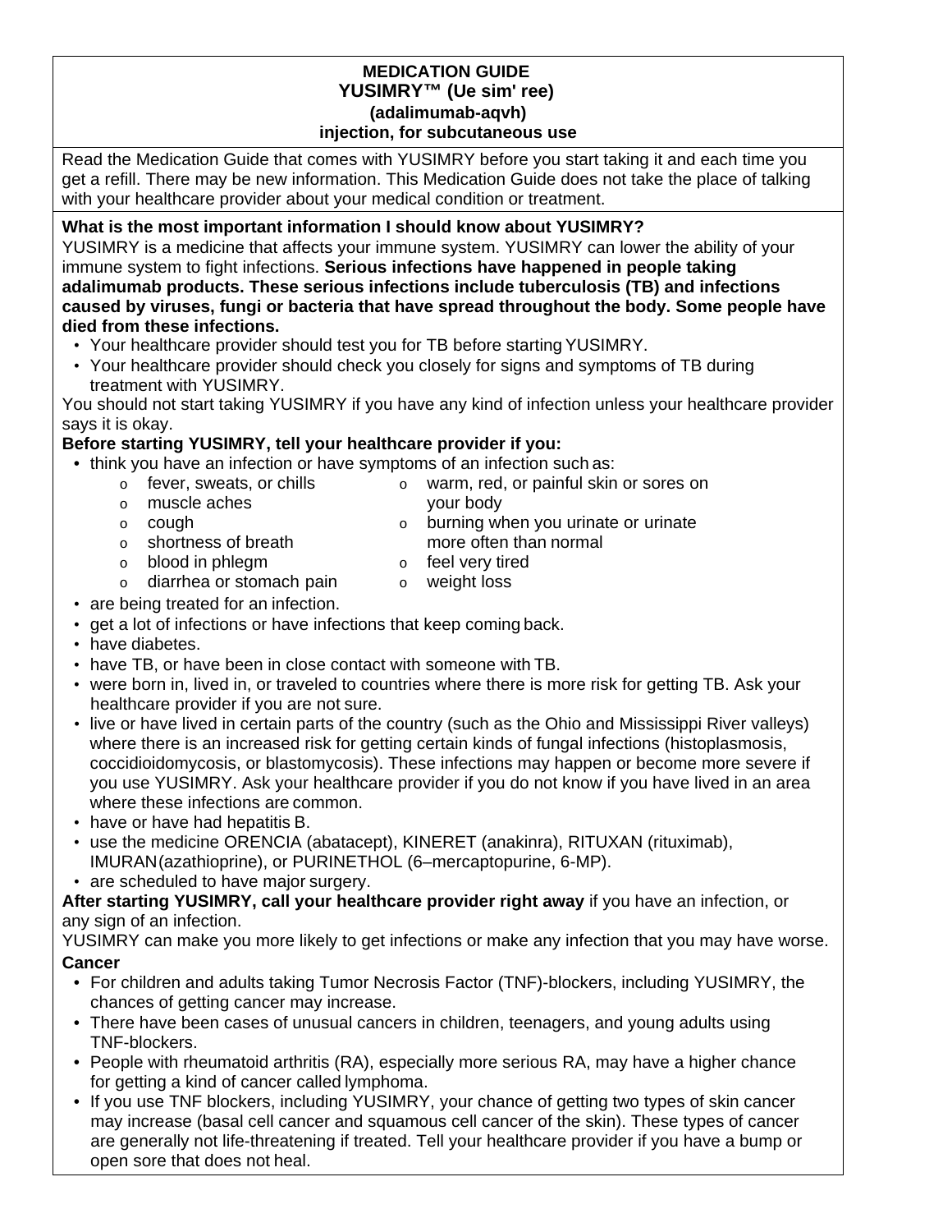## **MEDICATION GUIDE YUSIMRY™ (Ue sim' ree) (adalimumab-aqvh) injection, for subcutaneous use**

Read the Medication Guide that comes with YUSIMRY before you start taking it and each time you get a refill. There may be new information. This Medication Guide does not take the place of talking with your healthcare provider about your medical condition or treatment.

# **What is the most important information I should know about YUSIMRY?**

YUSIMRY is a medicine that affects your immune system. YUSIMRY can lower the ability of your immune system to fight infections. **Serious infections have happened in people taking adalimumab products. These serious infections include tuberculosis (TB) and infections caused by viruses, fungi or bacteria that have spread throughout the body. Some people have died from these infections.**

- Your healthcare provider should test you for TB before starting YUSIMRY.
- Your healthcare provider should check you closely for signs and symptoms of TB during treatment with YUSIMRY.

You should not start taking YUSIMRY if you have any kind of infection unless your healthcare provider says it is okay.

# **Before starting YUSIMRY, tell your healthcare provider if you:**

- think you have an infection or have symptoms of an infection such as:
	- $\circ$  fever, sweats, or chills  $\circ$  warm, red, or painful skin or sores on vour body
	- o muscle aches your body
	-
	- o shortness of breath more often than normal
- burning when you urinate or urinate
	-
	- o blood in phlegm offeel very tired<br>
	o diarrhea or stomach pain oweight loss  $\circ$  diarrhea or stomach pain  $\circ$
- are being treated for an infection.
- get a lot of infections or have infections that keep coming back.
- have diabetes.
- have TB, or have been in close contact with someone with TB.
- were born in, lived in, or traveled to countries where there is more risk for getting TB. Ask your healthcare provider if you are not sure.
- live or have lived in certain parts of the country (such as the Ohio and Mississippi River valleys) where there is an increased risk for getting certain kinds of fungal infections (histoplasmosis, coccidioidomycosis, or blastomycosis). These infections may happen or become more severe if you use YUSIMRY. Ask your healthcare provider if you do not know if you have lived in an area where these infections are common.
- have or have had hepatitis B.
- use the medicine ORENCIA (abatacept), KINERET (anakinra), RITUXAN (rituximab), IMURAN(azathioprine), or PURINETHOL (6–mercaptopurine, 6-MP).
- are scheduled to have major surgery.

**After starting YUSIMRY, call your healthcare provider right away** if you have an infection, or any sign of an infection.

YUSIMRY can make you more likely to get infections or make any infection that you may have worse. **Cancer**

- For children and adults taking Tumor Necrosis Factor (TNF)-blockers, including YUSIMRY, the chances of getting cancer may increase.
- There have been cases of unusual cancers in children, teenagers, and young adults using TNF-blockers.
- People with rheumatoid arthritis (RA), especially more serious RA, may have a higher chance for getting a kind of cancer called lymphoma.
- If you use TNF blockers, including YUSIMRY, your chance of getting two types of skin cancer may increase (basal cell cancer and squamous cell cancer of the skin). These types of cancer are generally not life-threatening if treated. Tell your healthcare provider if you have a bump or open sore that does not heal.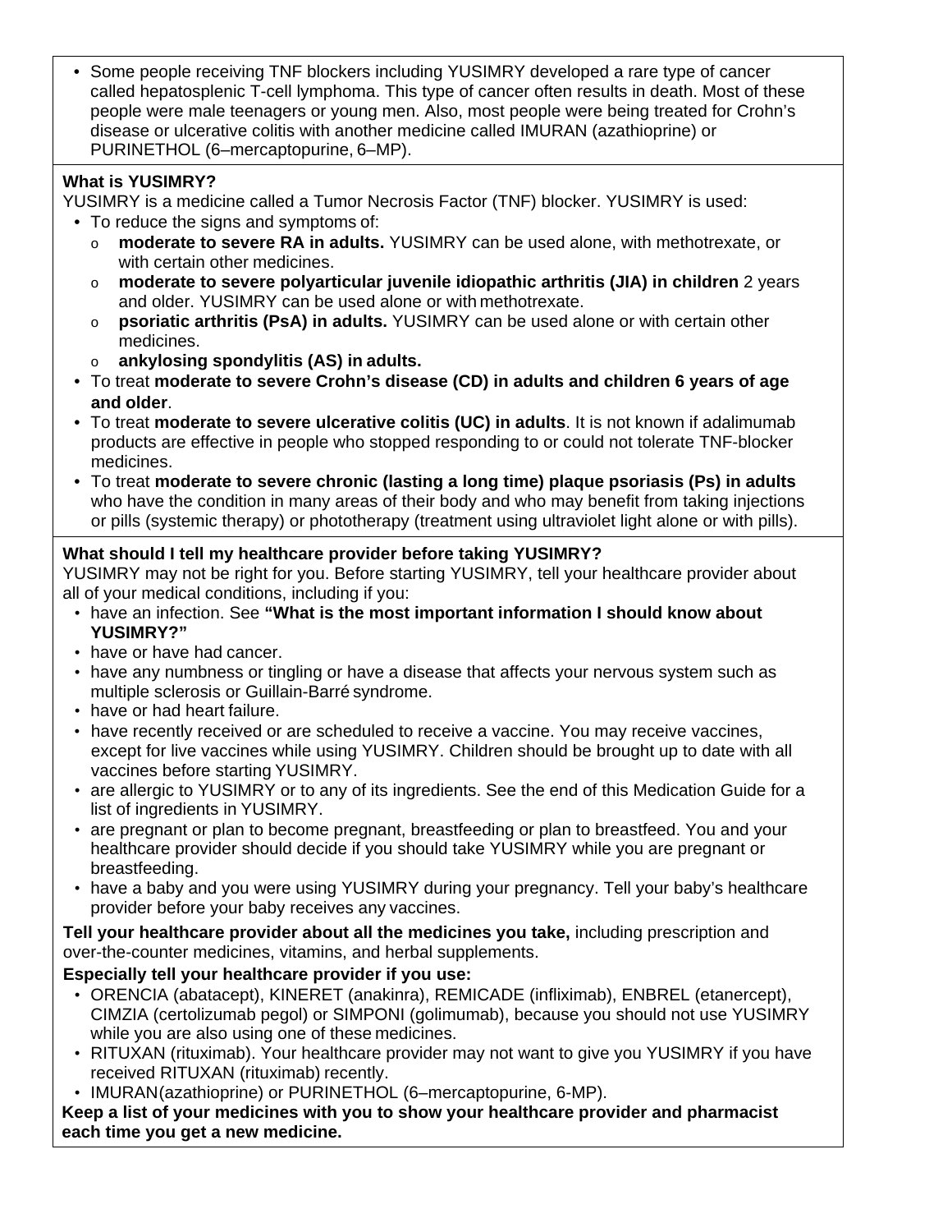• Some people receiving TNF blockers including YUSIMRY developed a rare type of cancer called hepatosplenic T-cell lymphoma. This type of cancer often results in death. Most of these people were male teenagers or young men. Also, most people were being treated for Crohn's disease or ulcerative colitis with another medicine called IMURAN (azathioprine) or PURINETHOL (6–mercaptopurine, 6–MP).

# **What is YUSIMRY?**

YUSIMRY is a medicine called a Tumor Necrosis Factor (TNF) blocker. YUSIMRY is used:

- To reduce the signs and symptoms of:
	- o **moderate to severe RA in adults.** YUSIMRY can be used alone, with methotrexate, or with certain other medicines.
	- o **moderate to severe polyarticular juvenile idiopathic arthritis (JIA) in children** 2 years and older. YUSIMRY can be used alone or with methotrexate.
	- o **psoriatic arthritis (PsA) in adults.** YUSIMRY can be used alone or with certain other medicines.
	- o **ankylosing spondylitis (AS) in adults.**
- To treat **moderate to severe Crohn's disease (CD) in adults and children 6 years of age and older**.
- To treat **moderate to severe ulcerative colitis (UC) in adults**. It is not known if adalimumab products are effective in people who stopped responding to or could not tolerate TNF-blocker medicines.
- To treat **moderate to severe chronic (lasting a long time) plaque psoriasis (Ps) in adults**  who have the condition in many areas of their body and who may benefit from taking injections or pills (systemic therapy) or phototherapy (treatment using ultraviolet light alone or with pills).

# **What should I tell my healthcare provider before taking YUSIMRY?**

YUSIMRY may not be right for you. Before starting YUSIMRY, tell your healthcare provider about all of your medical conditions, including if you:

- have an infection. See **"What is the most important information I should know about YUSIMRY?"**
- have or have had cancer.
- have any numbness or tingling or have a disease that affects your nervous system such as multiple sclerosis or Guillain-Barré syndrome.
- have or had heart failure.
- have recently received or are scheduled to receive a vaccine. You may receive vaccines, except for live vaccines while using YUSIMRY. Children should be brought up to date with all vaccines before starting YUSIMRY.
- are allergic to YUSIMRY or to any of its ingredients. See the end of this Medication Guide for a list of ingredients in YUSIMRY.
- are pregnant or plan to become pregnant, breastfeeding or plan to breastfeed. You and your healthcare provider should decide if you should take YUSIMRY while you are pregnant or breastfeeding.
- have a baby and you were using YUSIMRY during your pregnancy. Tell your baby's healthcare provider before your baby receives any vaccines.

**Tell your healthcare provider about all the medicines you take,** including prescription and over-the-counter medicines, vitamins, and herbal supplements.

# **Especially tell your healthcare provider if you use:**

- ORENCIA (abatacept), KINERET (anakinra), REMICADE (infliximab), ENBREL (etanercept), CIMZIA (certolizumab pegol) or SIMPONI (golimumab), because you should not use YUSIMRY while you are also using one of these medicines.
- RITUXAN (rituximab). Your healthcare provider may not want to give you YUSIMRY if you have received RITUXAN (rituximab) recently.
- IMURAN(azathioprine) or PURINETHOL (6–mercaptopurine, 6-MP).

**Keep a list of your medicines with you to show your healthcare provider and pharmacist each time you get a new medicine.**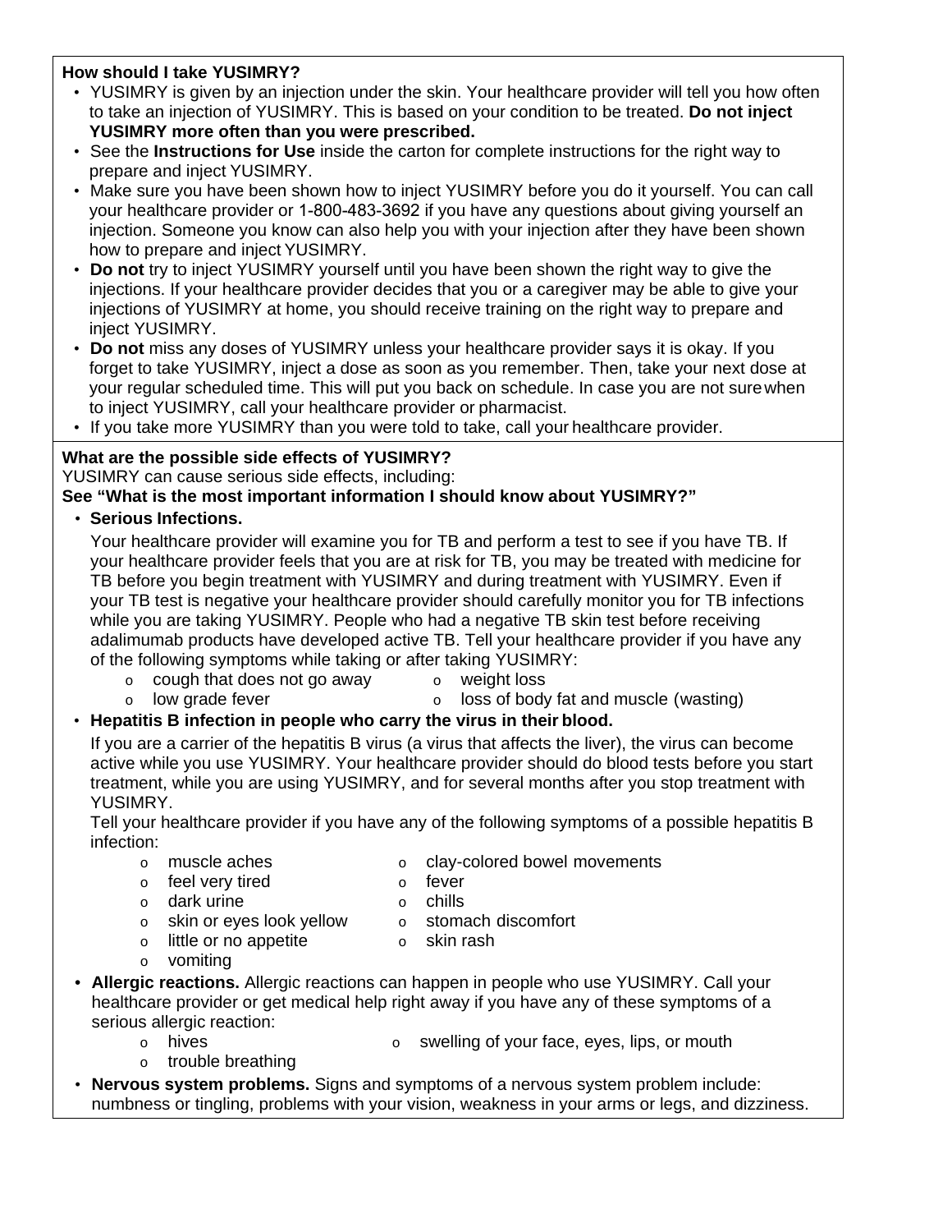## **How should I take YUSIMRY?**

- YUSIMRY is given by an injection under the skin. Your healthcare provider will tell you how often to take an injection of YUSIMRY. This is based on your condition to be treated. **Do not inject YUSIMRY more often than you were prescribed.**
- See the **Instructions for Use** inside the carton for complete instructions for the right way to prepare and inject YUSIMRY.
- Make sure you have been shown how to inject YUSIMRY before you do it yourself. You can call your healthcare provider or 1-800-483-3692 if you have any questions about giving yourself an injection. Someone you know can also help you with your injection after they have been shown how to prepare and inject YUSIMRY.
- **Do not** try to inject YUSIMRY yourself until you have been shown the right way to give the injections. If your healthcare provider decides that you or a caregiver may be able to give your injections of YUSIMRY at home, you should receive training on the right way to prepare and inject YUSIMRY.
- **Do not** miss any doses of YUSIMRY unless your healthcare provider says it is okay. If you forget to take YUSIMRY, inject a dose as soon as you remember. Then, take your next dose at your regular scheduled time. This will put you back on schedule. In case you are not surewhen to inject YUSIMRY, call your healthcare provider or pharmacist.
- If you take more YUSIMRY than you were told to take, call your healthcare provider.

# **What are the possible side effects of YUSIMRY?**

YUSIMRY can cause serious side effects, including:

# **See "What is the most important information I should know about YUSIMRY?"**

• **Serious Infections.**

Your healthcare provider will examine you for TB and perform a test to see if you have TB. If your healthcare provider feels that you are at risk for TB, you may be treated with medicine for TB before you begin treatment with YUSIMRY and during treatment with YUSIMRY. Even if your TB test is negative your healthcare provider should carefully monitor you for TB infections while you are taking YUSIMRY. People who had a negative TB skin test before receiving adalimumab products have developed active TB. Tell your healthcare provider if you have any of the following symptoms while taking or after taking YUSIMRY:

- 
- $\circ$  cough that does not go away  $\circ$  weight loss<br> $\circ$  low grade fever  $\circ$  loss of body  $\circ$  low grade fever  $\circ$  loss of body fat and muscle (wasting)

# • **Hepatitis B infection in people who carry the virus in their blood.**

If you are a carrier of the hepatitis B virus (a virus that affects the liver), the virus can become active while you use YUSIMRY. Your healthcare provider should do blood tests before you start treatment, while you are using YUSIMRY, and for several months after you stop treatment with YUSIMRY.

Tell your healthcare provider if you have any of the following symptoms of a possible hepatitis B infection:

- o muscle aches o clay-colored bowel movements
	-
- o feel very tired b o fever<br>
o dark urine b o chills
	-
- 
- o dark urine versions o chills<br>
o skin or eves look vellow o stomach discomfort
- $\circ$  skin or eyes look yellow  $\circ$  stomach discomform of stomach discomformation of state of state of state of state of state of state of state of state of state of state of state of state of state of state of state of st  $\circ$  little or no appetite  $\circ$ 
	-
- o vomiting
- **Allergic reactions.** Allergic reactions can happen in people who use YUSIMRY. Call your healthcare provider or get medical help right away if you have any of these symptoms of a serious allergic reaction:
	-
	- $\circ$  hives  $\circ$  swelling of your face, eyes, lips, or mouth
	- o trouble breathing
	- **Nervous system problems.** Signs and symptoms of a nervous system problem include:
- numbness or tingling, problems with your vision, weakness in your arms or legs, and dizziness.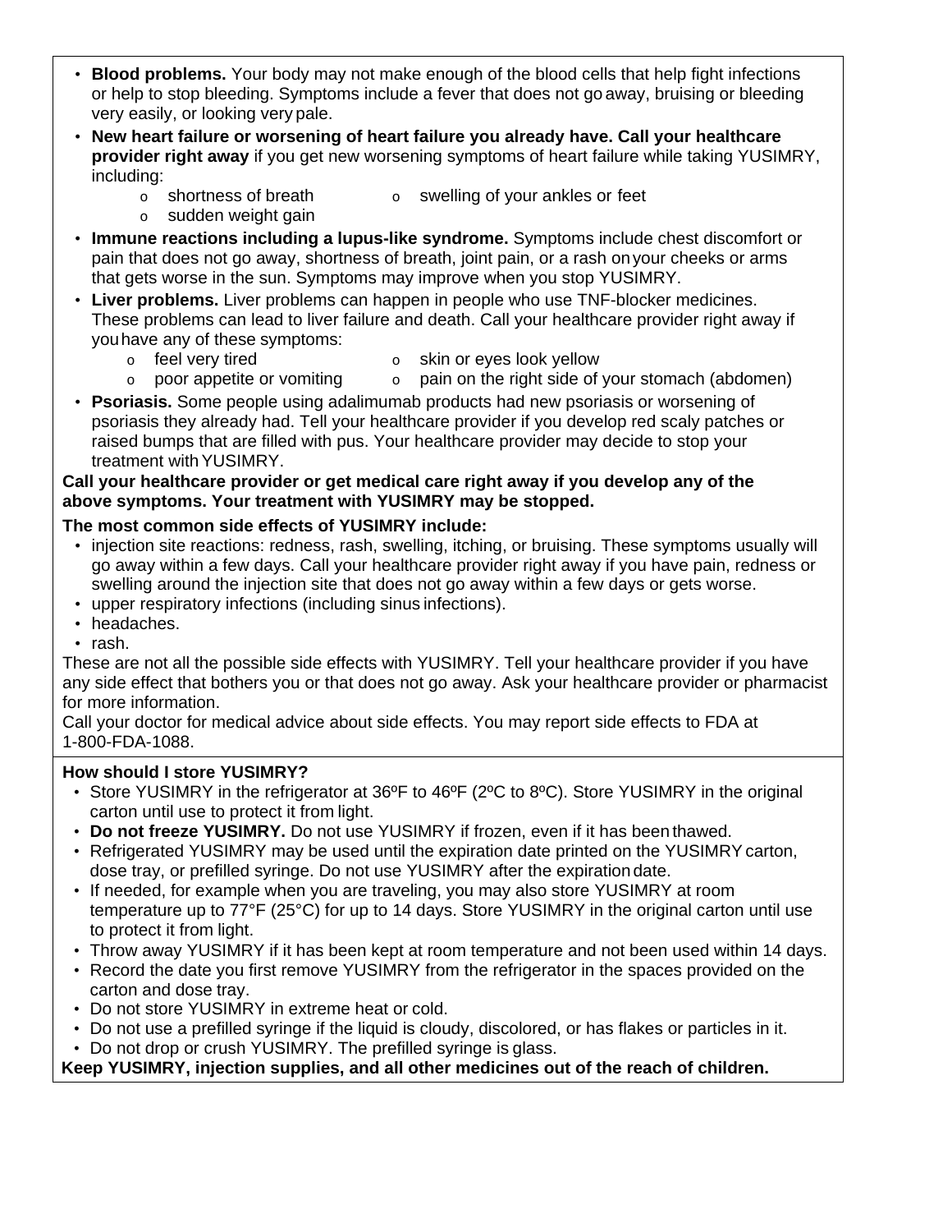- **Blood problems.** Your body may not make enough of the blood cells that help fight infections or help to stop bleeding. Symptoms include a fever that does not go away, bruising or bleeding very easily, or looking very pale.
- **New heart failure or worsening of heart failure you already have. Call your healthcare provider right away** if you get new worsening symptoms of heart failure while taking YUSIMRY, including:
	- $\circ$  shortness of breath  $\circ$  swelling of your ankles or feet
		- o sudden weight gain
- **Immune reactions including a lupus-like syndrome.** Symptoms include chest discomfort or pain that does not go away, shortness of breath, joint pain, or a rash onyour cheeks or arms that gets worse in the sun. Symptoms may improve when you stop YUSIMRY.
- **Liver problems.** Liver problems can happen in people who use TNF-blocker medicines. These problems can lead to liver failure and death. Call your healthcare provider right away if youhave any of these symptoms:
	- o feel very tired o skin or eyes look yellow
		-
	- $\circ$  poor appetite or vomiting  $\circ$  pain on the right side of your stomach (abdomen)
- **Psoriasis.** Some people using adalimumab products had new psoriasis or worsening of psoriasis they already had. Tell your healthcare provider if you develop red scaly patches or raised bumps that are filled with pus. Your healthcare provider may decide to stop your treatment with YUSIMRY.

# **Call your healthcare provider or get medical care right away if you develop any of the above symptoms. Your treatment with YUSIMRY may be stopped.**

# **The most common side effects of YUSIMRY include:**

- injection site reactions: redness, rash, swelling, itching, or bruising. These symptoms usually will go away within a few days. Call your healthcare provider right away if you have pain, redness or swelling around the injection site that does not go away within a few days or gets worse.
- upper respiratory infections (including sinus infections).
- headaches.
- rash.

These are not all the possible side effects with YUSIMRY. Tell your healthcare provider if you have any side effect that bothers you or that does not go away. Ask your healthcare provider or pharmacist for more information.

Call your doctor for medical advice about side effects. You may report side effects to FDA at 1-800-FDA-1088.

## **How should I store YUSIMRY?**

- Store YUSIMRY in the refrigerator at 36°F to 46°F (2°C to 8°C). Store YUSIMRY in the original carton until use to protect it from light.
- **Do not freeze YUSIMRY.** Do not use YUSIMRY if frozen, even if it has been thawed.
- Refrigerated YUSIMRY may be used until the expiration date printed on the YUSIMRYcarton, dose tray, or prefilled syringe. Do not use YUSIMRY after the expiration date.
- If needed, for example when you are traveling, you may also store YUSIMRY at room temperature up to 77°F (25°C) for up to 14 days. Store YUSIMRY in the original carton until use to protect it from light.
- Throw away YUSIMRY if it has been kept at room temperature and not been used within 14 days.
- Record the date you first remove YUSIMRY from the refrigerator in the spaces provided on the carton and dose tray.
- Do not store YUSIMRY in extreme heat or cold.
- Do not use a prefilled syringe if the liquid is cloudy, discolored, or has flakes or particles in it.
- Do not drop or crush YUSIMRY. The prefilled syringe is glass.

# **Keep YUSIMRY, injection supplies, and all other medicines out of the reach of children.**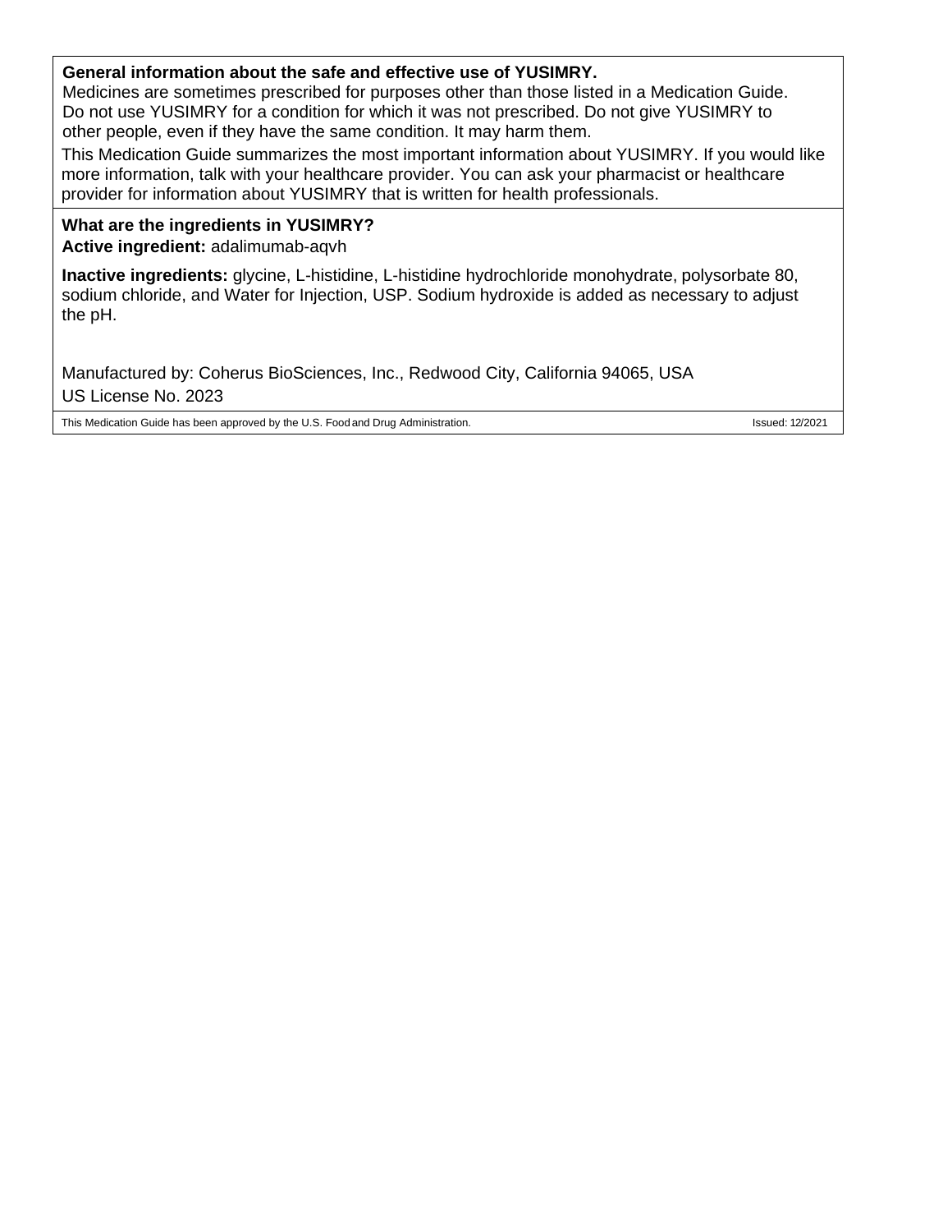## **General information about the safe and effective use of YUSIMRY.**

Medicines are sometimes prescribed for purposes other than those listed in a Medication Guide. Do not use YUSIMRY for a condition for which it was not prescribed. Do not give YUSIMRY to other people, even if they have the same condition. It may harm them.

This Medication Guide summarizes the most important information about YUSIMRY. If you would like more information, talk with your healthcare provider. You can ask your pharmacist or healthcare provider for information about YUSIMRY that is written for health professionals.

#### **What are the ingredients in YUSIMRY? Active ingredient:** adalimumab-aqvh

**Inactive ingredients:** glycine, L-histidine, L-histidine hydrochloride monohydrate, polysorbate 80, sodium chloride, and Water for Injection, USP. Sodium hydroxide is added as necessary to adjust the pH.

Manufactured by: Coherus BioSciences, Inc., Redwood City, California 94065, USA US License No. 2023

This Medication Guide has been approved by the U.S. Food and Drug Administration. In the State of the U.S. Food and Drug Administration.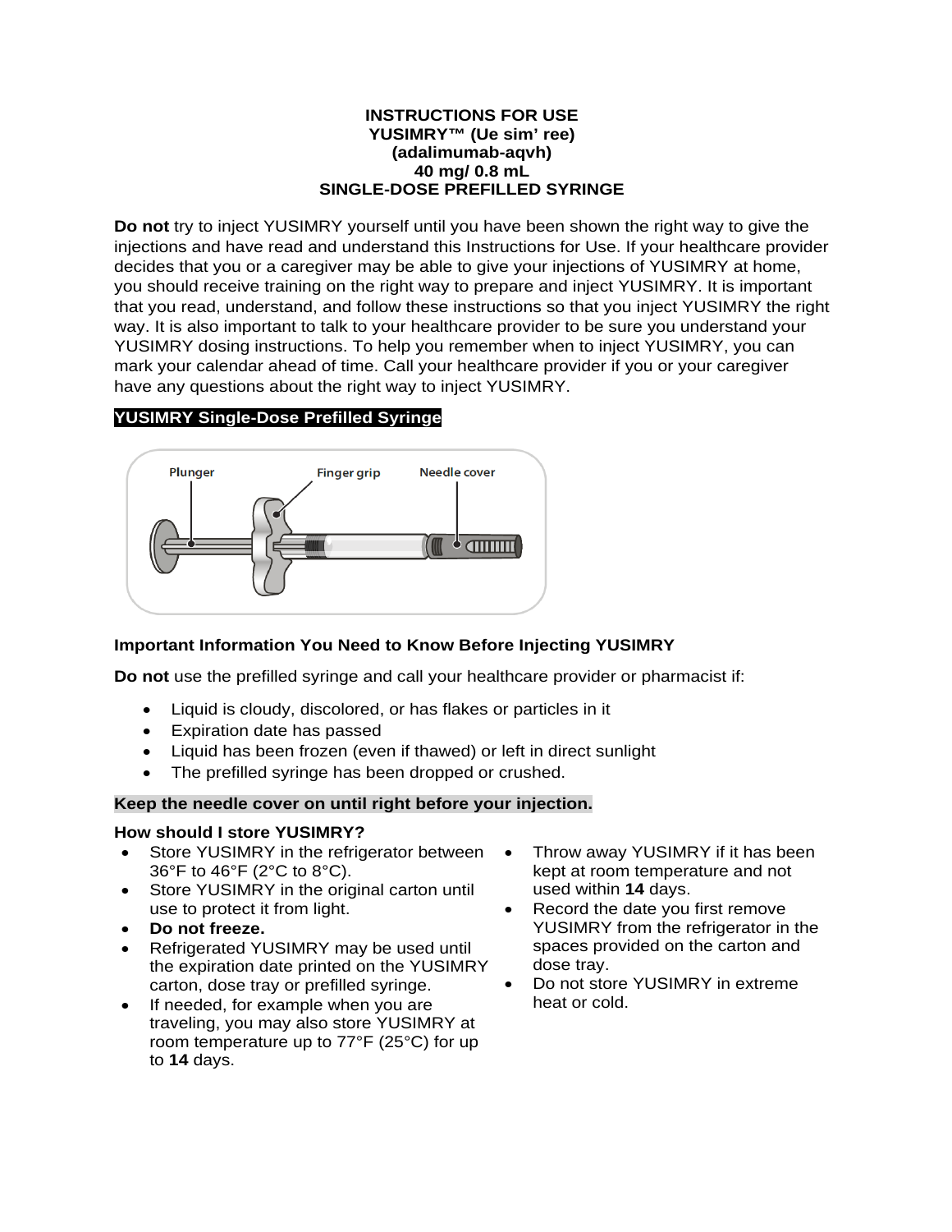#### **INSTRUCTIONS FOR USE YUSIMRY™ (Ue sim' ree) (adalimumab-aqvh) 40 mg/ 0.8 mL SINGLE-DOSE PREFILLED SYRINGE**

**Do not** try to inject YUSIMRY yourself until you have been shown the right way to give the injections and have read and understand this Instructions for Use. If your healthcare provider decides that you or a caregiver may be able to give your injections of YUSIMRY at home, you should receive training on the right way to prepare and inject YUSIMRY. It is important that you read, understand, and follow these instructions so that you inject YUSIMRY the right way. It is also important to talk to your healthcare provider to be sure you understand your YUSIMRY dosing instructions. To help you remember when to inject YUSIMRY, you can mark your calendar ahead of time. Call your healthcare provider if you or your caregiver have any questions about the right way to inject YUSIMRY.

# **YUSIMRY Single-Dose Prefilled Syringe**



## **Important Information You Need to Know Before Injecting YUSIMRY**

**Do not** use the prefilled syringe and call your healthcare provider or pharmacist if:

- Liquid is cloudy, discolored, or has flakes or particles in it
- Expiration date has passed
- Liquid has been frozen (even if thawed) or left in direct sunlight
- The prefilled syringe has been dropped or crushed.

## **Keep the needle cover on until right before your injection.**

## **How should I store YUSIMRY?**

- Store YUSIMRY in the refrigerator between  $\bullet$ 36°F to 46°F (2°C to 8°C).
- Store YUSIMRY in the original carton until use to protect it from light.
- **Do not freeze.**
- Refrigerated YUSIMRY may be used until the expiration date printed on the YUSIMRY carton, dose tray or prefilled syringe.
- If needed, for example when you are traveling, you may also store YUSIMRY at room temperature up to 77°F (25°C) for up to **14** days.
- Throw away YUSIMRY if it has been kept at room temperature and not used within **14** days.
- Record the date you first remove YUSIMRY from the refrigerator in the spaces provided on the carton and dose tray.
- Do not store YUSIMRY in extreme heat or cold.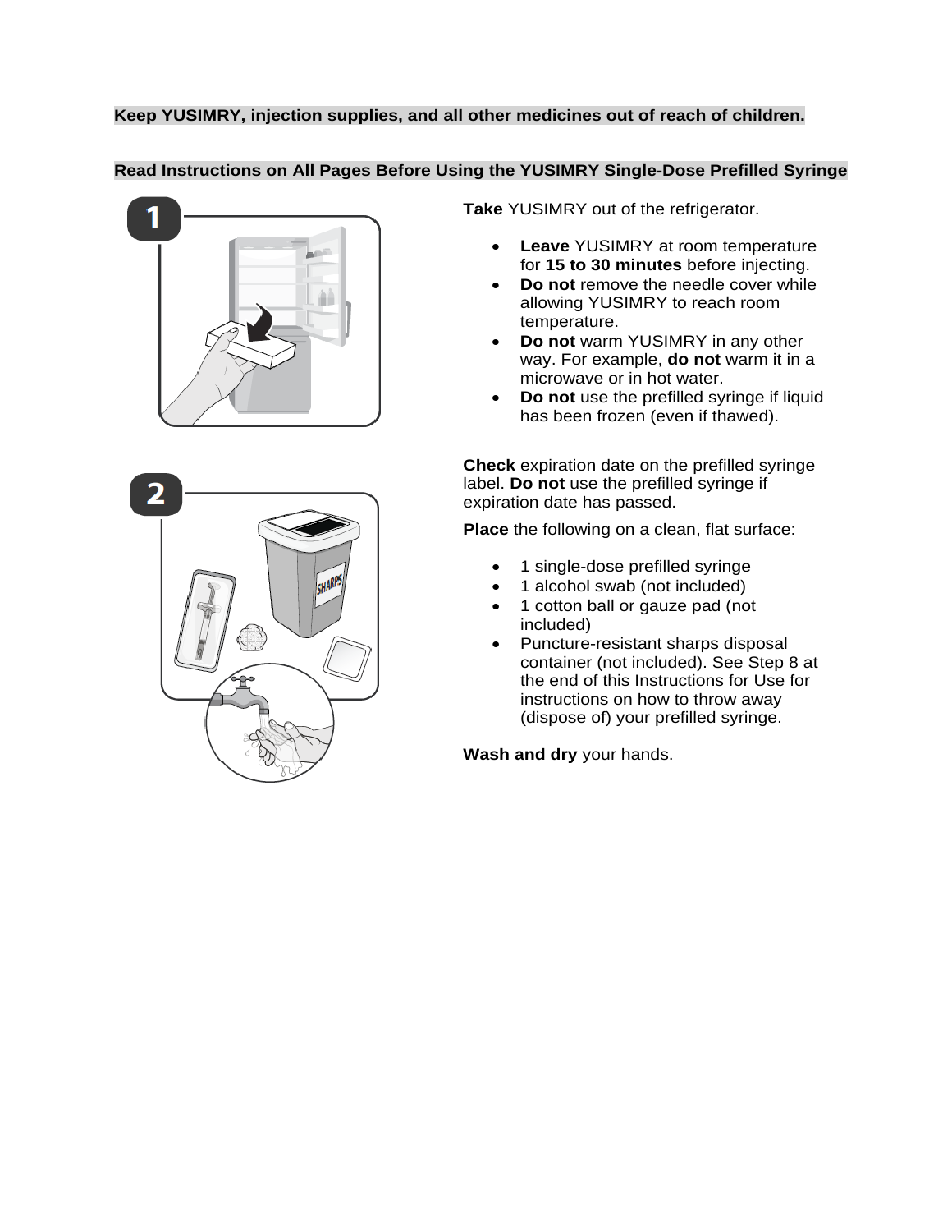# **Keep YUSIMRY, injection supplies, and all other medicines out of reach of children.**

## **Read Instructions on All Pages Before Using the YUSIMRY Single-Dose Prefilled Syringe**





**Take** YUSIMRY out of the refrigerator.

- **Leave** YUSIMRY at room temperature for **15 to 30 minutes** before injecting.
- **Do not** remove the needle cover while allowing YUSIMRY to reach room temperature.
- **Do not** warm YUSIMRY in any other way. For example, **do not** warm it in a microwave or in hot water.
- **Do not** use the prefilled syringe if liquid has been frozen (even if thawed).

**Check** expiration date on the prefilled syringe label. **Do not** use the prefilled syringe if expiration date has passed.

**Place** the following on a clean, flat surface:

- 1 single-dose prefilled syringe
- 1 alcohol swab (not included)
- 1 cotton ball or gauze pad (not included)
- Puncture-resistant sharps disposal container (not included). See Step 8 at the end of this Instructions for Use for instructions on how to throw away (dispose of) your prefilled syringe.

**Wash and dry** your hands.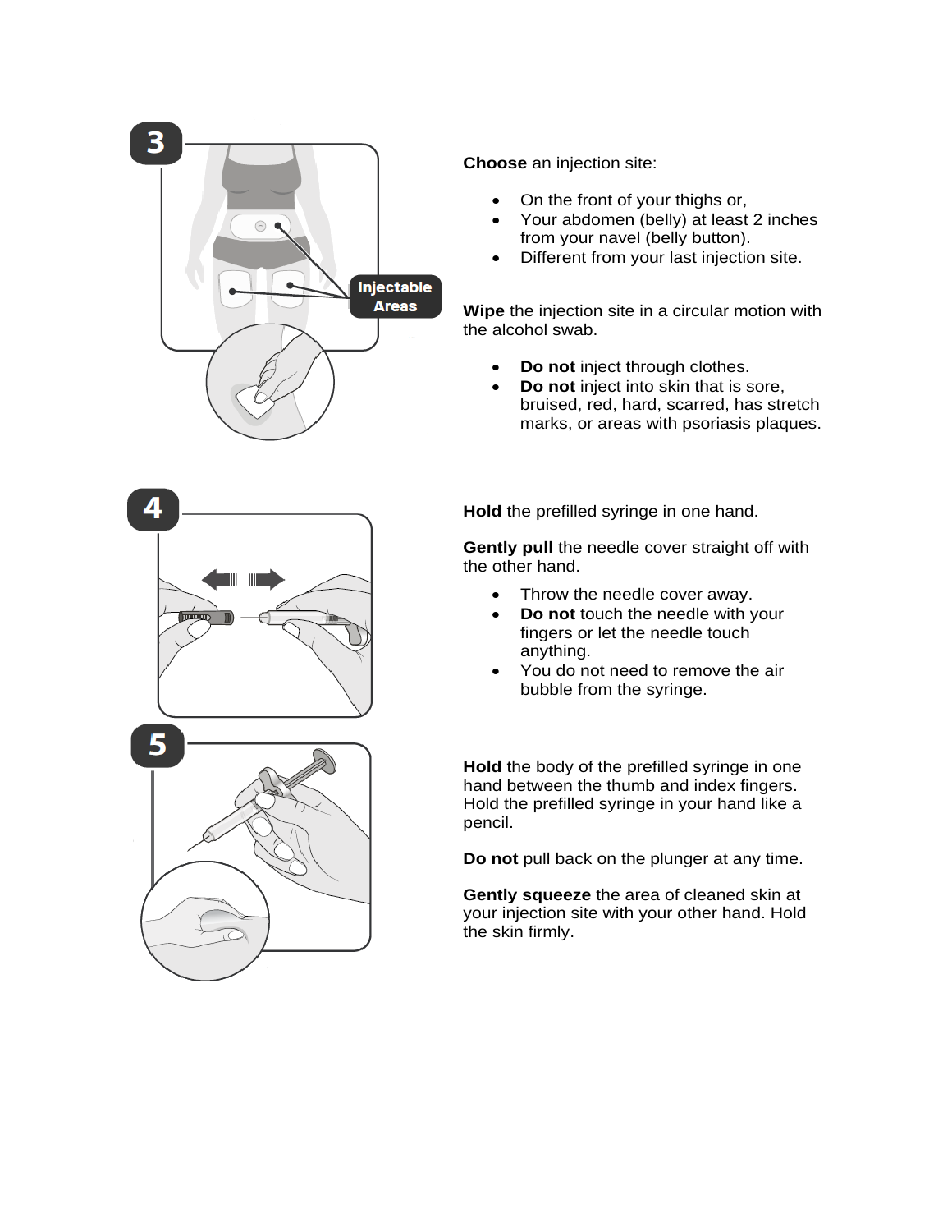

**Choose** an injection site:

- On the front of your thighs or,
- Your abdomen (belly) at least 2 inches from your navel (belly button).
- Different from your last injection site.

**Wipe** the injection site in a circular motion with the alcohol swab.

- **Do not** inject through clothes.
- **Do not** inject into skin that is sore, bruised, red, hard, scarred, has stretch marks, or areas with psoriasis plaques.

**Hold** the prefilled syringe in one hand.

**Gently pull** the needle cover straight off with the other hand.

- Throw the needle cover away.
- **Do not** touch the needle with your fingers or let the needle touch anything.
- You do not need to remove the air bubble from the syringe.

**Hold** the body of the prefilled syringe in one hand between the thumb and index fingers. Hold the prefilled syringe in your hand like a pencil.

**Do not** pull back on the plunger at any time.

**Gently squeeze** the area of cleaned skin at your injection site with your other hand. Hold the skin firmly.

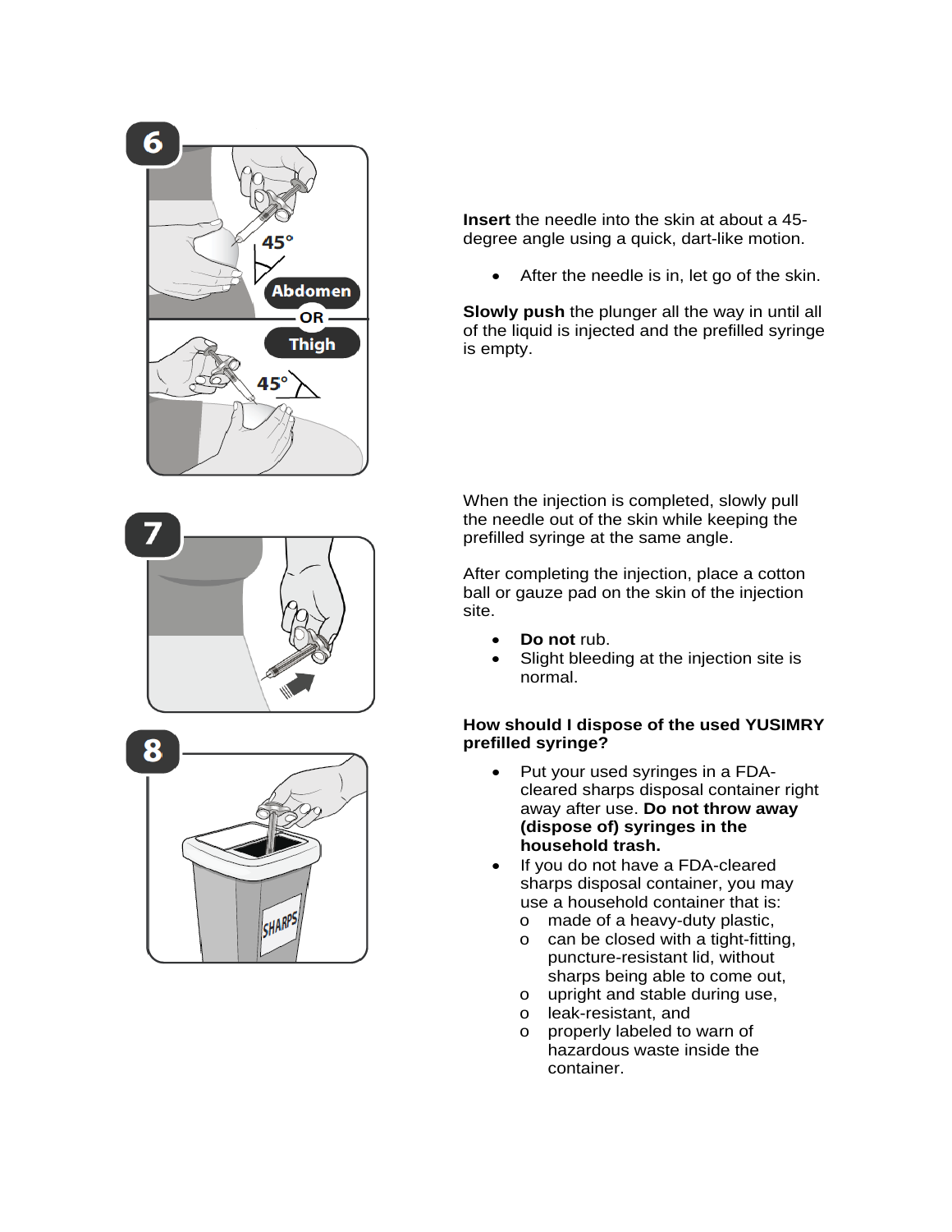



**Insert** the needle into the skin at about a 45 degree angle using a quick, dart-like motion.

After the needle is in, let go of the skin.

**Slowly push** the plunger all the way in until all of the liquid is injected and the prefilled syringe is empty.

When the injection is completed, slowly pull the needle out of the skin while keeping the prefilled syringe at the same angle.

After completing the injection, place a cotton ball or gauze pad on the skin of the injection site.

- **Do not** rub.
- Slight bleeding at the injection site is normal.

## **How should I dispose of the used YUSIMRY prefilled syringe?**

- Put your used syringes in a FDAcleared sharps disposal container right away after use. **Do not throw away (dispose of) syringes in the household trash.**
- If you do not have a FDA-cleared sharps disposal container, you may use a household container that is:
	- $\circ$  made of a heavy-duty plastic,<br> $\circ$  can be closed with a tight-fitting
	- can be closed with a tight-fitting, puncture-resistant lid, without sharps being able to come out,
	- $\circ$  upright and stable during use,<br> $\circ$  leak-resistant, and
	- o leak-resistant, and<br>o properly labeled to
	- properly labeled to warn of hazardous waste inside the container.